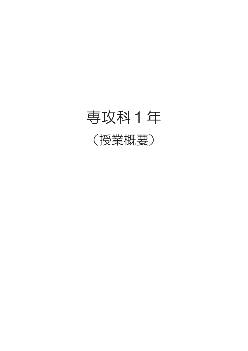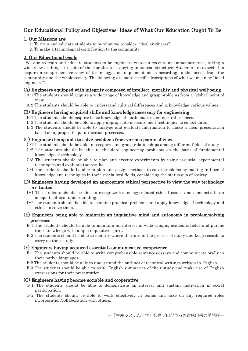#### Our Educational Policy and Objectives: Ideas of What Our Education Ought To Be

#### 1. Our Missions are:

- 1. To train and educate students to be what we consider "ideal engineers"
- 2. To make a technological contribution to the community

#### 2. Our Educational Goals

We aim to train and educate students to be engineers who can execute an immediate task, taking a wide view of things, in spite of the complicated, varying industrial structure. Students are expected to acquire a comprehensive view of technology and implement ideas according to the needs from the community and the whole society. The following are more specific descriptions of what we mean by "ideal engineers":

#### (A) Engineers equipped with integrity composed of intellect, morality and physical well-being

- A-1 The students should acquire a wide range of knowledge and grasp problems from a "global" point of view.
- A-2 The students should be able to understand cultural differences and acknowledge various values.

#### (B) Engineers having acquired skills and knowledge necessary for engineering

- B-1 The students should acquire basic knowledge of mathematics and natural sciences.
- B-2 The students should be able to apply appropriate measurement techniques to collect data.
- B-3 The students should be able to analyze and evaluate information to make a clear presentation based on appropriate quantification processes.

#### (C) Engineers being able to solve problems from various points of view

- C-1 The students should be able to recognize and grasp relationships among different fields of study.
- C-2 The students should be able to elucidate engineering problems on the basis of fundamental knowledge of technology.
- C-3 The students should be able to plan and execute experiments by using essential experimental techniques and evaluate the results.
- C-4 The students should be able to plan and design methods to solve problems by making full use of knowledge and techniques in their specialized fields, considering the status quo of society.

#### (D) Engineers having developed an appropriate ethical perspective to view the way technology is situated

- D-1 The students should be able to recognize technology-related ethical issues and demonstrate an adequate ethical understanding.
- D-2 The students should be able to examine practical problems and apply knowledge of technology and ethics to solve them.

#### (E) Engineers being able to maintain an inquisitive mind and autonomy in problem-solving processes

- E-1 The students should be able to maintain an interest in wide-ranging academic fields and pursue their knowledge with ample inquisitive spirit.
- E-2 The students should be able to identify where they are in the process of study and keep records to carry on their study.

#### (F) Engineers having acquired essential communicative competence

- F-1 The students should be able to write comprehensible sentences/essays and communicate orally in their native languages.
- F-2 The students should be able to understand the outlines of technical writings written in English.
- F-3 The students should be able to write English summaries of their study and make use of English expressions for their presentation.

#### (G) Engineers having become sociable and cooperative

- G-1 The students should be able to demonstrate an interest and sustain motivation in social participation.
- G-2 The students should be able to work effectively in teams and take on any required roles incorporation/collaboration with others.

一「生産システム工学」教育プログラムの達成目標の英語版ー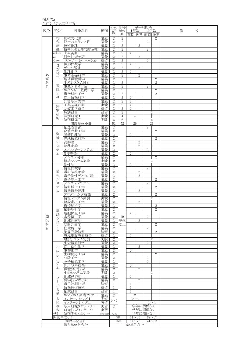| 別表第3   |              | 生産システム工学専攻             |          |                                  |                                |                                  |                                  |                    |                |        |
|--------|--------------|------------------------|----------|----------------------------------|--------------------------------|----------------------------------|----------------------------------|--------------------|----------------|--------|
|        |              |                        |          | 単位                               | 修得                             |                                  |                                  | 学年別配当              |                |        |
| 区分1    | 区分2          | 授業科目                   | 種別       | 数                                | 単位                             |                                  | 1年次                              | 2年次                |                | 備<br>考 |
|        | 総            | 比較文化論                  | 講義       | $\overline{2}$                   | 数<br>2                         |                                  |                                  | 前期 後期 前期 後期        | 2              |        |
|        | 合            | 郷土の文学と人間               | 講義       | $\overline{2}$                   | $\overline{2}$                 |                                  |                                  | $\overline{2}$     |                |        |
|        | 基            | 技術倫理                   | 講義       | $\overline{2}$                   | $\mathbf{2}$                   |                                  | $\overline{2}$                   |                    |                |        |
|        | 盤<br>コミュ     | 技術開発と知的財産権<br>上級英語     | 講義<br>講義 | $\overline{2}$<br>$\mathbf{2}$   | $\overline{2}$<br>$\mathbf{2}$ | 2                                |                                  | $\overline{2}$     |                |        |
|        | $=$          | 科学技術英語                 | 講義       | $\overline{2}$                   | $\overline{2}$                 |                                  | $\overline{2}$                   |                    |                |        |
|        | ケー           | スピーチ・コミュニケーション         | 演習       | $\mathbf{2}$                     | $\mathbf{2}$                   |                                  |                                  | $\overline{2}$     |                |        |
|        | 自            | 線形代数学<br>データ解析         | 講義<br>講義 | $\overline{2}$<br>2              | $\overline{2}$<br>2            | $\mathbf{2}$                     | $\overline{2}$                   |                    |                |        |
|        | 然            | 物理化学                   | 講義       | $\sqrt{2}$                       | $\sqrt{2}$                     | $\overline{2}$                   |                                  |                    |                |        |
| 必      | 科<br>学       | 生命基礎科学                 | 講義       | 2                                | 2                              |                                  | $\overline{2}$                   |                    |                |        |
| 修<br>科 |              | 地球環境科学                 | 講義<br>講義 | $\sqrt{2}$                       | $\sqrt{2}$<br>$\overline{2}$   |                                  |                                  |                    | 2              |        |
| 目      | 基            | 生産システム設計<br>生産デザイン論    | 講義       | $\mathbf{2}$<br>$\mathbf{2}$     | $\overline{2}$                 |                                  |                                  | $\overline{2}$     | 2              |        |
|        | 礎            | エネルギー基礎工学              | 講義       | $\mathbf{2}$                     | 2                              |                                  |                                  |                    | 2              |        |
|        | I            | 複合材料工学                 | 講義       | $\mathbf{2}$                     | $\overline{2}$                 |                                  |                                  |                    | $\overline{2}$ |        |
|        | 学            | 応用情報科学<br>計算応用力学       | 講義<br>講義 | $\mathbf{2}$<br>$\overline{2}$   | 2<br>$\mathbf{2}$              | $\overline{2}$<br>$\overline{2}$ |                                  |                    |                |        |
|        | 実            | .業基礎計測                 | 実験       | $\mathbf{2}$                     | 2                              | $\overline{2}$                   |                                  |                    |                |        |
|        | 験            | 基礎工学演習                 | 演習       | $\sqrt{2}$                       | $\mathbf{2}$                   | $\sqrt{2}$                       |                                  |                    |                |        |
|        | 研            | 特別演習<br>特別研究 I         | 演習<br>実験 | $\sqrt{2}$<br>4                  | $\mathbf{2}$<br>$\overline{4}$ |                                  | 4                                |                    | 2              |        |
|        | 究            | 特別研究Ⅱ                  | 実験       | 6                                | 6                              |                                  |                                  | 6                  |                |        |
|        |              | 開設単位小計                 |          | 52                               | 52                             |                                  | 26                               |                    | 26             |        |
|        |              | 創造設計法<br>数值設計工学        | 講義<br>講義 | $\mathbf{2}$<br>$\overline{2}$   |                                |                                  |                                  | $\overline{2}$     | 2              |        |
|        | 機            | 弾塑性理論                  | 講義       | $\overline{2}$                   |                                | $\mathbf{2}$                     |                                  |                    |                |        |
|        | 械            | 先端機能材料                 | 講義       | $\mathbf{2}$                     |                                |                                  |                                  |                    | 2              |        |
|        | シ<br>ス       | 流動論<br>熱移動論            | 講義<br>講義 | $\overline{2}$<br>$\mathbf{2}$   |                                |                                  | 2<br>$\overline{2}$              |                    |                |        |
|        | テ            | エネルギーシステム              | 講義       | $\overline{2}$                   |                                |                                  |                                  | $\overline{2}$     |                |        |
|        | 厶            | 制御理論                   | 講義       | $\mathbf{2}$                     |                                | $\mathbf{2}$                     |                                  |                    |                |        |
|        |              | デジタル制御<br>機械システム実験     | 議義<br>実験 | $\overline{2}$                   |                                |                                  |                                  | 2                  | $\overline{2}$ |        |
|        |              | 物性論                    | 講義       | $\mathbf{2}$<br>$\overline{2}$   |                                | $\overline{2}$                   |                                  |                    |                |        |
|        |              | 情報代数学                  | 講義       | $\mathbf{2}$                     |                                |                                  |                                  | $\overline{2}$     |                |        |
|        | 情<br>報       | 電磁気現象論<br>電子物性デバイス論    | 講義<br>講義 | $\overline{2}$<br>$\mathbf{2}$   |                                |                                  | $\overline{2}$<br>$\overline{2}$ |                    |                |        |
|        | シ<br>ス       | 電子応用工学                 | 講義       | $\overline{2}$                   |                                |                                  |                                  |                    | $\overline{2}$ |        |
|        |              | デジタルシステム               | 講義       | $\mathbf{2}$                     |                                |                                  |                                  | $\overline{2}$     |                |        |
|        | テ            | 情報伝送工学                 | 講義       | $\overline{2}$<br>$\mathbf{2}$   |                                |                                  | $\overline{2}$                   |                    | $\overline{2}$ |        |
|        | 厶            | 情報信号処理<br>プログラミング技法    | 講義<br>講義 | $\overline{2}$                   |                                |                                  |                                  |                    | $\overline{2}$ |        |
|        |              | 情報システム実験               | 実験       | $\mathbf{2}$                     |                                |                                  |                                  |                    | 2              |        |
|        |              | 建設素材工学                 | 講義       | $\overline{2}$                   |                                |                                  | $\overline{2}$                   |                    |                |        |
|        | 建            | 構造解析学<br>振動解析学         | 講義<br>講義 | $\sqrt{2}$                       |                                |                                  |                                  |                    | $\overline{2}$ |        |
|        | 設            | 地盤保全工学                 | 講義       | 2                                |                                | $\overline{2}$                   |                                  |                    |                |        |
| 選<br>択 | シ            | 水環境工学                  | 講義       | $\mathbf{2}$                     | 10<br>単位                       |                                  |                                  | $\mathbf{2}$       |                |        |
| 科      | ス            | 地域計画論<br>空間計画学         | 講義<br>講義 | $\sqrt{2}$<br>$\overline{2}$     | 以上                             |                                  | $\overline{2}$                   |                    | $\mathbf{2}$   |        |
| 目      | テ            | 住環境工学                  | 講義       | $\sqrt{2}$                       |                                |                                  |                                  | 2                  |                |        |
|        | 厶            | 景観設計演習                 | 演習       | $\overline{2}$                   |                                |                                  |                                  |                    | $\mathbf{2}$   |        |
|        |              | 環境施設設計演習<br>建設システム実験   | 演習<br>実験 | $\sqrt{2}$<br>$\overline{2}$     |                                | $\sqrt{2}$                       |                                  |                    | 2              |        |
|        |              | 生命情報科学                 | 講義       | $\overline{2}$                   |                                |                                  |                                  | 2                  |                |        |
|        | 生            | 応用微生物学                 | 講義       | $\overline{2}$                   |                                |                                  | $\overline{2}$                   |                    |                |        |
|        | 物            | 生物化学<br>生物反応工学         | 講義<br>講義 | $\overline{2}$<br>$\overline{2}$ |                                | $\sqrt{2}$                       |                                  |                    | $\overline{2}$ |        |
|        | シ            | 分離工学                   | 講義       | $\overline{2}$                   |                                |                                  |                                  | 2                  |                |        |
|        | ス<br>テ       | 分子機能工学                 | 講義       | $\sqrt{2}$                       |                                |                                  |                                  | $\overline{2}$     |                |        |
|        | 厶            | リサイクル技術<br>環境分析技術      | 講義<br>講義 | $\overline{2}$<br>$\sqrt{2}$     |                                | $\sqrt{2}$                       | $\overline{2}$                   |                    |                |        |
|        |              | 生物システム実験               | 実験       | $\overline{2}$                   |                                |                                  |                                  |                    | 2              |        |
|        | $\Box$       | 地域経済論                  | 講義       | $\overline{2}$                   |                                | $\mathbf{2}$                     |                                  |                    |                |        |
|        | $\mathbf{I}$ | 科学技術者と法<br>子計測技術       | 講義<br>演習 | $\mathbf{2}$<br>1                |                                | 1                                | $\overline{2}$                   |                    |                |        |
|        | ス            | 情報通信技術                 | 演習       | 1                                |                                | 1                                |                                  |                    |                |        |
|        | 共<br>通       | 創成演習                   | 演習       | 1                                |                                | 1                                |                                  |                    |                |        |
|        | 共            | エンジニア実践セミナ<br>インターンシップ | 講義       | $\overline{2}$                   |                                |                                  | 2<br>$1\sim4$                    |                    |                |        |
|        | 同            | インターンシップⅡ              | 実習<br>実習 | $1\sim$ 4                        |                                |                                  |                                  |                    | $1\sim4$       |        |
|        | 教            | 応用研究プロジェクト             | 実習       | $\mathbf{2}$                     |                                |                                  |                                  | 学年に関係なく            |                |        |
|        | 育            | 研究技術インターン              | 実習       | 1                                |                                |                                  |                                  | 学年に関係なく<br>学年に関係なく |                |        |
|        | 学外           | 特別実習セミナー<br>開設単位小計     | 講義·演習    | 1又は2                             | 98                             |                                  | $41 - 50$                        | $48^{\sim}57$      |                |        |
|        |              | 開設単位合計                 |          |                                  | 150                            |                                  | $67 - 76$                        |                    | $74 - 83$      |        |
|        |              | 修得単位数合計                |          |                                  |                                | 62単位以上                           |                                  |                    |                |        |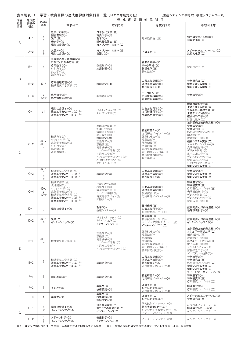| 学習       | 表3別表-1<br>学習・教育目標の達成度評価対象科目一覧(H22年度対応版)<br>(生産システム工学専攻 機械システムコース)<br>達成度評価対象科目<br>達成度<br>JABEE |                                                                                                                           |                                                                                                    |                                                                                                                                                                     |                                                                                                                             |                                                                                                                                                                                                                     |
|----------|------------------------------------------------------------------------------------------------|---------------------------------------------------------------------------------------------------------------------------|----------------------------------------------------------------------------------------------------|---------------------------------------------------------------------------------------------------------------------------------------------------------------------|-----------------------------------------------------------------------------------------------------------------------------|---------------------------------------------------------------------------------------------------------------------------------------------------------------------------------------------------------------------|
| 教育<br>目標 | 評価の<br>視点                                                                                      | 基準                                                                                                                        | 本科4年                                                                                               | 本科5年                                                                                                                                                                | 専攻科1年                                                                                                                       | 専攻科2年                                                                                                                                                                                                               |
| A        | $A-1$                                                                                          | a<br>b                                                                                                                    | 近代と文学(◎)<br>国語表現(◎)<br>法学(©)<br>経済学(◎)<br>現代社会論I(©)                                                | 日本現代文学(◎)<br>古典文学(◎)<br>哲学(◎)<br>現代社会論 II (©)<br>東アジアの中の日本(O)                                                                                                       | 地域経済論 (◎)                                                                                                                   | 郷土の文学と人間(◎)<br>比較文化論(◎)                                                                                                                                                                                             |
|          | $A-2$                                                                                          | a<br>b                                                                                                                    | 英語IV(©)<br>現代社会論I(O)                                                                               | 東アジアの中の日本(◎)<br>英語V(O)                                                                                                                                              | 上級英語(〇)                                                                                                                     | スピーチコミュニケーション(O)<br>比較文化論(O)                                                                                                                                                                                        |
|          | $B-1$                                                                                          | C                                                                                                                         | 多変数の微分積分学(◎)<br>行列式と行列の応用(◎)<br>応用数学(◎)<br>材料力学(◎)<br>熱力学(◎)<br>流体力学(◎)                            | 数理解析(〇)<br>応用物理(◎)                                                                                                                                                  | 線形代数学(◎)<br>データ解析(◎)<br>物理化学(◎)<br>物性論(◎)                                                                                   | 情報代数学(◎)                                                                                                                                                                                                            |
| B        | $B-2$                                                                                          | $d2-b$                                                                                                                    | 応用情報処理(〇)<br>機械電気工学実験(○)                                                                           | 課題研究(O)                                                                                                                                                             | 工業基礎計測(©)<br>基礎工学演習(©)<br>特別研究 I (O)                                                                                        | 特別研究 II (O)<br>機械システム実験(O)<br>情報システム実験(O)                                                                                                                                                                           |
|          | $B-3$                                                                                          | C<br>$d2-b$                                                                                                               | 応用数学(◎)<br>応用情報処理(◎)                                                                               | 数理解析(◎)                                                                                                                                                             | データ解析(◎)<br>応用情報科学(◎)<br>計算応用力学(©)                                                                                          | 特別演習(◎)                                                                                                                                                                                                             |
|          | $C-1$                                                                                          | d1                                                                                                                        | 現代社会論 I (O)<br>複合工学セミナー I (O)※2<br>複合工学セミナーII (〇)※2                                                | バイオメカニックス(○)<br>リサイクル工学(○)                                                                                                                                          | 生命基礎科学(◎)<br>応用情報科学(◎)<br>計算応用力学(©)                                                                                         | 地球環境科学(◎)<br>生産システム設計(◎)<br>エネルギー基礎工学(◎)<br>生産デザイン論(◎)<br>複合材料工学(©)<br>情報代数学(○)                                                                                                                                     |
| C        | $C-2$                                                                                          | $d2-a$<br>$d2-c$<br>$\mathcal C$                                                                                          | 機械力学(◎)<br>マテリアル学(◎)<br>電気電子回路(◎)<br>材料力学(○)<br>熱力学(○)<br>流体力学(〇)                                  | 熱流体現象論(©)<br>制御工学(◎)<br>電磁気工学(◎)<br>総合設計(◎)<br>課題研究(◎)<br>塑性加工(◎)<br>熱機関(©)<br>流体機械(◎)<br>コンピュータ計測(©)<br>ロボット工学(◎)<br>コンピュータネットワーク(◎)<br>バイオメカニックス(◎)<br>リサイクル工学(◎) | 特別研究 I (©)<br>応用研究プロジェクト(◎)<br>弹塑性理論(©)<br>流動論(◎)<br>熱移動論(◎)<br>制御理論(◎)<br>雷磁気現象論(◎)<br>電子物性デバイス論(◎)<br>情報信号処理(◎)<br>物性論(○) | 技術開発と知的財産権 (〇)<br>特別演習(◎)<br>特別研究 II (O)<br>応用研究プロジェクト(◎)<br>創造設計法(〇)<br>数值設計工学(〇)<br>機械システム実験(〇)<br>エネルギーシステム(◎)<br>先端機能材料(◎)<br>デジタル制御(◎)<br>電子応用工学(○)<br>デジタルシステム(◎)<br>情報伝送工学(◎)<br>プログラミング技法(○)<br>情報システム実験(〇) |
|          | $C-3$                                                                                          | $d2-b$<br>h<br>$\boldsymbol{c}$<br>$\theta$                                                                               | 機械電気工学実験(◎)<br>複合工学セミナー I (◎)※2<br>複合工学セミナーII (◎)※2                                                | 課題研究(◎)                                                                                                                                                             | 工業基礎計測(©)<br>基礎工学演習(©)<br>特別研究 I (©)                                                                                        | 特別演習(O)<br>機械システム実験(◎)<br>情報システム実験(◎)                                                                                                                                                                               |
|          | $C-4$                                                                                          | $d2-d$<br>e<br>$d2-a$                                                                                                     | 機械工作学(◎)<br>設計製図(◎)<br>マテリアル学(○)<br>電気電子回路(○)<br>機械雷気総合実習(○)<br>複合工学セミナー I (◎)※2<br>複合工学セミナーⅡ(◎)※2 | 生産システム(◎)<br>精密加工(◎)<br>構造計算力学(◎)<br>シーケンス制御(◎)<br>電気電子デバイス(◎)<br>回路設計(◎)                                                                                           | 工業基礎計測(©)<br>基礎工学演習(6)<br>創成演習 (◎)<br>応用研究プロジェクト(◎)                                                                         | 特別演習(O)<br>特別研究Ⅱ(◎)<br>応用研究プロジェクト(◎)<br>先端機能材料(〇)<br>デジタル制御(○)<br>デジタルシステム(○)<br>情報伝送工学(○)                                                                                                                          |
|          | $D-1$                                                                                          | b<br>$\mathcal{A}$                                                                                                        | 現代社会論 I (O)                                                                                        | 哲学(O)<br>生産システム(〇)                                                                                                                                                  | 技術倫理(◎)<br>生命基礎科学(O)<br>科学技術者と法 (◎)                                                                                         | 技術開発と知的財産権(〇)<br>地球環境科学(O)                                                                                                                                                                                          |
| D        | $D-2$                                                                                          | $d2-d$<br>b                                                                                                               | 法学(O)<br>インターンシップ(O)                                                                               | バイオメカニックス(○)<br>リサイクル工学(○)<br>インターンシップ(O)                                                                                                                           | 技術倫理(◎)<br>科学技術者と法 (◎)<br>エンジニア実践セミナー (©)<br>インターンシップ I (O)                                                                 | 技術開発と知的財産権 (◎)<br>インターンシップ II (O)                                                                                                                                                                                   |
| E.       | $E-1$                                                                                          | $d2-c$<br>$\epsilon$                                                                                                      | 機械電気総合実習(◎)                                                                                        | 塑性加工(○)<br><b>熱機関(○)</b><br>流体機械(○)<br>コンピュータ計測(○)<br>ロボット工学(○)<br>コンピュータネットワーク(○)                                                                                  | 弾塑性理論(○)<br>流動論(〇)<br>熱移動論(○)<br>制御理論(○)<br>雷磁気現象論(○)<br>電子物性デバイス論(○)<br>情報信号処理(○)                                          | 技術開発と知的財産権 (◎)<br>エネルギー基礎工学(O)<br>創造設計法(◎)<br>数值設計工学(◎)<br>エネルギーシステム(○)<br>雷子応用工学(◎)<br>デジタルシステム(○)<br>情報伝送工学(○)<br>プログラミング技法(◎)                                                                                    |
|          | $E-2$                                                                                          | g<br>h.                                                                                                                   | 機械電気工学実験(○)<br>複合工学セミナー I (〇)※2<br>複合工学セミナーII(O)※2                                                 | 課題研究(◎)                                                                                                                                                             | 工業基礎計測(O)<br>基礎工学演習(O)<br>特別研究 I (©)<br>応用研究プロジェクト(O)                                                                       | 特別演習(◎)<br>特別研究Ⅱ(◎)<br>応用研究プロジェクト(O)<br>機械システム実験(O)<br>情報システム実験(〇)                                                                                                                                                  |
|          | $F-1$                                                                                          | f                                                                                                                         | 国語表現(◎)                                                                                            | 課題研究(O)                                                                                                                                                             | 特別研究 I (O)<br>応用研究プロジェクト(O)                                                                                                 | スピーチコミュニケーション(©)<br>特別演習(◎)<br>特別研究 II (©)<br>応用研究プロジェクト(O)                                                                                                                                                         |
| F        | $F-2$                                                                                          | $\mathsf{f}$                                                                                                              | 英語IV(©)                                                                                            | 英語V(©)<br>技術英語(©)                                                                                                                                                   | 上級英語(◎)<br>科学技術英語(◎)<br>応用研究プロジェクト(O)                                                                                       | 特別演習(◎)<br>応用研究プロジェクト(O)                                                                                                                                                                                            |
|          | $F-3$                                                                                          | f                                                                                                                         | 英語IV(O)                                                                                            | 英語V(©)<br>技術英語(O)<br>課題研究(O)                                                                                                                                        | 上級英語(O)<br>科学技術英語(O)<br>研究技術インターン (◎)                                                                                       | スピーチコミュニケーション(◎)<br>特別研究 II (©)                                                                                                                                                                                     |
| G        | $G-1$                                                                                          | $\boldsymbol{a}$<br>$\mathcal{E}$                                                                                         | 現代社会論 I (O)<br>インターンシップ(〇)                                                                         | 現代社会論 II (O)<br>東アジアの中の日本(O)<br>インターンシップ(〇)                                                                                                                         | 特別実習セミナー(〇)<br>エンジニア実践セミナー (◎)<br>インターンシップⅠ(○)                                                                              | 研究技術インターン (◎)<br>特別実習セミナー(〇)<br>インターンシップⅡ (○)                                                                                                                                                                       |
|          | $G-2$                                                                                          | $\boldsymbol{e}$<br>$\mathcal{E}% _{0}^{\prime}=\mathcal{E}_{\mathrm{C}}^{\prime}=\mathcal{E}_{\mathrm{C}}^{\prime}$<br>h | スポーツ科学(◎)<br>インターンシップ(◎)                                                                           | 健康科学(◎)<br>インターンシップ(◎)                                                                                                                                              | インターンシップI(◎)                                                                                                                | インターンシップⅡ(◎)                                                                                                                                                                                                        |

ͤ㸯㸸ࢡࢵࢩࢦయࡢ┠⛉ࡣ㸪ྛᏛ⛉࣭ྛᑓᨷ࡛ඹ㏻࡛㛤ㅮࡿ࠸࡚ࡋ┠⛉ ͤ㸰㸸≉ู㑅ᢥ⛉┠ࡢᏛ⛉ඹ㏻࡚ࡋ࣐࣮ࢸࡢᐇ㸦㸲ᖺ㸪㸳ᖺᑐ㇟㸧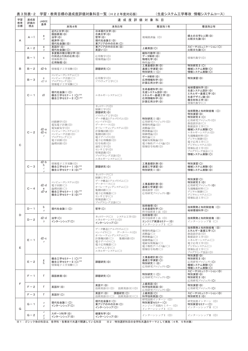|          | 表 3 別表- 2  |                                                                                                                  |                                                                                                      | 学習・教育目標の達成度評価対象科目一覧(H22年度対応版)                                                                                                                                                                                                               |                                                                                                                             | (生産システムエ学専攻 情報システムコース)                                                                                                                                                                                              |
|----------|------------|------------------------------------------------------------------------------------------------------------------|------------------------------------------------------------------------------------------------------|---------------------------------------------------------------------------------------------------------------------------------------------------------------------------------------------------------------------------------------------|-----------------------------------------------------------------------------------------------------------------------------|---------------------------------------------------------------------------------------------------------------------------------------------------------------------------------------------------------------------|
| 学習<br>教育 | 達成度<br>評価の | <b>JABEE</b>                                                                                                     |                                                                                                      |                                                                                                                                                                                                                                             | 達 成 度 評 価 対 象 科 目                                                                                                           |                                                                                                                                                                                                                     |
| 目標       | 視点         | 基準                                                                                                               | 本科4年                                                                                                 | 本科5年                                                                                                                                                                                                                                        | 専攻科1年                                                                                                                       | 専攻科2年                                                                                                                                                                                                               |
| A        | $A - 1$    | a<br>b                                                                                                           | 近代と文学(◎)<br>国語表現(©)<br>法学(©)<br>経済学(◎)<br>現代社会論I(◎)                                                  | 日本現代文学(◎)<br>古典文学(◎)<br>哲学(◎)<br>現代社会論I(©)<br>東アジアの中の日本(O)                                                                                                                                                                                  | 地域経済論 (◎)                                                                                                                   | 郷土の文学と人間(◎)<br>比較文化論(◎)                                                                                                                                                                                             |
|          | $A - 2$    | a<br>b                                                                                                           | 英語IV(©)<br>現代社会論I(O)                                                                                 | 東アジアの中の日本(©)<br>英語V(O)                                                                                                                                                                                                                      | 上級英語(O)                                                                                                                     | スピーチコミュニケーション(O)<br>比較文化論(O)                                                                                                                                                                                        |
|          | $B - 1$    | C                                                                                                                | 多変数の微分積分学(◎)<br>行列式と行列の応用(◎)<br>情報数理(◎)<br>応用物理(◎)                                                   | 応用数学(◎)<br>情報理論(◎)                                                                                                                                                                                                                          | 線形代数学(◎)<br>データ解析(◎)<br>物理化学(◎)<br>物性論(◎)                                                                                   | 情報代数学(◎)                                                                                                                                                                                                            |
| в        | $B - 2$    | $d2-b$                                                                                                           | 情報電子工学実験(◎)                                                                                          | 課題研究(O)                                                                                                                                                                                                                                     | 工業基礎計測(◎)<br>基礎工学演習(©)<br>特別研究 I (O)                                                                                        | 特別研究 II (O)<br>機械システム実験(〇)<br>情報システム実験(O)                                                                                                                                                                           |
|          | $B - 3$    | C<br>$d2-b$                                                                                                      | コンピュータシステム(○)<br>コンピュータ言語(○)<br>プログラミング(◎)<br>情報電子工学実験(○)                                            | 応用数学(◎)<br>ソフトウェア工学(○)                                                                                                                                                                                                                      | データ解析(◎)<br>応用情報科学(◎)<br>計算応用力学(©)                                                                                          | 特別演習(◎)                                                                                                                                                                                                             |
|          | $C - 1$    | d1                                                                                                               | 現代社会論 I (O)<br>複合工学セミナー I (〇)※2<br>複合工学セミナーII (〇)※2                                                  | エネルギーシステム(〇)                                                                                                                                                                                                                                | 生命基礎科学(◎)<br>生産システム設計(◎)<br>エネルギー基礎工学(◎)<br>応用情報科学(◎)<br>計算応用力学(©)                                                          | 地球環境科学(◎)<br>生産システム設計(◎)<br>エネルギー基礎工学(◎)<br>生産デザイン論(◎)<br>複合材料工学(◎)<br>情報代数学(○)                                                                                                                                     |
| C        | $C - 2$    | $d2-a$<br>$d2-c$<br>$\mathcal C$                                                                                 | 回路網学(◎)<br>電気電子計測(◎)<br>電気磁気学(◎)<br>コンピュータシステム(○)<br>コンピュータ言語(©)<br>プログラミング(○)<br>電子回路(◎)<br>論理回路(◎) | ネットワーク(◎)<br>制御工学(◎)<br>課題研究(◎)<br>ソフトウェア工学(◎)<br>データ構造とアルゴリズム(◎)<br>コンパイラ(◎)<br>データベース(◎)<br>オペレーティングシステム(©)<br>計算機回路(◎)<br>集積回路(◎)<br>電子デバイス(◎)<br>電子応用機器(◎)<br>信号処理(◎)<br>通信工学(◎)<br>センサ工学(◎)<br>情報認識(◎)<br>プログラミング言語(◎)<br>エネルギーシステム(○) | 特別研究 I (©)<br>応用研究プロジェクト(◎)<br>弹塑性理論(©)<br>流動論(◎)<br>熱移動論(◎)<br>制御理論(◎)<br>物性論(〇)<br>電磁気現象論(◎)<br>電子物性デバイス論(◎)<br>情報信号処理(◎) | 技術開発と知的財産権 (O)<br>特別演習(◎)<br>特別研究 II (O)<br>応用研究プロジェクト(◎)<br>創造設計法(〇)<br>数值設計工学(〇)<br>機械システム実験(O)<br>エネルギーシステム(◎)<br>先端機能材料(◎)<br>デジタル制御(◎)<br>電子応用工学(○)<br>デジタルシステム(◎)<br>情報伝送工学(©)<br>プログラミング技法(○)<br>情報システム実験(O) |
|          | $C-3$      | $d2-b$<br>h.<br>$\mathcal C$<br>$\theta$                                                                         | 情報電子工学実験(◎)<br>複合工学セミナー I (◎)※2<br>複合工学セミナーⅡ(◎)※2                                                    | 課題研究(◎)                                                                                                                                                                                                                                     | 工業基礎計測(©)<br>基礎工学演習(©)<br>特別研究 I (©)                                                                                        | 特別演習(O)<br>機械システム実験(◎)<br>情報システム実験(◎)                                                                                                                                                                               |
|          | $C - 4$    | $d2-d$<br>e<br>$d2-a$                                                                                            | コンピュータシステム(◎)<br>雷子回路(○)<br>論理回路(○)<br>複合工学セミナー I (◎)※2<br>複合工学セミナーⅡ(◎) <sup>※2</sup>                | ネットワーク(○)<br>制御工学(○)<br>データ構造とアルゴリズム(○)<br>データベース(○)<br>オペレーティングシステム(○)<br>集積回路(○)<br>電子応用機器(○)<br>センサ工学(○)<br>情報認識(○)<br>プログラミング言語(○)                                                                                                      | 工業基礎計測(◎)<br>基礎工学演習(◎)<br>創成演習 (◎)<br>応用研究プロジェクト(◎)                                                                         | 特別演習(O)<br>特別研究Ⅱ(◎)<br>応用研究プロジェクト(◎)<br>先端機能材料(〇)<br>デジタル制御(○)<br>デジタルシステム(○)<br>情報伝送工学(○)                                                                                                                          |
|          | $D-1$      | b<br>a                                                                                                           | 現代社会論 I (O)                                                                                          | 哲学(O)                                                                                                                                                                                                                                       | 技術倫理(◎)<br>生命基礎科学(O)<br>科学技術者と法 (◎)                                                                                         | 技術開発と知的財産権 (O)<br>地球環境科学(O)                                                                                                                                                                                         |
| D        | $D - 2$    | $d2-d$<br>h                                                                                                      | 法学(O)<br>インターンシップ(〇)                                                                                 | ネットワーク(○) システム工学(◎)<br>エネルギーシステム(◎)<br>インターンシップ(〇)                                                                                                                                                                                          | 技術倫理(◎)<br>科学技術者と法 (◎)<br>エンジニア実践セミナー(◎)<br>インターンシップⅠ (○)                                                                   | 技術開発と知的財産権 (◎)<br>インターンシップⅡ(○)                                                                                                                                                                                      |
| E.       | $E - 1$    | $d2-c$<br>$\epsilon$                                                                                             |                                                                                                      | データ構造とアルゴリズム(○)<br>コンパイラ(○)<br>データベース(◎)<br>オペレーティングシステム(○)<br>計算機回路(○)<br>集積回路(◎)<br>電子デバイス(○)<br>電子応用機器(○)<br>システム工学(○)<br>エネルギーシステム(○)                                                                                                   | 弾塑性理論(○)<br>流動論(〇)<br>熱移動論(○)<br>制御理論(〇)<br>電磁気現象論(○)<br>電子物性デバイス論(○)<br>情報信号処理(○)                                          | 技術開発と知的財産権 (◎)<br>エネルギー基礎工学(O)<br>創造設計法(◎)<br>数值設計工学(◎)<br>エネルギーシステム(○)<br>電子応用工学(◎)<br>デジタルシステム(○)<br>情報伝送工学(○)<br>プログラミング技法(◎)                                                                                    |
|          | $E - 2$    | g<br>h.                                                                                                          | 複合工学セミナー I (O)※2<br>複合工学セミナーII(O)※2<br>情報電子工学実験(○)                                                   | 課題研究(◎)                                                                                                                                                                                                                                     | 工業基礎計測(O)<br>基礎工学演習(O)<br>特別研究 I (©)<br>応用研究プロジェクト(〇)                                                                       | 特別演習(◎)<br>特別研究Ⅱ(◎)<br>応用研究プロジェクト(O)<br>機械システム実験(〇)<br>情報システム実験(〇)                                                                                                                                                  |
|          | $F - 1$    | $\mathsf{f}$                                                                                                     | 国語表現(◎)                                                                                              | 課題研究(O)                                                                                                                                                                                                                                     | 特別研究 I (O)<br>応用研究プロジェクト(〇)                                                                                                 | スピーチコミュニケーション(◎)<br>特別演習(◎)<br>特別研究Ⅱ(◎)<br>応用研究プロジェクト(〇)                                                                                                                                                            |
| F        | $F - 2$    | f                                                                                                                | 英語IV(©)                                                                                              | 英語V(©)<br>技術英語(I)(◎)<br>技術英語(E)(◎)                                                                                                                                                                                                          | 上級英語(◎)<br>科学技術英語(◎)<br>応用研究プロジェクト(O)                                                                                       | 特別演習(◎)<br>応用研究プロジェクト(〇)                                                                                                                                                                                            |
|          | $F - 3$    | $\mathsf{f}$                                                                                                     | 英語IV(O)                                                                                              | 課題研究(O)<br>英語V(©)<br>技術英語(I)(○)<br>技術英語(E)(○)                                                                                                                                                                                               | 上級英語(O)<br>科学技術英語(O)                                                                                                        | スピーチコミュニケーション(©)<br>特別研究Ⅱ(◎)                                                                                                                                                                                        |
| G        | $G - 1$    | $\boldsymbol{a}$<br>$\mathcal{E}$                                                                                | 現代社会論 I (O)<br>インターンシップ(〇)                                                                           | 現代社会論I(O)<br>東アジアの中の日本(O)<br>インターンシップ(〇)                                                                                                                                                                                                    | 研究技術インターン (◎)<br>特別実習セミナー(〇)<br>エンジニア実践セミナー (◎)<br>インターンシップⅠ (○)                                                            | 研究技術インターン (◎)<br>特別実習セミナー(〇)<br>インターンシップⅡ (○)                                                                                                                                                                       |
|          | $G - 2$    | $\,e\,$<br>$\mathcal{E}% _{0}^{\prime}=\mathcal{E}_{\mathrm{C}}^{\prime}=\mathcal{E}_{\mathrm{C}}^{\prime}$<br>h | スポーツ科学(◎)<br>インターンシップ(◎)                                                                             | 健康科学(◎)<br>インターンシップ(◎)                                                                                                                                                                                                                      | インターンシップⅠ (◎)                                                                                                               | インターンシップⅡ (◎)                                                                                                                                                                                                       |

ͤ㸯㸸ࢡࢵࢩࢦయࡢ┠⛉ࡣ㸪ྛᏛ⛉࣭ྛᑓᨷ࡛ඹ㏻࡛㛤ㅮࡿ࠸࡚ࡋ┠⛉ ͤ㸰㸸≉ู㑅ᢥ⛉┠ࡢᏛ⛉ඹ㏻࡚ࡋ࣐࣮ࢸࡢᐇ㸦㸲ᖺ㸪㸳ᖺᑐ㇟㸧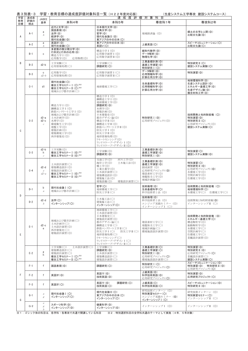| 学習       | 表 3 別表- 3<br>達成度 | <b>JABEE</b>                     | 学習・教育目標の達成度評価対象科目一覧(H22年度対応版)                                                                                                                   |                                                                                                                                                                                                                                              | 達成度評価対象科目                                                                                 | (生産システム工学専攻 建設システムコース)                                                                                  |
|----------|------------------|----------------------------------|-------------------------------------------------------------------------------------------------------------------------------------------------|----------------------------------------------------------------------------------------------------------------------------------------------------------------------------------------------------------------------------------------------|-------------------------------------------------------------------------------------------|---------------------------------------------------------------------------------------------------------|
| 教育<br>目標 | 評価の<br>視点        | 基準                               | 本科4年                                                                                                                                            | 本科5年                                                                                                                                                                                                                                         | 専攻科1年                                                                                     | 専攻科2年                                                                                                   |
| A        | $A-1$            | a<br>b                           | 近代と文学(◎)<br>国語表現(◎)<br>法学(©)<br>経済学(◎)<br>現代社会論Ⅰ(◎)                                                                                             | 日本現代文学(◎)<br>古典文学(◎)<br>哲学(©)<br>現代社会論 II (©)<br>東アジアの中の日本(O)                                                                                                                                                                                | 地域経済論 (◎)                                                                                 | 郷土の文学と人間(◎)<br>比較文化論(◎)                                                                                 |
|          | $A-2$            | a<br>b                           | 英語IV(©)<br>現代社会論I(O)                                                                                                                            | 東アジアの中の日本(◎)<br>英語V(O)                                                                                                                                                                                                                       | 上級英語(O)                                                                                   | スピーチコミュニケーション(〇)<br>比較文化論(O)                                                                            |
| B        | $B-1$            | $\mathbf{C}$                     | 多変数の微分積分学(◎)<br>行列式と行列の応用(◎)<br>構造力学 I (◎)<br>応用数学(◎)<br>応用物理(◎)                                                                                | 構造力学 I (◎)<br>応用数学演習 I (◎)<br>応用数学演習 II (◎)<br>工学実験(〇)                                                                                                                                                                                       | 線形代数学(◎)<br>データ解析(◎)<br>物理化学(◎)<br>工業基礎計測(©)                                              |                                                                                                         |
|          | $B-2$            | $d2-b$                           | 工学実験(〇)<br>応用情報処理(○)                                                                                                                            | 課題研究(O)                                                                                                                                                                                                                                      | 基礎工学演習(©)<br>特別研究 I (O)<br>データ解析(◎)                                                       | 特別研究 II (O)<br>建設システム実験(O)                                                                              |
|          | $B-3$            | $\mathbf{C}$<br>$d2-b$           | 応用数学(◎)<br>応用情報処理(◎)<br>現代社会論I(O)                                                                                                               | 応用数学演習Ⅰ(○)<br>応用数学演習Ⅱ(○)                                                                                                                                                                                                                     | 応用情報科学(◎)<br>計算応用力学(©)                                                                    | 特別演習(◎)<br>地球環境科学(©)                                                                                    |
|          | $C-1$            | d1                               | 複合工学セミナー I (〇)※2<br>複合工学セミナーⅡ(O)※2<br>地域および都市計画(○)                                                                                              | 地球環境工学(○)                                                                                                                                                                                                                                    | 生命基礎科学(◎)<br>応用情報科学(◎)<br>計算応用力学(©)                                                       | 生産システム設計(◎)<br>エネルギー基礎工学(©)<br>生産デザイン論(◎)<br>複合材料工学(©)                                                  |
| C        | $C-2$            | $d2-a$<br>$d2-c$<br>$\mathcal C$ | 構造力学 I (◎)<br>鋼構造工学 I (◎)<br>鉄筋コンクリート工学 I (◎)<br>地域および都市計画(◎)<br>土木計画学(◎)<br>水理学(©)<br>環境衛生工学(◎)<br>地盤工学(◎)<br>建築計画(◎)<br>建築環境工学(◎)<br>西洋建築史(◎) | 構造力学 I (◎)<br>鋼構造工学 I (◎)<br>地球環境工学(◎)<br>課題研究(◎)<br>水理学(◎)<br>建築計画(◎)<br>日本建築史(◎)<br>都市デザイン論(◎)<br>構造力学Ⅱ(◎)<br>鋼構造工学Ⅱ(◎)<br>鉄筋コンクリート工学Ⅱ(◎)<br>防災工学 I (◎)<br>防災工学Ⅱ(◎)<br>地形情報処理(◎)<br>リモートセンシング(◎)<br>ランドスケープ・デザイン I (◎)<br>ランドスケープ・デザインⅡ(◎) | 特別研究 I (©)<br>応用研究プロジェクト(◎)                                                               | 技術開発と知的財産権 (O)<br>特別演習(◎)<br>特別研究 II (O)<br>応用研究プロジェクト(◎)<br>建設システム実験(O)                                |
|          | $C-3$            | $d2-b$<br>h<br>$\boldsymbol{c}$  | 工学実験(◎)<br>複合工学セミナー I (◎)※2<br>複合工学セミナーⅡ(◎)※2                                                                                                   | 工学実験(◎)<br>課題研究(◎)                                                                                                                                                                                                                           | 工業基礎計測(©)<br>基礎工学演習(©)<br>特別研究 I (©)                                                      | 特別演習(O)<br>建設システム実験(◎)                                                                                  |
|          | $C-4$            | $d2-d$<br>$\epsilon$<br>$d2-a$   | 土木設計演習(○)<br>建築構造設計(◎)<br>建築設計演習(〇)<br>複合工学セミナー I (◎)※2<br>複合工学セミナーⅡ(◎) <sup>※2</sup>                                                           | 交通工学(◎)<br>河川工学(◎)<br>海岸工学(◎)<br>土木施工法(◎)<br>橋工学(◎)<br>工業火薬学(◎)<br>土木設計演習(○)<br>建築構造設計(◎)<br>建築施工法(◎)<br>建築設備(◎)<br>建築設計演習(〇)                                                                                                                | 工業基礎計測(◎)<br>基礎工学演習(©)<br>創成演習 (◎)<br>応用研究プロジェクト(◎)<br>建設素材工学(◎)<br>地盤保全工学(◎)<br>地域計画論(◎) | 特別演習(O)<br>特別研究 II (©)<br>応用研究プロジェクト(◎)<br>水環境工学(◎)<br>空間計画学(◎)<br>住環境工学(◎)                             |
| D        | $D-1$            | b<br>$\mathfrak{a}$              | 現代社会論 I (O)<br>地域および都市計画(○)                                                                                                                     | 哲学(○)<br>地球環境工学(○)<br>防災工学Ⅱ(○)                                                                                                                                                                                                               | 技術倫理(◎)<br>生命基礎科学(O)<br>科学技術者と法 (◎)                                                       | 技術開発と知的財産権 (O)<br>地球環境科学(O)<br>水環境工学(○) 住環境工学(○)                                                        |
|          | $D-2$            | d2-d<br>h                        | 法学(O)<br>インターンシップ(〇)                                                                                                                            | 土木施工法(○)<br>建築施工法(○)<br>インターンシップ(〇)                                                                                                                                                                                                          | 技術倫理(6)<br>科学技術者と法 (◎)<br>エンジニア実践セミナー (◎)<br>インターンシップ I (O)                               | 技術開発と知的財産権(◎)<br>インターンシップⅡ(○)                                                                           |
| Ε        | $E-1$            | $d2-c$<br>e                      | 地域および都市計画(○)<br>土木計画学(○)<br>土木設計演習(◎)<br>西洋建築史(○)<br>建築設計演習(◎)                                                                                  | 地球環境工学(○)<br>土木設計演習(◎)<br>日本建築史(〇)<br>建築設計演習(◎)<br>都市デザイン論(○)<br>鋼構造工学Ⅱ(○)<br>鉄筋コンクリート工学Ⅱ(○)<br>防災工学Ⅰ(○)<br>防災工学Ⅱ(○)<br>地形情報処理(○)<br>リモートセンシング(○)<br>ランドスケープ・デザイン Ⅰ (○)<br>ランドスケープ・デザイン II (○)                                               | 建設素材工学(〇)<br>地盤保全工学(○)<br>地域計画論(〇)<br>環境施設設計演習(◎)                                         | 技術開発と知的財産権 (◎)<br>エネルギー基礎工学(O)<br>構造解析学(◎)<br>振動解析学(◎)<br>水環境工学(○)<br>空間計画学(○)<br>住環境工学(○)<br>景観設計演習(◎) |
|          | $E-2$            | g<br>h                           | 工学実験(〇)<br>土木設計演習(○)<br>建築構造設計(〇)<br>建築設計演習(〇)<br>複合工学セミナー I (O)※2<br>複合工学セミナーII(O)※2                                                           | 工学実験(〇)<br>課題研究(◎)<br>土木設計演習(○)<br>建築構造設計(○)<br>建築設計演習(〇)                                                                                                                                                                                    | 工業基礎計測(O)<br>基礎工学演習(O)<br>特別研究 I (©)<br>応用研究プロジェクト(〇)<br>環境施設設計演習(〇)                      | 特別演習(◎)<br>特別研究Ⅱ(◎)<br>応用研究プロジェクト(O)<br>景観設計演習(〇)<br>建設システム実験(〇)                                        |
|          | $F-1$            | f                                | 国語表現(◎)                                                                                                                                         | 課題研究(O)                                                                                                                                                                                                                                      | 特別研究 I (O)<br>応用研究プロジェクト(O)                                                               | スピーチコミュニケーション(©)<br>特別演習(◎) 特別研究Ⅱ(◎)<br>応用研究プロジェクト(O)                                                   |
| F        | $F-2$            | f                                | 英語IV(©)                                                                                                                                         | 英語V(©)<br>技術英語(©)                                                                                                                                                                                                                            | 上級英語(◎)<br>科学技術英語(©)<br>応用研究プロジェクト(O)                                                     | 特別演習(◎)<br>応用研究プロジェクト(〇)                                                                                |
|          | $F-3$            | $\mathsf{f}$                     | 英語IV(O)                                                                                                                                         | 英語V(◎)<br>課題研究(O)<br>技術英語(O)                                                                                                                                                                                                                 | 上級英語(O)<br>科学技術英語(O)                                                                      | スピーチコミュニケーション(◎)<br>特別研究 II (©)                                                                         |
| G        | $G-1$            | $\partial$<br>$\mathcal{E}$      | 現代社会論 I (O)<br>インターンシップ(〇)                                                                                                                      | 現代社会論 II (O)<br>東アジアの中の日本(O)<br>インターンシップ(〇)                                                                                                                                                                                                  | 研究技術インターン (◎)<br>特別実習セミナー(〇)<br>エンジニア実践セミナー (©)<br>インターンシップ I (O)                         | 研究技術インターン (◎)<br>特別実習セミナー(〇)<br>インターンシップⅡ (○)                                                           |
|          | $G-2$            | $\boldsymbol{e}$<br>g<br>h       | スポーツ科学(©)<br>インターンシップ(◎)                                                                                                                        | 健康科学(◎)<br>インターンシップ(◎)                                                                                                                                                                                                                       | インターンシップⅠ (◎)                                                                             | インターンシップⅡ(◎)                                                                                            |
|          |                  |                                  | ※1:ゴシック体の科目は,各学科・各専攻で共通で開講している科目――※2:特別選択科目の全学科共通のテーマとして実施(4年,5年対象)                                                                             |                                                                                                                                                                                                                                              |                                                                                           |                                                                                                         |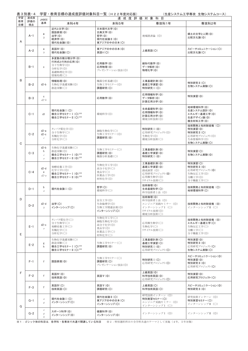| 表3別表-4 学習・教育目標の達成度評価対象科目一覧(H22年度対応版) | (生産システム工学専攻 生物システムコース) |
|--------------------------------------|------------------------|

| 学習<br>教育 | 達成度<br>評価の | <b>JABEE</b>                                                                                                                                |                                                                             |                                                                     | 達成度評価対象科目                                                                             |                                                                                       |  |  |  |  |
|----------|------------|---------------------------------------------------------------------------------------------------------------------------------------------|-----------------------------------------------------------------------------|---------------------------------------------------------------------|---------------------------------------------------------------------------------------|---------------------------------------------------------------------------------------|--|--|--|--|
| 目標       | 視点         | 基準                                                                                                                                          | 本科4年                                                                        | 本科5年                                                                | 専攻科1年                                                                                 | 専攻科2年                                                                                 |  |  |  |  |
| A        | $A-1$      | a<br>b                                                                                                                                      | 近代と文学(◎)<br>国語表現(6)<br>法学(©)<br>経済学(◎)<br>現代社会論[(6)                         | 日本現代文学(◎)<br>古典文学(◎)<br>哲学(©)<br>現代社会論I(©)<br>東アジアの中の日本(O)          | 地域経済論 (◎)                                                                             | 郷土の文学と人間(◎)<br>比較文化論(◎)                                                               |  |  |  |  |
|          | $A-2$      | a<br>$\boldsymbol{b}$                                                                                                                       | 英語IV(©)<br>現代社会論I(O)                                                        | 東アジアの中の日本(◎)<br>英語V(O)                                              | 上級英語(O)                                                                               | スピーチコミュニケーション(O)<br>比較文化論(O)                                                          |  |  |  |  |
|          | $B-1$      | C                                                                                                                                           | 多変数の微分積分学(◎)<br>行列式と行列の応用(◎)<br>分子生物学(◎)<br>分析化学(◎)<br>基礎物理化学(©)<br>情報処理(○) | 応用数学(◎)<br>応用物理(◎)<br>プレゼンテーション技法(©)                                | 線形代数学(◎)<br>データ解析(◎)<br>物理化学(◎)                                                       |                                                                                       |  |  |  |  |
| B        | $B-2$      | $d2-b$                                                                                                                                      | 情報処理(◎)<br>生物化学基礎実験(◎)<br>創造実験(○)                                           | 機器分析基礎(◎)<br>生物工学セミナー(◎)<br>課題研究(O)                                 | 工業基礎計測(©)<br>基礎工学演習(©)<br>特別研究 I (O)                                                  | 特別研究 II (O)<br>生物システム実験(O)                                                            |  |  |  |  |
|          | $B-3$      | C<br>$d2-b$                                                                                                                                 |                                                                             | 応用情報科学(©)<br>応用数学(◎)<br>データ解析(◎)<br>計算応用力学(©)                       |                                                                                       | 特別演習(◎)                                                                               |  |  |  |  |
|          | $C-1$      | d1                                                                                                                                          | 現代社会論 I (O)<br>複合工学セミナー I (〇)※2<br>複合工学セミナーII (O)※2                         | 環境科学(◎)                                                             | 生命基礎科学(◎)<br>応用情報科学(◎)<br>計算応用力学(◎)<br>環境分析技術(◎)                                      | 地球環境科学(◎)<br>生産システム設計(◎)<br>エネルギー基礎工学(◎)<br>生産デザイン論(◎)<br>複合材料工学(©)                   |  |  |  |  |
| C        | $C-2$      | $d2-a$<br>$d2-c$<br>$\boldsymbol{c}$                                                                                                        | タンパク質化学(◎)<br>分子生物学(〇)<br>有機化学(◎)<br>分析化学(○)                                | 細胞生物化学(〇)<br>生物工学セミナー(◎)<br>課題研究(◎)                                 | 特別研究 I (©)<br>応用研究プロジェクト(◎)<br>生物化学(◎)<br>環境分析技術(〇)                                   | 技術開発と知的財産権 (O)<br>特別演習(◎)<br>特別研究 II (O)<br>応用研究プロジェクト(◎)<br>生命情報科学(◎)<br>生物システム実験(O) |  |  |  |  |
|          | $C-3$      | $d2-b$<br>h<br>$\boldsymbol{c}$<br>$\boldsymbol{e}$                                                                                         | 生物化学基礎実験(○)<br>創造実験(◎)<br>複合工学セミナー I (◎)※2<br>複合工学セミナーII (◎)※2              | 生物工学セミナー(○)<br>課題研究(◎)<br>機器分析基礎(○)                                 | 工業基礎計測(◎)<br>基礎工学演習(©)<br>特別研究 I (◎)                                                  | 特別演習(O)<br>生物システム実験(◎)                                                                |  |  |  |  |
|          | $C-4$      | $d2-d$<br>e<br>$d2-a$                                                                                                                       | 発酵培養工学(◎)<br>化学工学1(◎)<br>複合工学セミナー I (◎)※2<br>複合工学セミナーⅡ(◎)※2                 | 生物化学工学(◎)<br>高分子化学(○)<br>食品学(○)<br>医薬品工学(◎)<br>材料化学(◎)              | 工業基礎計測(©)<br>基礎工学演習(©)<br>創成演習 (◎)<br>応用研究プロジェクト(◎)<br>応用微生物学(◎)<br>リサイクル技術(○)        | 特別演習(O)<br>特別研究 II (©)<br>応用研究プロジェクト(◎)<br>生物反応工学(◎)<br>分離工学(◎)<br>分子機能工学(〇)          |  |  |  |  |
|          | $D-1$      | b<br>$\mathcal{A}$                                                                                                                          | 現代社会論 I (O)                                                                 | 哲学(O)<br>環境科学(〇)                                                    | 技術倫理(◎)<br>生命基礎科学(O)<br>科学技術者と法 (◎)                                                   | 技術開発と知的財産権 (O)<br>地球環境科学(O)                                                           |  |  |  |  |
| D        | $D-2$      | $d2-d$<br>$\boldsymbol{b}$                                                                                                                  | 法学(O)<br>インターンシップ(〇)                                                        | 安全工学(◎)<br>生命倫理学(◎)<br>生物工学関連法規(◎)<br>インターンシップ(〇)                   | 技術倫理(©)<br>科学技術者と法 (◎)<br>エンジニア実践セミナー (©)<br>インターンシップⅠ (○)<br>リサイクル技術(◎)<br>環境分析技術(〇) | 技術開発と知的財産権 (◎)<br>インターンシップⅡ (○)                                                       |  |  |  |  |
| E        | $E-1$      | $d2-c$<br>$\boldsymbol{e}$                                                                                                                  | タンパク質化学(○)<br>分子生物学(〇)<br>発酵培養工学(○)<br>有機化学(○)<br>分析化学(〇)                   | 生物化学工学(〇)<br>細胞生物化学(◎)<br>高分子化学(◎)<br>食品学(◎)<br>医薬品工学(〇)<br>材料化学(○) | 応用微生物学(○)<br>生物化学(○)<br>リサイクル技術(○)                                                    | 技術開発と知的財産権 (◎)<br>エネルギー基礎工学(O)<br>生物反応工学(〇)<br>分離工学(〇)<br>分子機能工学(◎)                   |  |  |  |  |
|          | $E-2$      | g<br>h                                                                                                                                      | 生物化学基礎実験(○)<br>創造実験(○)<br>複合工学セミナー I (O)※2<br>複合工学セミナー II (〇) ※2            | 生物工学セミナー(○)<br>課題研究(◎)                                              | 工業基礎計測(O)<br>基礎工学演習(O)<br>特別研究 I (©)<br>応用研究プロジェクト(O)                                 | 特別演習(◎)<br>特別研究 II (©)<br>応用研究プロジェクト(O)<br>生物システム実験(O)                                |  |  |  |  |
|          | $F-1$      | f                                                                                                                                           | 国語表現(◎)                                                                     | 生物工学セミナー(○)<br>課題研究(〇)<br>プレゼンテーション技法(◎)                            | 特別研究 I (O)<br>応用研究プロジェクト(O)                                                           | スピーチコミュニケーション(◎)<br>特別演習(◎)<br>特別研究 II (◎)<br>応用研究プロジェクト(O)                           |  |  |  |  |
| F        | $F-2$      | f                                                                                                                                           | 英語IV(©)<br>技術英語(◎)                                                          | 英語V(©)                                                              | 上級英語(◎)<br>科学技術英語(◎)<br>応用研究プロジェクト(O)                                                 | 特別演習(◎)<br>応用研究プロジェクト(〇)                                                              |  |  |  |  |
|          | $F-3$      | f                                                                                                                                           | 英語IV(O)<br>技術英語(O)                                                          | 英語V(©)<br>課題研究(〇)                                                   | 上級英語(〇)<br>科学技術英語(O)                                                                  | スピーチコミュニケーション(◎)<br>特別研究 II (©)                                                       |  |  |  |  |
| G        | $G-1$      | $\boldsymbol{a}$<br>$\mathcal{G}% _{F}=\mathcal{G}_{F}\!\left( \mathcal{G}_{F}\right) \equiv\mathcal{G}_{F}\!\left( \mathcal{G}_{F}\right)$ | 現代社会論 I (O)<br>インターンシップ(〇)                                                  | 現代社会論 II (O)<br>東アジアの中の日本(〇)<br>インターンシップ(〇)                         | 研究技術インターン (◎)<br>特別実習セミナー(〇)<br>エンジニア実践セミナー (©)<br>インターンシップ I (〇)                     | 研究技術インターン (◎)<br>特別実習セミナー(〇)<br>インターンシップⅡ(○)                                          |  |  |  |  |
|          | $G-2$      | $\boldsymbol{e}$<br>$\mathcal{E}$<br>h                                                                                                      | スポーツ科学(◎)<br>インターンシップ(◎)                                                    | 健康科学(◎)<br>インターンシップ(◎)                                              | インターンシップI(◎)                                                                          | インターンシップⅡ (◎)                                                                         |  |  |  |  |

**◯ 1: ゴシック体の科目は、各学科・各専攻で共通で開講している科目** ※2:特別選択科目の全学科共通のテーマとして実施(4年, 5年対象)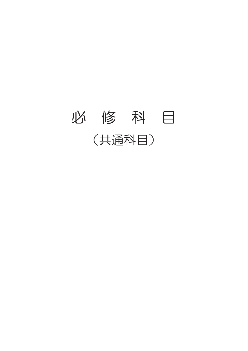### 必 修 科 目 (共通科目)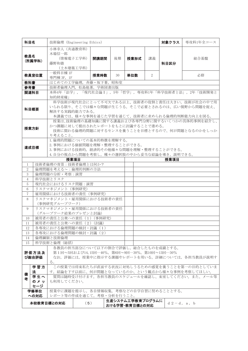| 科目名                                                                                                                                                                      |                                                                                                                                                                                                | 技術倫理 (Engineering Ethics)<br>対象クラス<br>専攻科1年全コース         |  |      |    |      |                |      |                                                       |  |  |
|--------------------------------------------------------------------------------------------------------------------------------------------------------------------------|------------------------------------------------------------------------------------------------------------------------------------------------------------------------------------------------|---------------------------------------------------------|--|------|----|------|----------------|------|-------------------------------------------------------|--|--|
| 教員名                                                                                                                                                                      | (所属学科)                                                                                                                                                                                         | 小林幸人 (共通教育科)<br>木場信一郎<br>(情報電子工学科)<br>藤野和徳<br>(土木建築工学科) |  | 開講期間 | 後期 | 授業形式 | 講義             | 科目区分 | 総合基盤                                                  |  |  |
|                                                                                                                                                                          | 教員室位置                                                                                                                                                                                          | 一般科目棟 1F<br>専門棟 3F, 1F                                  |  | 授業時数 | 30 | 単位数  | $\overline{2}$ |      | 必修                                                    |  |  |
| 教科書                                                                                                                                                                      |                                                                                                                                                                                                | はじめての工学倫理, 斉藤·坂下著, 昭和堂                                  |  |      |    |      |                |      |                                                       |  |  |
| 参考書                                                                                                                                                                      |                                                                                                                                                                                                | 技術者倫理入門, 松島他著, 学術図書出版                                   |  |      |    |      |                |      |                                                       |  |  |
| 関連科目                                                                                                                                                                     |                                                                                                                                                                                                | 知的財産権」                                                  |  |      |    |      |                |      | 本科4年「法学」, 「現代社会論 I」, 5年「哲学」, 専攻科1年「科学技術者と法」, 2年「技術開発と |  |  |
| 科学技術が現代社会にとって不可欠である以上、技術者の役割と責任は大きい。技術が社会の中で用<br>いられる限り、そこでは様々な問題が生じうる。そこで必要とされるのは、広い視野から問題を捉え、<br>科目概要<br>解決する実践的能力である。<br>本講義では、様々な事例を通じた学習を通じて、技術者に求められる倫理的判断能力向上を図る。 |                                                                                                                                                                                                |                                                         |  |      |    |      |                |      |                                                       |  |  |
|                                                                                                                                                                          | 授業は、技術倫理の基礎知識に関する講義および各専門分野に関するいくつかの具体的事例を紹介し、<br>かつ課題に対して提出されたレポートをもとに討議することで進める。<br>授業方針<br>技術に関わる倫理的問題に対するセンスを養うことを目標とするので、何が問題となるのかをしっか<br>り考えること。                                         |                                                         |  |      |    |      |                |      |                                                       |  |  |
| 1. 倫理的問題についての基本的特徴を理解する。<br>2. 事例における価値問題を理解・整理することができる。<br>達成目標<br>3.事例における技術的, 経済的その他様々な問題を理解・整理することができる。<br>4. 自分の視点から問題を考察し、種々の選択肢の中から妥当な結論を導き、説明できる。                |                                                                                                                                                                                                |                                                         |  |      |    |      |                |      |                                                       |  |  |
| 授業項目<br>授業項目                                                                                                                                                             |                                                                                                                                                                                                |                                                         |  |      |    |      |                |      |                                                       |  |  |
| 技術者倫理の背景:技術者倫理とは何か?<br>1                                                                                                                                                 |                                                                                                                                                                                                |                                                         |  |      |    |      |                |      |                                                       |  |  |
| $\overline{2}$                                                                                                                                                           |                                                                                                                                                                                                | 倫理問題を考える~:倫理的判断の方法                                      |  |      |    |      |                |      |                                                       |  |  |
| 3<br>$\overline{4}$                                                                                                                                                      |                                                                                                                                                                                                | 倫理問題の分析・考察:演習<br>科学技術とリスク                               |  |      |    |      |                |      |                                                       |  |  |
| 5                                                                                                                                                                        |                                                                                                                                                                                                | 現代社会におけるリスク問題:演習                                        |  |      |    |      |                |      |                                                       |  |  |
| 6                                                                                                                                                                        |                                                                                                                                                                                                | リスクマネジメント (事例研究)                                        |  |      |    |      |                |      |                                                       |  |  |
| $\tau$                                                                                                                                                                   |                                                                                                                                                                                                | 雇用関係における技術者の責任(事例研究)                                    |  |      |    |      |                |      |                                                       |  |  |
| 8                                                                                                                                                                        |                                                                                                                                                                                                | リスクマネジメント・雇用関係における技術者の責任<br>(事例研究グループワーク)               |  |      |    |      |                |      |                                                       |  |  |
| 9                                                                                                                                                                        |                                                                                                                                                                                                | リスクマネジメント・雇用関係における技術者の責任                                |  |      |    |      |                |      |                                                       |  |  |
|                                                                                                                                                                          |                                                                                                                                                                                                | (グループワーク結果のプレゼンと討論)                                     |  |      |    |      |                |      |                                                       |  |  |
| 10                                                                                                                                                                       |                                                                                                                                                                                                | 被用者の責任と公衆への責任 (1) (事例研究)                                |  |      |    |      |                |      |                                                       |  |  |
| 11                                                                                                                                                                       |                                                                                                                                                                                                | 被用者の責任と公衆への責任 (2) (計議)                                  |  |      |    |      |                |      |                                                       |  |  |
| 12                                                                                                                                                                       |                                                                                                                                                                                                | 各専攻における倫理問題の検討·討議(1)                                    |  |      |    |      |                |      |                                                       |  |  |
| 13                                                                                                                                                                       |                                                                                                                                                                                                | 各専攻における倫理問題の検討・討議 (2)                                   |  |      |    |      |                |      |                                                       |  |  |
| 14                                                                                                                                                                       |                                                                                                                                                                                                | 倫理綱領と技術倫理                                               |  |      |    |      |                |      |                                                       |  |  |
| 15                                                                                                                                                                       |                                                                                                                                                                                                | 科学技術と倫理 (総括)                                            |  |      |    |      |                |      |                                                       |  |  |
|                                                                                                                                                                          | 各教員の担当部分について以下の割合で評価し、総合したものを成績とする。<br>第1回~5回および14.15回…40%, 第6回~9回…30%, 第10回~13回…30%<br>評価方法及<br>なお、評価には、授業中に指示する課題やレポートを用いる。詳細については、各担当教員が説明す<br>び総合評価<br>る。                                  |                                                         |  |      |    |      |                |      |                                                       |  |  |
| 備<br>者                                                                                                                                                                   | 学習方<br>この授業では将来私たちが直面する状況に対処しうるための感覚を養うことを第一の目的としていま<br>す。結論を下す以前に、何が問題となっているのか、という観点から様々な事例を考察してほしい。<br>法<br>学生へ<br>質問は随時受け付けます。各担当教員のスケジュールを確認し、来室してください。また、メール等<br>のメッ<br>も利用してください。<br>セージ |                                                         |  |      |    |      |                |      |                                                       |  |  |
|                                                                                                                                                                          | 学修単位                                                                                                                                                                                           | 授業中に課題を提示し,各自情報収集,考察などの自学自習に努めることとする。                   |  |      |    |      |                |      |                                                       |  |  |
| への対応<br>レポート等の作成を通じて、考察・分析を行うこと。<br>生産システム工学教育プログラムに<br>本校教育目標との対応<br>(5)<br>$d2-d$ , a, b<br>おける学習・教育目標との対応                                                             |                                                                                                                                                                                                |                                                         |  |      |    |      |                |      |                                                       |  |  |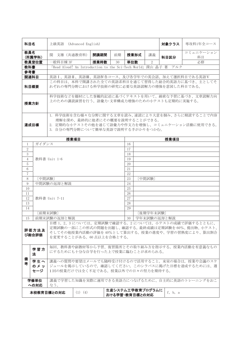| 科目名                                                                                                                                                                                                                    |                                                                       | 上級英語 (Advanced English)                    |             |                               |    |                                    |                | 対象クラス                                                          | 専攻科1年全コース                                                                                            |  |  |
|------------------------------------------------------------------------------------------------------------------------------------------------------------------------------------------------------------------------|-----------------------------------------------------------------------|--------------------------------------------|-------------|-------------------------------|----|------------------------------------|----------------|----------------------------------------------------------------|------------------------------------------------------------------------------------------------------|--|--|
| 教員名                                                                                                                                                                                                                    | (所属学科)                                                                | 関 文雄 (共通教育科)                               |             | 開講期間                          | 前期 | 授業形式                               | 講義             | 科目区分                                                           | コミュニケーション<br>科目                                                                                      |  |  |
|                                                                                                                                                                                                                        | 教員室位置                                                                 | 一般科目棟 3F                                   |             | 授業時数                          | 30 | 単位数                                | $\overline{2}$ |                                                                | 必修                                                                                                   |  |  |
| 教科書                                                                                                                                                                                                                    |                                                                       |                                            |             |                               |    |                                    |                | 「Read Aloud! An Introduction to the Sci-Tech World」深山 晶子 著 アルク |                                                                                                      |  |  |
| 参考書                                                                                                                                                                                                                    |                                                                       |                                            |             |                               |    |                                    |                |                                                                |                                                                                                      |  |  |
| 関連科目                                                                                                                                                                                                                   |                                                                       |                                            |             |                               |    |                                    |                |                                                                | 英語I、英語II、英語II、英語IV各コース、及び各学年での英会話、加えて選択科目である英語V                                                      |  |  |
| 科目概要                                                                                                                                                                                                                   |                                                                       | れぞれの専門分野における科学技術の研究に必要な英語読解力の増強を意図した科目である。 |             |                               |    |                                    |                |                                                                | この科目は、本科で開講された全ての英語系科目を通じて習得した総合的英語力に基づき、主としてそ                                                       |  |  |
| 授業方針                                                                                                                                                                                                                   |                                                                       | 上のための講読演習を行う。語彙力・文章構成力増強のための小テストも定期的に実施する。 |             |                               |    |                                    |                |                                                                | 科学技術などを題材にした客観的記述に基づくテキストを用いて、綿密な予習に基づき、文章読解力向                                                       |  |  |
| 達成目標                                                                                                                                                                                                                   |                                                                       | 3. 自分の専門分野について簡単な英語で説明する手がかりをつかむ。          |             | 理解を深め、最終的に他者にその概要を説明することができる。 |    |                                    |                |                                                                | 1. 科学技術を含む様々な分野に関する文章を読み、速読により大意を掴み、さらに精読することで内容<br>2. 定期的な小テストその他を通じて語彙力や作文力を増強し、コミュニケーション活動に使用できる。 |  |  |
|                                                                                                                                                                                                                        |                                                                       |                                            | 授業項目        |                               |    |                                    |                | 授業項目                                                           |                                                                                                      |  |  |
| 1                                                                                                                                                                                                                      | ガイダンス                                                                 |                                            |             |                               |    | 16                                 |                |                                                                |                                                                                                      |  |  |
| $\overline{2}$                                                                                                                                                                                                         |                                                                       |                                            |             |                               |    | 17                                 |                |                                                                |                                                                                                      |  |  |
| 3                                                                                                                                                                                                                      |                                                                       |                                            |             |                               |    | 18                                 |                |                                                                |                                                                                                      |  |  |
| $\overline{4}$                                                                                                                                                                                                         |                                                                       | 教科書 Unit 1-6                               |             |                               |    | 19                                 |                |                                                                |                                                                                                      |  |  |
| 5                                                                                                                                                                                                                      |                                                                       |                                            |             |                               |    | 20                                 |                |                                                                |                                                                                                      |  |  |
| 6                                                                                                                                                                                                                      |                                                                       |                                            |             |                               |    | 21                                 |                |                                                                |                                                                                                      |  |  |
| $\overline{7}$                                                                                                                                                                                                         |                                                                       |                                            |             |                               |    | 22                                 |                |                                                                |                                                                                                      |  |  |
| 8                                                                                                                                                                                                                      | [中間試験]                                                                |                                            |             |                               |    | 23                                 | [中間試験]         |                                                                |                                                                                                      |  |  |
| 9<br>10                                                                                                                                                                                                                |                                                                       | 中間試験の返却と解説                                 |             |                               |    | 24<br>25                           |                |                                                                |                                                                                                      |  |  |
| 11                                                                                                                                                                                                                     |                                                                       |                                            |             |                               |    | 26                                 |                |                                                                |                                                                                                      |  |  |
| 12                                                                                                                                                                                                                     |                                                                       | 教科書 Unit 7-11                              |             |                               |    | 27                                 |                |                                                                |                                                                                                      |  |  |
| 13                                                                                                                                                                                                                     |                                                                       |                                            |             |                               |    | 28                                 |                |                                                                |                                                                                                      |  |  |
| 14                                                                                                                                                                                                                     |                                                                       |                                            |             |                               |    | 29                                 |                |                                                                |                                                                                                      |  |  |
|                                                                                                                                                                                                                        |                                                                       | [前期末試験]                                    |             |                               |    |                                    | [後期学年末試験]      |                                                                |                                                                                                      |  |  |
| 15                                                                                                                                                                                                                     |                                                                       |                                            |             |                               |    | 学年末試験の返却と解説<br>30                  |                |                                                                |                                                                                                      |  |  |
| 前期末試験の返却と解説<br>│目標 1、2、3 については、定期試験で確認する。2 については、小テストの成績で評価するとともに、<br>定期試験の一部にこの形式の問題を出題し、確認する。最終成績は定期試験を60%、提出物、小テスト、<br>評価方法及<br>そしてその他授業内活動の評価を40%として算出する。授業の進度や、学習の習熟度により、算出割合<br>び総合評価<br>を変更することがある。60点以上を合格とする。 |                                                                       |                                            |             |                               |    |                                    |                |                                                                |                                                                                                      |  |  |
| 毎回、教科書や副教材等から予習、復習箇所とその取り組み方を指示する。授業内活動を有意義なもの<br>学習方<br>にするためにも十分な自学を行った上で授業に臨むことが求められる。<br>法                                                                                                                         |                                                                       |                                            |             |                               |    |                                    |                |                                                                |                                                                                                      |  |  |
| 備<br>学生へ<br>講義への質問や要望はメールでも随時受け付けるので活用すること。来室の場合は、授業や会議のスケ<br>者<br>ジュールを掲示しているので、確認してください。このシラバスに掲げた目標を達成するためには、週<br>のメッ<br>1回の授業だけでは全く不足である。授業以外での日々の努力を期待する。<br>セージ                                                  |                                                                       |                                            |             |                               |    |                                    |                |                                                                |                                                                                                      |  |  |
|                                                                                                                                                                                                                        | 講義で学習した知識を実際に運用できる英語力につなげるために、自主的に英語のトレーニングをおこ<br>学修単位<br>への対応<br>なう。 |                                            |             |                               |    |                                    |                |                                                                |                                                                                                      |  |  |
|                                                                                                                                                                                                                        |                                                                       | 本校教育目標との対応                                 | $(1)$ $(4)$ |                               |    | 生産システム工学教育プログラムに<br>おける学習・教育目標との対応 |                | f, b, a                                                        |                                                                                                      |  |  |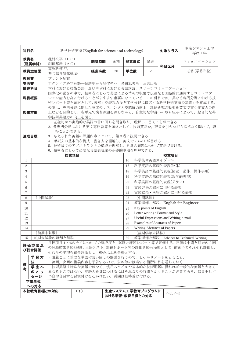| 科目名                                           |                                                                                                                                                                                                                                                                          |                                        |     | 科学技術英語 (English for science and technology) |    |                                    |                       | 対象クラス                                        | 生産システム工学<br>専攻1年                                                                                                                                    |  |
|-----------------------------------------------|--------------------------------------------------------------------------------------------------------------------------------------------------------------------------------------------------------------------------------------------------------------------------|----------------------------------------|-----|---------------------------------------------|----|------------------------------------|-----------------------|----------------------------------------------|-----------------------------------------------------------------------------------------------------------------------------------------------------|--|
| 教員名                                           | (所属学科)                                                                                                                                                                                                                                                                   | 種村公平 (BC)<br>渕田邦彦 (AC)                 |     | 開講期間                                        | 後期 | 授業形式                               | 講義                    | 科目区分                                         | コミュニケーション                                                                                                                                           |  |
|                                               | 教員室位置                                                                                                                                                                                                                                                                    | 専攻科棟 3F,<br>共同教育研究棟 2F                 |     | 授業時数                                        | 30 | 単位数                                | $\overline{2}$        |                                              | 必修(学修単位)                                                                                                                                            |  |
| 教科書                                           |                                                                                                                                                                                                                                                                          | プリント配布                                 |     |                                             |    |                                    |                       |                                              |                                                                                                                                                     |  |
| 参考書                                           |                                                                                                                                                                                                                                                                          | アクティブ科学英語–読解型から発信型へ 多田旭男ら 三共出版         |     |                                             |    |                                    |                       |                                              |                                                                                                                                                     |  |
| 関連科目                                          |                                                                                                                                                                                                                                                                          | 本科における技術英語、及び専攻科における英語講読、スピーチコミュニケーション |     |                                             |    |                                    |                       |                                              |                                                                                                                                                     |  |
| 科目概要                                          |                                                                                                                                                                                                                                                                          |                                        |     |                                             |    |                                    |                       |                                              | 国際化の動きの中で、技術者にとって英語による情報の収集や伝達など国際的に通用するコミュニケー<br>ション能力を身に付けることがますます重要になっている。この科目では、異なる専門分野における技<br>術レポート等を題材として,読解力や表現力など工学分野に適応する科学技術英語の基礎力を養成する. |  |
| 授業方針                                          |                                                                                                                                                                                                                                                                          | 学技術英語力の向上を図る.                          |     |                                             |    |                                    |                       |                                              | 授業は、専門分野に関した英文のリスニング力や読解力向上、課題研究の概要を英文で書く作文力の向<br>上などを目的とし、各単元で演習課題を課しながら、自主的な学習への取り組みによって、総合的な科                                                    |  |
|                                               | 1. 基礎的かつ実践的な英語の言い回しを聞き取り、理解し、書くことができる.<br>2. 各専門分野における英文専門書等を題材として、技術英語を、辞書を引きながら抵抗なく聞いて、読<br>むことができる.<br>3. 与えられた英語の課題内容について、第3者に説明できる.<br>達成目標<br>4. 手紙文の基本的な構成·書き方を理解し、英文で e-mail が書ける.<br>5. 技術論文のアブストラクトの構成を理解し、自身の課題について英語で書ける.<br>6. 技術者にとって必要な英語表現法の基礎的事項を理解できる. |                                        |     |                                             |    |                                    |                       |                                              |                                                                                                                                                     |  |
| 授業項目<br>授業項目                                  |                                                                                                                                                                                                                                                                          |                                        |     |                                             |    |                                    |                       |                                              |                                                                                                                                                     |  |
| $\mathbf{1}$                                  | 科学技術英語ガイダンス<br>16<br>科学英語の基礎的表現(物体)                                                                                                                                                                                                                                      |                                        |     |                                             |    |                                    |                       |                                              |                                                                                                                                                     |  |
| $\overline{2}$                                |                                                                                                                                                                                                                                                                          |                                        |     |                                             |    | 17                                 |                       |                                              |                                                                                                                                                     |  |
| 3                                             |                                                                                                                                                                                                                                                                          |                                        |     |                                             |    | 18                                 |                       |                                              | 科学英語の基礎的表現(位置、動作、操作手順)                                                                                                                              |  |
| 4                                             |                                                                                                                                                                                                                                                                          |                                        |     |                                             |    | 19                                 |                       | 科学英語の基礎的表現(数学的表現)                            |                                                                                                                                                     |  |
| 5                                             |                                                                                                                                                                                                                                                                          |                                        |     |                                             |    | 20                                 |                       | 科学英語の基礎的表現(グラフ)                              |                                                                                                                                                     |  |
| 6                                             |                                                                                                                                                                                                                                                                          |                                        |     |                                             |    | 21                                 |                       | 実験方法の叙述に用いる表現                                |                                                                                                                                                     |  |
| $\overline{7}$                                |                                                                                                                                                                                                                                                                          |                                        |     |                                             |    | 22                                 |                       | 実験結果·考察の叙述に用いる表現                             |                                                                                                                                                     |  |
| 8<br>9                                        | [中間試験]                                                                                                                                                                                                                                                                   |                                        |     |                                             |    | 23<br>24                           | [中間試験]                |                                              |                                                                                                                                                     |  |
|                                               |                                                                                                                                                                                                                                                                          |                                        |     |                                             |    | 25                                 | Key points of English | 答案返却, 解説, English for Engineer               |                                                                                                                                                     |  |
| 10<br>11                                      |                                                                                                                                                                                                                                                                          |                                        |     |                                             |    | 26                                 |                       | Letter writing: Format and Style             |                                                                                                                                                     |  |
| 12                                            |                                                                                                                                                                                                                                                                          |                                        |     |                                             |    | 27                                 |                       | <b>Useful Expressions and Writing e-mail</b> |                                                                                                                                                     |  |
| 13                                            |                                                                                                                                                                                                                                                                          |                                        |     |                                             |    | 28                                 |                       | <b>Examples of Abstracts of Papers</b>       |                                                                                                                                                     |  |
| 14                                            |                                                                                                                                                                                                                                                                          |                                        |     |                                             |    | 29                                 |                       | <b>Writing Abstracts of Papers</b>           |                                                                                                                                                     |  |
|                                               |                                                                                                                                                                                                                                                                          | [前期末試験]                                |     |                                             |    |                                    | 〔後期学年末試験〕             |                                              |                                                                                                                                                     |  |
| 15                                            |                                                                                                                                                                                                                                                                          | 前期末試験の返却と解説                            |     |                                             |    | 30                                 |                       |                                              | 答案返却と解説, Advices to Technical Writing                                                                                                               |  |
|                                               | 評価方法及<br>び総合評価                                                                                                                                                                                                                                                           | それらの平均を総合評価とし、60点以上を合格とする.             |     |                                             |    |                                    |                       |                                              | 目標項目1~6の全てについての達成度を、試験と課題レポート等で評価する.評価は中間と期末の2回<br>の試験結果を50%程度,単語テスト,課題レポート等の評価を50%程度として,前後半でそれぞれ評価し,                                               |  |
| 学習方<br>・講義ごとに重要な単語や言い回しの解説を行うので、しっかりノートをとること. |                                                                                                                                                                                                                                                                          |                                        |     |                                             |    |                                    |                       |                                              |                                                                                                                                                     |  |
| 備                                             | 法                                                                                                                                                                                                                                                                        | ・毎回,次回の講義内容を予告するので,資料等の該当する箇所に目を通しておく. |     |                                             |    |                                    |                       |                                              |                                                                                                                                                     |  |
| 肴                                             | 学生へ                                                                                                                                                                                                                                                                      |                                        |     |                                             |    |                                    |                       |                                              | 技術英語は特殊な英語ではなく、慣用スタイルや基本的な技術用語に慣れれば一般的な英語と大きく                                                                                                       |  |
|                                               | のメッ<br>セージ                                                                                                                                                                                                                                                               | つ自学自習する習慣付けを心がけたい. 質問は随時受け付ける.         |     |                                             |    |                                    |                       |                                              | 異なるものではない.英語力を身につけるにはそれなりの時間をかけることが必要であり、毎日少しず                                                                                                      |  |
|                                               | 学修単位                                                                                                                                                                                                                                                                     |                                        |     |                                             |    |                                    |                       |                                              |                                                                                                                                                     |  |
|                                               | への対応                                                                                                                                                                                                                                                                     |                                        |     |                                             |    |                                    |                       |                                              |                                                                                                                                                     |  |
|                                               | 本校教育目標との対応                                                                                                                                                                                                                                                               |                                        | (1) |                                             |    | 生産システム工学教育プログラムに<br>おける学習・教育目標との対応 |                       | $F-2, F-3$                                   |                                                                                                                                                     |  |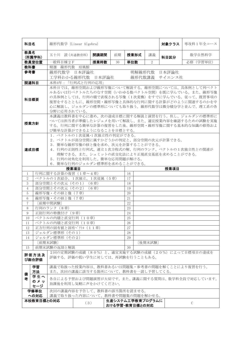| 科目名                                                                                                   |            | 線形代数学 (Linear Algebra)                                                                    |  |         |    |      |                | 対象クラス         | 専攻科1年全コース                                       |  |  |
|-------------------------------------------------------------------------------------------------------|------------|-------------------------------------------------------------------------------------------|--|---------|----|------|----------------|---------------|-------------------------------------------------|--|--|
| 教員名                                                                                                   | (所属学科)     | 五十川 読 (共通教育科)                                                                             |  | 開講期間    | 前期 | 授業形式 | 講義             | 科目区分          | 数学自然科学                                          |  |  |
|                                                                                                       | 教員室位置      | 一般科目棟2F                                                                                   |  | 授業時数    | 30 | 単位数  | $\overline{2}$ |               | 必修 (学習単位)                                       |  |  |
| 教科書                                                                                                   |            | 精選 線形代数 培風館                                                                               |  |         |    |      |                |               |                                                 |  |  |
| 参考書                                                                                                   |            | 線形代数学 日本評論社                                                                               |  |         |    |      |                | 明解線形代数 日本評論社  |                                                 |  |  |
|                                                                                                       |            | 工学科わかる線形代数 日本評論社                                                                          |  |         |    |      |                | 線形代数講義 サイエンス社 |                                                 |  |  |
| 関連科目                                                                                                  |            | 本科4年:「行列式と行列の応用」                                                                          |  |         |    |      |                |               |                                                 |  |  |
|                                                                                                       |            |                                                                                           |  |         |    |      |                |               | 本科目では、線形空間および線形写像について解説する。線形空間については、具体例として列ベクト  |  |  |
|                                                                                                       |            |                                                                                           |  |         |    |      |                |               | ルあるいは行ベクトルたちのなす空間(いわゆる数ベクトル空間)を既に学んでいる。また、線形写像  |  |  |
|                                                                                                       |            |                                                                                           |  |         |    |      |                |               | の具体例としては、行列の積で表現される写像(1次変換)をすでに学んでいる。従って、既習事項の  |  |  |
| 科目概要                                                                                                  |            |                                                                                           |  |         |    |      |                |               | 復習をするとともに、線形空間・線形写像と具体的な行列に関する計算がどのように関連するのかを中  |  |  |
|                                                                                                       |            |                                                                                           |  |         |    |      |                |               | 心に解説し、ジョルダンの標準形についても取り扱う。線形代数学は微分積分学と並んで、理工系の各  |  |  |
|                                                                                                       |            | 分野に応用されている。                                                                               |  |         |    |      |                |               |                                                 |  |  |
|                                                                                                       |            |                                                                                           |  |         |    |      |                |               | 本講義は教科書を中心に進め、次の達成目標に関する解説と演習を行う。但し、ジョルダンの標準形に  |  |  |
| 授業方針                                                                                                  |            |                                                                                           |  |         |    |      |                |               | ついては担当者が準備したレジュメを用いて解説し、また、適宜授業内容を確認するための試験を実施  |  |  |
|                                                                                                       |            |                                                                                           |  |         |    |      |                |               | する。行列に関する簡単な計算の復習をした後、線形空間・線形写像に関する基本的な知識の修得およ  |  |  |
|                                                                                                       |            | び簡単な計算ができるようになることを目標とする。                                                                  |  |         |    |      |                |               |                                                 |  |  |
| 1. ベクトルの1次従属·1次独立性の判定ができる。                                                                            |            |                                                                                           |  |         |    |      |                |               |                                                 |  |  |
|                                                                                                       |            | 2. ベクトルが部分空間に属すかどうかの判定と、部分空間の次元が計算できる。                                                    |  |         |    |      |                |               |                                                 |  |  |
| 3. 簡単な線形写像の核と像を求め、次元を計算することができる。<br>達成目標                                                              |            |                                                                                           |  |         |    |      |                |               |                                                 |  |  |
|                                                                                                       |            | 4. 行列の正則性と行列式、連立1次方程式の解、行列のランク、ベクトルの1次独立性との関連が<br>理解できる。また、シュミットの直交化法により正規直交基底を求めることができる。 |  |         |    |      |                |               |                                                 |  |  |
|                                                                                                       |            |                                                                                           |  |         |    |      |                |               |                                                 |  |  |
| 5. 行列の対角化を利用した、簡単な応用問題が解ける。<br>6. 簡単な行列のジョルダン標準形を求めることができる。                                           |            |                                                                                           |  |         |    |      |                |               |                                                 |  |  |
|                                                                                                       |            | 授業項目                                                                                      |  |         |    |      |                | 授業項目          |                                                 |  |  |
| 1                                                                                                     |            | 行列に関する計算の復習 (1章~4章)                                                                       |  |         |    | 16   |                |               |                                                 |  |  |
| $\overline{2}$                                                                                        |            | ベクトルの1次結合、1次独立、1次従属 (5章)                                                                  |  |         |    | 17   |                |               |                                                 |  |  |
| 3                                                                                                     |            | 部分空間とその次元 (その1)                                                                           |  | $(6$ 章) |    | 18   |                |               |                                                 |  |  |
| $\overline{4}$                                                                                        |            | 部分空間とその次元 (その2)                                                                           |  | (6章)    |    | 19   |                |               |                                                 |  |  |
| 5                                                                                                     |            | 線形写像・その核と像 (7章)                                                                           |  |         |    | 20   |                |               |                                                 |  |  |
| 6                                                                                                     |            | 線形写像・その核と像 (7章)                                                                           |  |         |    | 21   |                |               |                                                 |  |  |
| 7                                                                                                     |            | [前期中間試験]                                                                                  |  |         |    | 22   |                |               |                                                 |  |  |
| 8                                                                                                     |            | 行列のランク (8章)                                                                               |  |         |    | 23   |                |               |                                                 |  |  |
| 9                                                                                                     |            | 正則行列の特徴付け (9章)                                                                            |  |         |    | 24   |                |               |                                                 |  |  |
| 10                                                                                                    |            | ベクトルの内積と直交行列 (10章)                                                                        |  |         |    | 25   |                |               |                                                 |  |  |
| 11                                                                                                    |            | ベクトルの内積と直交行列 (10章)                                                                        |  |         |    | 26   |                |               |                                                 |  |  |
| 12                                                                                                    |            | 正方行列の固有値と固有ベクトル (11章)                                                                     |  |         |    | 27   |                |               |                                                 |  |  |
| 13                                                                                                    |            | ジョルダン標準形 (その1)                                                                            |  |         |    | 28   |                |               |                                                 |  |  |
| 14                                                                                                    |            | ジョルダン標準形 (その2)                                                                            |  |         |    | 29   |                |               |                                                 |  |  |
|                                                                                                       |            | [前期末試験]                                                                                   |  |         |    |      | [後期末試験]        |               |                                                 |  |  |
| 15                                                                                                    |            | 前期末試験の返却と解説                                                                               |  |         |    | 30   |                |               |                                                 |  |  |
| 2回の定期試験の成績 (80%) と、適宜実施する試験の成績 (20%) によって目標項目の達成を<br>評価方法及<br>評価する。評価の低い学生に対しては、再試験を行うこともある。<br>び総合評価 |            |                                                                                           |  |         |    |      |                |               |                                                 |  |  |
|                                                                                                       | 学習         |                                                                                           |  |         |    |      |                |               | 講義で取扱った授業内容は、教科書あるいは問題集・参考書の問題を解くことにより復習を行う。    |  |  |
| 備                                                                                                     | 方法         | また、次回の講義に該当する箇所について、教科書を一読し予習してくる。                                                        |  |         |    |      |                |               |                                                 |  |  |
| 考                                                                                                     | 学生へ        |                                                                                           |  |         |    |      |                |               | 各自による予習および問題演習が大切です。また、講義に関する質問は、数学科全員で対応しています。 |  |  |
|                                                                                                       | のメッ<br>セージ | 放課後を利用し気軽に声をかけてください。                                                                      |  |         |    |      |                |               |                                                 |  |  |
|                                                                                                       | 学修単位       | 次回の講義内容を予告して、教科書の該当箇所を読ませる。                                                               |  |         |    |      |                |               |                                                 |  |  |
|                                                                                                       | への対応       | 講義で取り扱った内容について、教科書や問題集の問題を解かせる。                                                           |  |         |    |      |                |               |                                                 |  |  |
| 本校教育目標との対応<br>生産システム工学教育プログラムに                                                                        |            |                                                                                           |  |         |    |      |                |               |                                                 |  |  |
| (3)<br>おける学習・教育目標との対応                                                                                 |            |                                                                                           |  |         |    |      |                | C             |                                                 |  |  |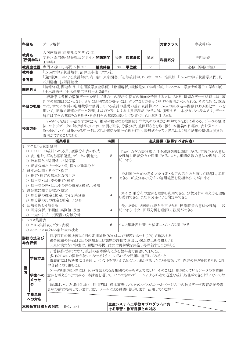| 科目名                                                                                                                                                                                                              | データ解析                                                                                                                                                                                                                                           |                                                                                                                                |      |    |      |    | 対象クラス                       | 専攻科1年                                                                                                                                                                                                                                                                                            |  |  |
|------------------------------------------------------------------------------------------------------------------------------------------------------------------------------------------------------------------|-------------------------------------------------------------------------------------------------------------------------------------------------------------------------------------------------------------------------------------------------|--------------------------------------------------------------------------------------------------------------------------------|------|----|------|----|-----------------------------|--------------------------------------------------------------------------------------------------------------------------------------------------------------------------------------------------------------------------------------------------------------------------------------------------|--|--|
| 教員名<br>(所属学科)                                                                                                                                                                                                    | 工学科)                                                                                                                                                                                                                                            | 大河内康正(建築社会デザイン工<br>学科)・森内勉(建築社会デザイン  <b>開講期間</b>                                                                               |      | 後期 | 授業形式 | 講義 | <b>科目区分</b>                 | 専門基礎                                                                                                                                                                                                                                                                                             |  |  |
| 教員室位置                                                                                                                                                                                                            |                                                                                                                                                                                                                                                 | 専門 A 棟 1F, 専門 A 棟 3F                                                                                                           | 授業時数 | 30 | 単位数  | 2  |                             | 必修 (学修単位)                                                                                                                                                                                                                                                                                        |  |  |
| 教科書                                                                                                                                                                                                              |                                                                                                                                                                                                                                                 | 「Excelで学ぶ統計解析」涌井良幸他 ナツメ社                                                                                                       |      |    |      |    |                             |                                                                                                                                                                                                                                                                                                  |  |  |
| 参考書                                                                                                                                                                                                              | 谷川勝也 技術評論社                                                                                                                                                                                                                                      |                                                                                                                                |      |    |      |    |                             | 「(第2版)Excelによる統計解析」内田治 東京図書, 「初等統計学」P·Gホーエル 培風館, 「Excelで学ぶ統計学入門」長                                                                                                                                                                                                                                |  |  |
| 関連科目                                                                                                                                                                                                             |                                                                                                                                                                                                                                                 | 「土木計画学」(土木建築工学科土木系5年)                                                                                                          |      |    |      |    |                             | 「情報処理」関連科目,「応用数学」(全学科),「数理解析」(機械電気工学科5年),「システム工学」(情報電子工学科5年),                                                                                                                                                                                                                                    |  |  |
| 科目の概要                                                                                                                                                                                                            |                                                                                                                                                                                                                                                 | 解析は工学の基礎となる数学・自然科学の基礎知識として位置づけられる科目である.                                                                                        |      |    |      |    |                             | 統計学は各種の数値データを通して世の中の現状や将来の傾向を予測する方法である。適切なデータ処理には、統<br>計学の知識は欠かせない. さらに処理結果の提示には、グラフなどの分かりやすい表現が求められる. そのために、講義<br>では、すでに本科の応用数学で修得している統計の基礎の基に表計算ソフトExcelの組み込み関数および図化ツールを<br>用いて,正確で迅速なデータ処理,およびグラフによる視覚表現ができるように演習する. 本校カリキュラムでは,データ<br>いろいろな統計手法を学びながら,推定や検定など推測統計学的ものの見方が理解できるように進める. データの処理 |  |  |
| 授業方針                                                                                                                                                                                                             | 法,およびデータの解析手法としては,相関と回帰,分散分析,重回帰などを取り扱う.本講義の目標は,表計算ソフト<br>Excelを用いて、対象となるデータに応じた適切な統計処理を行い、表形式やグラフ表示により解析結果の適切な視覚的<br>表現ができることである.<br>授業項目<br>時間<br>達成目標 (修得すべき内容)                                                                              |                                                                                                                                |      |    |      |    |                             |                                                                                                                                                                                                                                                                                                  |  |  |
|                                                                                                                                                                                                                  |                                                                                                                                                                                                                                                 |                                                                                                                                |      |    |      |    |                             |                                                                                                                                                                                                                                                                                                  |  |  |
| 1. エクセルと統計処理<br>1) EXCEL の統計への応用, 度数分布表の作成<br>Excel などの表計算ソフトを統計処理に利用できる. 正規分布の意味<br>を理解し正規分布を活用できる。また、相関係数の意味を理解し、説<br>2) 表, 集計, 平均と標準偏差, データの視覚化<br>8<br>明できる.<br>3) 散布図と相関関係, 相関係数<br>4) 正規分布とパーセント点, 様々な確率分布 |                                                                                                                                                                                                                                                 |                                                                                                                                |      |    |      |    |                             |                                                                                                                                                                                                                                                                                                  |  |  |
| 2. 母平均に関する推定・検定                                                                                                                                                                                                  | 1) 推定・検定の基本的な考え方<br>2) 母平均・母比率の推定・検定                                                                                                                                                                                                            | 3) 母平均の差・母比率の差の推定と検定,t分布                                                                                                       | 8    |    |      |    |                             | 推測統計学的な考え方を推定・検定の考え方を通して理解し、説明<br>できる.正規分布とt分布の適用範囲を見極めることが出来る.                                                                                                                                                                                                                                  |  |  |
| 3. 母分散に関する推定・検定                                                                                                                                                                                                  |                                                                                                                                                                                                                                                 | 1) 母分散の推定と検定, カイ2乗分布<br>2) 母分散の比の推定と検定, F 分布                                                                                   | 4    |    |      |    | し説明できる. また F 分布による検定ができる.   | カイ 2 乗分布の意味を理解し利用できる. 分散分析の考え方を理解                                                                                                                                                                                                                                                                |  |  |
| 4. 回帰分析と分散分析                                                                                                                                                                                                     |                                                                                                                                                                                                                                                 | 1) 回帰分析, 予測値·実測値·残差<br>2) 一元および二元配置の分散分析                                                                                       | 4    |    |      |    | 明できる. また, 回帰分析を理解し, 説明ができる. | 最小2乗法で回帰曲線を決定できる.標準誤差の意味を理解し、説                                                                                                                                                                                                                                                                   |  |  |
| 5. クロス集計表                                                                                                                                                                                                        | 1) クロス集計表とグラフ表現<br>2) 2×2、n×mクロス集計表の検定                                                                                                                                                                                                          |                                                                                                                                | 6    |    |      |    | クロス集計表を用いた検定について説明できる.      |                                                                                                                                                                                                                                                                                                  |  |  |
| 評価方法及び<br>総合評価                                                                                                                                                                                                   |                                                                                                                                                                                                                                                 | 目標項目の達成度は2回の定期試験(80%)および課題レポート(20%)で確認する.<br>総合成績の評価は2回の試験および課題の評価で算出し,60点以上を合格とする.<br>60点に満たない学生は,課題の再提出または再試験を実施し再評価することがある. |      |    |      |    |                             |                                                                                                                                                                                                                                                                                                  |  |  |
| 備                                                                                                                                                                                                                | 計算操作ばかりでなく、統計の基本的考え方を教科書で確認しておくこと.<br>多様なExcelの関数が使いこなせるように、いろいろな問題に適用してみること.<br>学習方法<br>講義前には教科書に目を通し、ポイントを押さえておくこと.また学習したことを復習して、内容の理解を図るために自<br>学自習に取り組むこと.                                                                                  |                                                                                                                                |      |    |      |    |                             |                                                                                                                                                                                                                                                                                                  |  |  |
| 考<br>ジ                                                                                                                                                                                                           | データを取り扱う際には、何が背景となる母集団なのかを考えて欲しい. そのことは、取り扱っているデータの本質的<br>意味を考えることでもある. 本講義を通して、いつでもコンピュータによる正確で迅速な統計処理ができるようになって欲<br>学生への<br>メッセー<br>しい.<br>質問はいつでも歓迎します. 時間割は, 熊本高専(八代キャンパス)のホームページの中の教員データ教育活動や教<br>員室の前に掲載しています.また,メールによる質問も歓迎します.活用してください. |                                                                                                                                |      |    |      |    |                             |                                                                                                                                                                                                                                                                                                  |  |  |
| 学修単位<br>への対応                                                                                                                                                                                                     |                                                                                                                                                                                                                                                 |                                                                                                                                |      |    |      |    |                             |                                                                                                                                                                                                                                                                                                  |  |  |
|                                                                                                                                                                                                                  | 生産システム工学教育プログラムにお<br>本校教育目標との対応<br>$B-1, B-3$<br> ける学習・教育目標との対応                                                                                                                                                                                 |                                                                                                                                |      |    |      |    |                             |                                                                                                                                                                                                                                                                                                  |  |  |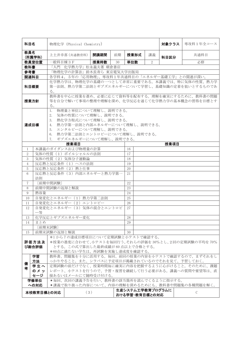| 科目名                                                                                                                                                                                                                                      |            |              | 物理化学 (Physical Chemistry)                    |      |    |     |      |                                    | 対象クラス |  | 専攻科 1 年全コース                                                                                      |
|------------------------------------------------------------------------------------------------------------------------------------------------------------------------------------------------------------------------------------------|------------|--------------|----------------------------------------------|------|----|-----|------|------------------------------------|-------|--|--------------------------------------------------------------------------------------------------|
| 教員名                                                                                                                                                                                                                                      | (所属学科)     |              | 上土井幸喜 (共通教育科)                                | 開講期間 | 前期 |     | 授業形式 | 講義                                 | 科目区分  |  | 共通科目                                                                                             |
|                                                                                                                                                                                                                                          | 教員室位置      | 一般科目棟3F      |                                              | 授業時数 | 30 | 単位数 |      | 2                                  |       |  | 必修                                                                                               |
| 教科書                                                                                                                                                                                                                                      |            |              | 「入門 化学熱力学」松永義夫著 朝倉書店                         |      |    |     |      |                                    |       |  |                                                                                                  |
| 参考書                                                                                                                                                                                                                                      |            |              | 「物理化学の計算法」鈴木長寿ら 東京電気大学出版局                    |      |    |     |      |                                    |       |  |                                                                                                  |
| 関連科目                                                                                                                                                                                                                                     |            |              | 各学科4,5年の「応用物理」、専攻科1年共通科目の「エネルギー基礎工学」との関連が深い。 |      |    |     |      |                                    |       |  |                                                                                                  |
| 科目概要                                                                                                                                                                                                                                     |            | る。           |                                              |      |    |     |      |                                    |       |  | 化学熱力学は、物理化学の基礎の一つとして非常に重要である。本講義では、特に気体の性質、熱力学<br>第一法則、熱力学第二法則とギブズエネルギーについて学習し、基礎知識の定着を狙いとするものであ |
| 授業方針                                                                                                                                                                                                                                     |            | る。           |                                              |      |    |     |      |                                    |       |  | 教科書を中心に授業を進め、必要に応じて資料等を配布する。理解を確実にするために、教科書の問題<br>等を自分で解いて事項の整理や理解を深め、化学反応を通じて化学熱力学の基本概念の習得を目標とす |
| 物理量と単位について理解し、説明できる。<br>1.<br>気体の性質について理解し、説明できる。<br>2.<br>熱化学方程式について理解し、説明できる。<br>3.<br>熱力学第一法則と内部エネルギーについて理解し、説明できる。<br>達成目標<br>4.<br>エンタルピーについて理解し、説明できる。<br>5.<br>熱力学第二法則とエントロピーについて理解し、説明できる。<br>6.<br>ギブズエネルギーについて理解し、説明できる。<br>7. |            |              |                                              |      |    |     |      |                                    |       |  |                                                                                                  |
|                                                                                                                                                                                                                                          |            |              | 授業項目                                         |      |    |     |      |                                    | 授業項目  |  |                                                                                                  |
| $\mathbf{1}$                                                                                                                                                                                                                             |            |              | 本講義のガイダンスおよび物理量の計算                           |      |    | 16  |      |                                    |       |  |                                                                                                  |
| $\overline{2}$                                                                                                                                                                                                                           |            |              | 気体の性質 (1) ボイルシャルルの法則                         |      |    | 17  |      |                                    |       |  |                                                                                                  |
| 3                                                                                                                                                                                                                                        |            |              | 気体の性質 (2) 気体分子運動論                            |      | 18 |     |      |                                    |       |  |                                                                                                  |
| $\overline{4}$                                                                                                                                                                                                                           |            |              | 反応熱と反応条件 (1) ヘスの法則                           |      |    | 19  |      |                                    |       |  |                                                                                                  |
| 5                                                                                                                                                                                                                                        |            |              | 反応熱と反応条件 (2) 熱と仕事                            |      |    | 20  |      |                                    |       |  |                                                                                                  |
| 6                                                                                                                                                                                                                                        | 法則         |              | 反応熱と反応条件 (3) 内部エネルギーと熱力学第一                   |      |    | 21  |      |                                    |       |  |                                                                                                  |
| $\tau$                                                                                                                                                                                                                                   |            | [前期中間試験]     |                                              |      |    | 22  |      |                                    |       |  |                                                                                                  |
| $8\,$                                                                                                                                                                                                                                    |            | 前期中間試験の返却と解説 |                                              |      |    | 23  |      |                                    |       |  |                                                                                                  |
| 9                                                                                                                                                                                                                                        | 熱容量        |              |                                              |      |    | 24  |      |                                    |       |  |                                                                                                  |
| 10                                                                                                                                                                                                                                       |            |              | 自発変化とエネルギー (1) 熱力学第二法則                       |      |    | 25  |      |                                    |       |  |                                                                                                  |
| 11                                                                                                                                                                                                                                       |            |              | 自発変化とエネルギー (2) エントロピー                        |      |    | 26  |      |                                    |       |  |                                                                                                  |
| 12                                                                                                                                                                                                                                       | 一等         |              | 自発変化とエネルギー (3) 気体の混合とエントロピ                   |      |    | 27  |      |                                    |       |  |                                                                                                  |
| 13                                                                                                                                                                                                                                       |            |              | 化学反応とギブズエネルギー変化                              |      |    | 28  |      |                                    |       |  |                                                                                                  |
| 14                                                                                                                                                                                                                                       | まとめ        |              |                                              |      |    | 29  |      |                                    |       |  |                                                                                                  |
|                                                                                                                                                                                                                                          |            | [前期末試験]      |                                              |      |    |     |      |                                    |       |  |                                                                                                  |
| 15                                                                                                                                                                                                                                       |            | 前期末試験の返却と解説  |                                              |      |    | 30  |      |                                    |       |  |                                                                                                  |
| *1から7の達成目標項目について定期試験と小テストで確認する。<br>*授業の進度に合わせて、小テストを毎回行う。それらの評価を30%とし、2回の定期試験の平均を70%<br>評価方法及<br>び総合評価<br>とする。この式で算出した最終成績が60点以上で合格とする。<br>*60点に満たない学生は、再試験を実施し達成度を確認する。                                                                 |            |              |                                              |      |    |     |      |                                    |       |  |                                                                                                  |
|                                                                                                                                                                                                                                          | 学習<br>方法   |              | っかりやること。また、シラバスに予定項目が掲載されているのでそれを見て、予習しておく。  |      |    |     |      |                                    |       |  | 教科書、問題集を十分に活用する。毎回、前回の授業の内容を小テストで確認するので、まずそれをし                                                   |
| 備                                                                                                                                                                                                                                        | 学生へ        |              |                                              |      |    |     |      |                                    |       |  | 定期試験の前だけでなく、授業時間毎に確実に内容を把握するように心がけること。そのために、課題                                                   |
| 考                                                                                                                                                                                                                                        | のメッ<br>セージ |              | 接あるいはメールにて随時受け付ける。                           |      |    |     |      |                                    |       |  | レポート、小テストを行うので、予習・復習を継続して行う必要がある。講義への質問や要望等は、直                                                   |
|                                                                                                                                                                                                                                          | 学修単位       |              | *毎回、次回の講義予告を行い、教科書の該当箇所を読んでくるように指示する。        |      |    |     |      |                                    |       |  |                                                                                                  |
|                                                                                                                                                                                                                                          | への対応       |              |                                              |      |    |     |      |                                    |       |  | *講義で取り扱った内容について、内容の理解を深めるためにも、教科書や問題集の各種問題を解く。                                                   |
|                                                                                                                                                                                                                                          | 本校教育目標との対応 |              | (3)                                          |      |    |     |      | 生産システム工学教育プログラムに<br>おける学習・教育目標との対応 |       |  | C                                                                                                |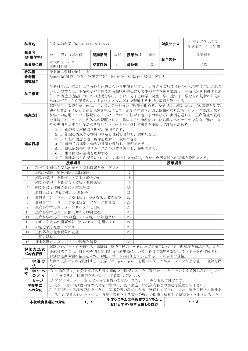| 科目名                                                                                                                                                                                                                                                          |                   | 生命基礎科学 (Basic Life Science)                                     |                           |      |    |                                    |    | 対象クラス | 生産システム工学<br>専攻全コース1年生                                                                               |  |  |  |  |
|--------------------------------------------------------------------------------------------------------------------------------------------------------------------------------------------------------------------------------------------------------------|-------------------|-----------------------------------------------------------------|---------------------------|------|----|------------------------------------|----|-------|-----------------------------------------------------------------------------------------------------|--|--|--|--|
| 教員名                                                                                                                                                                                                                                                          | (所属学科)            | 金田 照夫 (専攻科)                                                     |                           | 開講期間 | 後期 | 授業形式                               | 講義 | 科目区分  | 共通科目                                                                                                |  |  |  |  |
|                                                                                                                                                                                                                                                              | 教員室位置             | 八代キャンパス<br>専門科目棟2                                               |                           | 授業時数 | 30 | 単位数                                | 2  |       | 必修                                                                                                  |  |  |  |  |
| 教科書                                                                                                                                                                                                                                                          |                   | 授業毎に資料を配付する                                                     |                           |      |    |                                    |    |       |                                                                                                     |  |  |  |  |
| 参考書                                                                                                                                                                                                                                                          |                   | Essential細胞生物学(原著第二版)中村佳子·松原謙一 監訳, 南江堂                          |                           |      |    |                                    |    |       |                                                                                                     |  |  |  |  |
| 関連科目                                                                                                                                                                                                                                                         |                   |                                                                 |                           |      |    |                                    |    |       |                                                                                                     |  |  |  |  |
| 生命科学は、幅広い工学分野と連繋しながら現在も発展し、さまざまな形で私達の生活の中で応用されて<br>いる. 授業では、生命の基本単位である細胞を中心にして生物体の構成を概説し、生命現象を制御する遺<br>科目概要<br>伝子の構造と機能についての基礎を学ぶ。また、分子生物学、発生工学、遺伝子工学などの最新の知見に<br>触れながら、生命現象のコントロールメカニズムを理解する上での基礎を修得する.                                                     |                   |                                                                 |                           |      |    |                                    |    |       |                                                                                                     |  |  |  |  |
| 毎回配付する資料を主体に、プレゼンテーションで授業を進める。授業では、細胞についての基礎を学び、<br>親の形質が子に伝わる遺伝現象を中心にして、遺伝子の働き、遺伝情報のなりたち、ゲノムの概念と生命<br>科学への応用について概説する。また、クローン技術や遺伝子治療などの実例を通して、生命倫理の基礎<br>授業方針<br>を理解する。さらに、冬休みの課題として、興味ある生命現象の中から興味あるテーマを各自で選び、自<br>身の専門と関連させながら考察したレポートを作成して概要を発表して理解を深める。 |                   |                                                                 |                           |      |    |                                    |    |       |                                                                                                     |  |  |  |  |
| 1. □ 細胞の基本構造を理解, 説明できる.<br>2. □ 細胞を構成する物質の構造と性質を理解し、説明できる.<br>3. □ 形質の概念と遺伝現象を理解し、説明できる.<br>達成目標<br>4. □ 遺伝子の構造と働きの基礎を理解し、説明できる.<br>5. □ 遺伝情報の発現メカニズムの基礎を理解し、説明できる.<br>6. □ 生命倫理の基礎を理解する<br>7. □ 興味ある生命現象について、レポートを作成し、自身の専門領域との関連を説明できる。                    |                   |                                                                 |                           |      |    |                                    |    |       |                                                                                                     |  |  |  |  |
|                                                                                                                                                                                                                                                              |                   | 授業項目<br>授業項目<br>なぜ生命科学を学ぶのか?: 授業概要とガイダンス                        |                           |      |    |                                    |    |       |                                                                                                     |  |  |  |  |
| 1                                                                                                                                                                                                                                                            |                   |                                                                 |                           |      |    | 16                                 |    |       |                                                                                                     |  |  |  |  |
| $\boldsymbol{2}$                                                                                                                                                                                                                                             |                   | 細胞の構造:原核細胞と真核細胞                                                 |                           |      |    | 17                                 |    |       |                                                                                                     |  |  |  |  |
| 3                                                                                                                                                                                                                                                            |                   | 細胞を構成する物質1:アミノ酸その他                                              |                           |      |    | 18                                 |    |       |                                                                                                     |  |  |  |  |
| 4                                                                                                                                                                                                                                                            |                   | 細胞を構成する物質2:核酸と遺伝物質                                              |                           |      |    | 19                                 |    |       |                                                                                                     |  |  |  |  |
| 5                                                                                                                                                                                                                                                            |                   | 細胞分裂:体細胞分裂と減数分裂                                                 |                           |      |    | 20                                 |    |       |                                                                                                     |  |  |  |  |
| 6                                                                                                                                                                                                                                                            |                   | 形質とは? 遺伝の概念と遺伝子                                                 |                           |      |    | 21                                 |    |       |                                                                                                     |  |  |  |  |
| $\tau$                                                                                                                                                                                                                                                       |                   | 形質をコントロールする仕組1:DNA複製と RNA 転写                                    |                           |      |    | 22                                 |    |       |                                                                                                     |  |  |  |  |
| 8                                                                                                                                                                                                                                                            |                   | 形質をコントロールする仕組2:タンパク質合成                                          |                           |      |    | 23                                 |    |       |                                                                                                     |  |  |  |  |
| 9                                                                                                                                                                                                                                                            |                   | 生命科学の応用:ライフサイクルと DNA                                            |                           |      |    | 24                                 |    |       |                                                                                                     |  |  |  |  |
| 10                                                                                                                                                                                                                                                           |                   | 生命科学の応用:組換え DNA と物質生産                                           |                           |      |    | 25                                 |    |       |                                                                                                     |  |  |  |  |
| 11                                                                                                                                                                                                                                                           |                   | 生命科学の応用: ES 細胞, iPS 細胞, 体細胞クローン                                 |                           |      |    | 26                                 |    |       |                                                                                                     |  |  |  |  |
| 12                                                                                                                                                                                                                                                           |                   | レポート内容の概要報告 (PowerPoint を用いて)                                   |                           |      |    | 27                                 |    |       |                                                                                                     |  |  |  |  |
| 13                                                                                                                                                                                                                                                           |                   | 細胞分裂と発癌シグナル                                                     |                           |      |    | 28                                 |    |       |                                                                                                     |  |  |  |  |
| 14                                                                                                                                                                                                                                                           |                   | 生体防御と免疫現象の基礎                                                    |                           |      |    | 29                                 |    |       |                                                                                                     |  |  |  |  |
|                                                                                                                                                                                                                                                              | [期末試験]            |                                                                 |                           |      |    |                                    |    |       |                                                                                                     |  |  |  |  |
| 15                                                                                                                                                                                                                                                           | 評価方法及<br>び総合評価    | 期末試験およびレポートの返却と解説<br>評価は定期試験の結果を70%,課題レポートの評価を30%とする. 60点以上で合格。 |                           |      |    | 30                                 |    |       | 試験とレポートで評価する。試験は、達成目標の1~6にあげた項目について、理解度を確認する。また,<br>達成目標7では、自身の専門と関連ある生命現象について、各自で課題を設定してレポートを作成する。 |  |  |  |  |
|                                                                                                                                                                                                                                                              | 学習方<br>法          | める.                                                             |                           |      |    |                                    |    |       | 毎回の授業で資料を配付する. 授業では、power point を用いて図、アニメーションなどを通して理解を深                                             |  |  |  |  |
| 備<br>考                                                                                                                                                                                                                                                       | 学生へ<br>のメッ<br>セージ | ○ オフィスアワー:質問は何時でも構いません。また、メールでも受け付けます。                          | 自分で考え, 図書等を調べたうえで質問して欲しい. |      |    |                                    |    |       | ○ 生命科学は、自分で事項の整理や理解を一層深めること. 疑問を生じたらそのまま放置しないで、まず                                                   |  |  |  |  |
|                                                                                                                                                                                                                                                              | 学修単位<br>への対応      | ○ 毎回, 次回の講義内容の概略を示すので, 既に実施した授業内容との関連を整理して下さい。                  |                           |      |    |                                    |    |       | ○ 毎回配付する講義資料をもとに,関連分野の現状も含めて整理して下さい。また,達成目標7の興味あ<br>る生命現象のレポートでは、自身の得意とする専門分野との関連に留意して調査をとりまとめること。  |  |  |  |  |
|                                                                                                                                                                                                                                                              |                   | 本校教育目標との対応                                                      | 3, 5                      |      |    | 生産システム工学教育プログラムに<br>おける学習・教育目標との対応 |    |       | a, b, d1                                                                                            |  |  |  |  |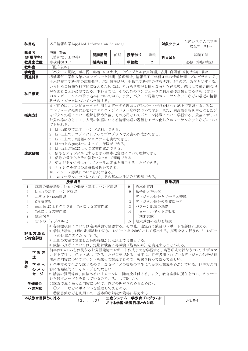| 科目名                                                                                                  |                                                        | 応用情報科学(Applied Information Science)                         |                                               |      |    |                  |                                                |                | 対象クラス          | 生産システム工学専<br>攻全コース1年                                                                                                                               |  |  |
|------------------------------------------------------------------------------------------------------|--------------------------------------------------------|-------------------------------------------------------------|-----------------------------------------------|------|----|------------------|------------------------------------------------|----------------|----------------|----------------------------------------------------------------------------------------------------------------------------------------------------|--|--|
| 教員名                                                                                                  | (所属学科)                                                 | 池田 直光<br>(情報電子工学科)                                          |                                               | 開講期間 | 前期 | 授業形式             |                                                | 講義             | 科目区分           | 基礎工学                                                                                                                                               |  |  |
|                                                                                                      | 教員室位置                                                  | 専攻科棟3F                                                      |                                               | 授業時数 | 30 | 単位数              |                                                | $\overline{2}$ |                | 必修 (学修単位)                                                                                                                                          |  |  |
| 教科書                                                                                                  |                                                        | 「配布資料」                                                      |                                               |      |    |                  |                                                |                |                |                                                                                                                                                    |  |  |
| 参考書                                                                                                  |                                                        |                                                             |                                               |      |    |                  |                                                |                |                | 「パターン認識」示村悦二郎著 コロナ社, 「ディジタル音声処理」古井 貞熙著 東海大学出版会                                                                                                     |  |  |
|                                                                                                      | 関連科目                                                   |                                                             |                                               |      |    |                  |                                                |                |                | 機械電気工学科5年のコンピュータ計測、数理解析、情報電子工学科4年の情報数理、プログラミング、                                                                                                    |  |  |
|                                                                                                      |                                                        |                                                             |                                               |      |    |                  |                                                |                |                | 土木建築工学科4年の応用数学、応用情報処理、生物工学科4年の情報処理、5年の応用数学と関連する。                                                                                                   |  |  |
|                                                                                                      | 科目概要                                                   | 科学のトピックについても学習する。                                           |                                               |      |    |                  |                                                |                |                | いろいろな情報を科学的に捉えるためには、それらを整理し様々な分析を経た後、統合して総合的な理<br>解を図ることが必要である。本科目では、そのためのコンピュータの利用法や対象となる情報(信号)<br>のコンピュータへの取り込みについて学ぶ。また、パターン認識やニューラルネットなどの最近の情報 |  |  |
| まず初めに、コンピュータを利用したデータ処理およびレポート作成をLinux OS上で実習する。次に、<br>コンピュータ処理に必要なアナログ・ディジタル変換について学ぶ。また、周波数分析を中心にしたデ |                                                        |                                                             |                                               |      |    |                  |                                                |                |                |                                                                                                                                                    |  |  |
| ィジタル処理について理解を深めた後、その応用としてパターン認識について学習する。最後に新しい<br>授業方針                                               |                                                        |                                                             |                                               |      |    |                  |                                                |                |                |                                                                                                                                                    |  |  |
|                                                                                                      |                                                        |                                                             |                                               |      |    |                  | 計算の枠組みとして、人間の神経における情報処理の過程をモデル化したニューラルネットなどについ |                |                |                                                                                                                                                    |  |  |
|                                                                                                      |                                                        | ても触れる。                                                      |                                               |      |    |                  |                                                |                |                |                                                                                                                                                    |  |  |
|                                                                                                      |                                                        | 1. Linux環境で基本コマンドが利用できる。                                    |                                               |      |    |                  |                                                |                |                |                                                                                                                                                    |  |  |
|                                                                                                      |                                                        | 2. Linux上で、エディタによってプログラムや文書の作成ができる。                         |                                               |      |    |                  |                                                |                |                |                                                                                                                                                    |  |  |
|                                                                                                      |                                                        | 3. Linux上で、C言語のプログラムを実行できる。                                 |                                               |      |    |                  |                                                |                |                |                                                                                                                                                    |  |  |
|                                                                                                      |                                                        | 4. Linux上のgnuplotによって、作図ができる。<br>5. Linux上のTeXによって文書作成ができる。 |                                               |      |    |                  |                                                |                |                |                                                                                                                                                    |  |  |
|                                                                                                      | 達成日標                                                   | 6. 信号をディジタル化するときの標本化定理について理解できる。                            |                                               |      |    |                  |                                                |                |                |                                                                                                                                                    |  |  |
|                                                                                                      |                                                        | 7. 信号の量子化とその符号化について理解できる。                                   |                                               |      |    |                  |                                                |                |                |                                                                                                                                                    |  |  |
|                                                                                                      |                                                        | 8. ディジタル信号に対してフーリエ変換を適用することができる。                            |                                               |      |    |                  |                                                |                |                |                                                                                                                                                    |  |  |
|                                                                                                      |                                                        |                                                             | 9. ディジタル信号の周波数分析ができる。<br>10. パターン認識について説明できる。 |      |    |                  |                                                |                |                |                                                                                                                                                    |  |  |
|                                                                                                      |                                                        |                                                             |                                               |      |    |                  |                                                |                |                |                                                                                                                                                    |  |  |
|                                                                                                      |                                                        | 11. ニューラルネットについて、その基本な仕組みが理解できる。                            |                                               |      |    |                  |                                                |                |                |                                                                                                                                                    |  |  |
| 1                                                                                                    |                                                        | 講義の概要説明、Linuxの概要・基本コマンド演習                                   | 授業項目                                          |      |    | 9                | 標本化定理                                          |                | 授業項目           |                                                                                                                                                    |  |  |
| $\overline{2}$                                                                                       |                                                        | Linuxの基本コマンド演習                                              |                                               |      |    | 10               |                                                | 量子化と符号化        |                |                                                                                                                                                    |  |  |
| 3                                                                                                    |                                                        | エディタemacs演習                                                 |                                               |      |    | 11               |                                                |                | ディジタル信号とフーリエ変換 |                                                                                                                                                    |  |  |
| $\overline{4}$                                                                                       | C言語演習                                                  |                                                             |                                               |      |    | 12               |                                                |                | ディジタル信号の周波数分析  |                                                                                                                                                    |  |  |
| 5                                                                                                    |                                                        | gnuplotによるグラフ化、TeXによる文書作成                                   |                                               |      |    | 13               |                                                | パターン認識の基礎      |                |                                                                                                                                                    |  |  |
| 6                                                                                                    |                                                        | TeXによる文書作成                                                  |                                               |      |    | 14               |                                                |                | ニューラルネットの概要    |                                                                                                                                                    |  |  |
| 7                                                                                                    | 総合演習                                                   |                                                             |                                               |      |    |                  |                                                | [期末試験]         |                |                                                                                                                                                    |  |  |
| 8                                                                                                    |                                                        | 信号のディジタル化                                                   |                                               |      |    | 15               |                                                |                | 期末試験の返却と解説     |                                                                                                                                                    |  |  |
|                                                                                                      |                                                        |                                                             |                                               |      |    |                  |                                                |                |                | * 各目標項目については定期試験で確認する。その他、適宜行う演習のレポートも評価に加える。                                                                                                      |  |  |
|                                                                                                      | 評価方法及                                                  |                                                             |                                               |      |    |                  |                                                |                |                | * 最終成績は、1回の定期試験を50%、レポート点を50%として算出する。実習を多く行うので、レポー                                                                                                 |  |  |
|                                                                                                      | び総合評価                                                  | トの比率が高くなっている。<br>* 上記の方法で算出した最終成績が60点以上で合格とする。              |                                               |      |    |                  |                                                |                |                |                                                                                                                                                    |  |  |
|                                                                                                      |                                                        | * 成績不良者については、定期試験後に再試験(最高60点)を実施することがある。                    |                                               |      |    |                  |                                                |                |                |                                                                                                                                                    |  |  |
|                                                                                                      |                                                        |                                                             |                                               |      |    |                  |                                                |                |                | 前半はWindowsとは異なる計算機環境でレポート作成までを学習する。実習形式で行なうので、まずコマ                                                                                                 |  |  |
|                                                                                                      | 学習方                                                    |                                                             |                                               |      |    |                  |                                                |                |                | ンドを実行し、色々と試してみることが重要である。後半は、近年多用されているディジタル信号処理                                                                                                     |  |  |
|                                                                                                      | 法                                                      | 関連の内容についてポイントを絞って講義するので、興味を持って臨んで欲しい.                       |                                               |      |    |                  |                                                |                |                |                                                                                                                                                    |  |  |
| 備<br>者                                                                                               | 学生へ<br>* 全専攻の学生が受講するので、なるべくどの専攻の学生にも役立つ講義を心がけている。他専攻の内 |                                                             |                                               |      |    |                  |                                                |                |                |                                                                                                                                                    |  |  |
|                                                                                                      | のメッ                                                    | 容にも積極的にチャレンジして欲しい.                                          |                                               |      |    |                  |                                                |                |                |                                                                                                                                                    |  |  |
|                                                                                                      | セージ                                                    |                                                             |                                               |      |    |                  |                                                |                |                | * 講義の質問等は、直接あるいはメールにて随時受け付ける。また、教官室前に所在を示し、メッセー                                                                                                    |  |  |
|                                                                                                      |                                                        | ジを残すボードも設置しているので、活用して欲しい。                                   |                                               |      |    |                  |                                                |                |                |                                                                                                                                                    |  |  |
|                                                                                                      | 学修単位<br>への対応                                           | ○講義で取り扱った内容について、内容の理解を深めるためにも<br>(1)ノートなどにポイントを整理してまとめる.    |                                               |      |    |                  |                                                |                |                |                                                                                                                                                    |  |  |
|                                                                                                      |                                                        | ②図書館などを利用して、基本的な知識の獲得に努力する.                                 |                                               |      |    |                  |                                                |                |                |                                                                                                                                                    |  |  |
|                                                                                                      | 本校教育目標との対応                                             |                                                             |                                               |      |    | 生産システム工学教育プログラムに |                                                |                |                |                                                                                                                                                    |  |  |
|                                                                                                      |                                                        |                                                             | $(2)$ , $(3)$                                 |      |    | おける学習・教育目標との対応   |                                                |                |                | $B-3, C-1$                                                                                                                                         |  |  |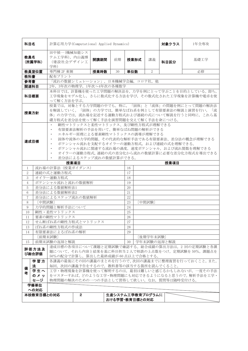| 科目名                                                                                                                                                                                                |                                                                                                                                                                                                                         | 計算応用力学(Computational Applied Dynamics)            |              |      |    |                                    |                | 対象クラス       | 1年全専攻                                           |  |  |  |
|----------------------------------------------------------------------------------------------------------------------------------------------------------------------------------------------------|-------------------------------------------------------------------------------------------------------------------------------------------------------------------------------------------------------------------------|---------------------------------------------------|--------------|------|----|------------------------------------|----------------|-------------|-------------------------------------------------|--|--|--|
| 教員名                                                                                                                                                                                                | (所属学科)                                                                                                                                                                                                                  | 田中禎一 (機械知能シス<br>テム工学科), 内山義博<br>(建設社会デザイン工<br>学科) |              | 開講期間 | 前期 | 授業形式                               | 講義             | 科目区分        | 基礎工学                                            |  |  |  |
|                                                                                                                                                                                                    | 教員室位置                                                                                                                                                                                                                   | 専門棟 2F 東側                                         |              | 授業時数 | 30 | 単位数                                | $\overline{2}$ |             | 必修                                              |  |  |  |
| 教科書                                                                                                                                                                                                |                                                                                                                                                                                                                         | 配布プリント                                            |              |      |    |                                    |                |             |                                                 |  |  |  |
| 参考書                                                                                                                                                                                                |                                                                                                                                                                                                                         | 「流れの数値シミュレーション」、日本機械学会編、コロナ社、他                    |              |      |    |                                    |                |             |                                                 |  |  |  |
| 関連科目                                                                                                                                                                                               |                                                                                                                                                                                                                         | 2年, 3年次の物理学, 1年次~4年次の各種数学                         |              |      |    |                                    |                |             |                                                 |  |  |  |
| 本科目では、計算機を使った工学問題の解決法を、力学を例にとって学ぶことを目的としている。即ち、<br>工学現象をモデル化し、さらに数式化する方法を学び、その数式化された工学現象を計算機や電卓を使<br>科目概要<br>って解く方法を学ぶ。                                                                            |                                                                                                                                                                                                                         |                                                   |              |      |    |                                    |                |             |                                                 |  |  |  |
| 授業では、対象とする力学問題の中でも、特に、「固体」と「流体」の問題を例にとって問題の解決法<br>を解説していく。「固体」の力学では、簡単なばね系を例として有限要素法の解説と演習を行い、「流<br>授業方針<br>体」の力学では、流れ場を記述する運動方程式および連続の式について解説を行うと同時に、これら基<br>礎方程式を差分法を使って解く手法を演習問題を交えて解く手法を身につける。 |                                                                                                                                                                                                                         |                                                   |              |      |    |                                    |                |             |                                                 |  |  |  |
|                                                                                                                                                                                                    |                                                                                                                                                                                                                         | ٠                                                 |              |      |    | 剛性マトリックスと柔性マトリックス、及び剛性方程式が理解できる    |                |             |                                                 |  |  |  |
|                                                                                                                                                                                                    | 有限要素法解析の手法を用いて、簡単なばね問題の解析ができる<br>エネルギー原理による要素剛性マトリックスの誘導が理解できる<br>固体や流体の力学的問題、その代表的な解析手法である有限要素法、差分法の概念が理解できる<br>達成目標<br>ポテンシャル流れを支配するオイラーの運動方程式、および連続の式を理解できる。<br>٠<br>ポテンシャル流れに関連する流れ場の渦度、速度ポテンシャル、および流れ関数を理解できる<br>٠ |                                                   |              |      |    |                                    |                |             |                                                 |  |  |  |
|                                                                                                                                                                                                    | オイラーの運動方程式、連続の式の差分化から流れの数値計算に必要な差分化方程式を導出できる<br>٠                                                                                                                                                                       |                                                   |              |      |    |                                    |                |             |                                                 |  |  |  |
|                                                                                                                                                                                                    | 差分法によるステップ流れの数値計算ができる。<br>٠<br>授業項目<br>授業項目                                                                                                                                                                             |                                                   |              |      |    |                                    |                |             |                                                 |  |  |  |
| 1                                                                                                                                                                                                  |                                                                                                                                                                                                                         | 流れ場の計算法(授業ガイダンス)                                  |              |      |    | 16                                 |                |             |                                                 |  |  |  |
| $\overline{2}$                                                                                                                                                                                     |                                                                                                                                                                                                                         | 連続の式と運動方程式                                        |              |      |    | 17                                 |                |             |                                                 |  |  |  |
| 3                                                                                                                                                                                                  |                                                                                                                                                                                                                         | オイラー運動方程式                                         |              |      |    | 18                                 |                |             |                                                 |  |  |  |
| $\overline{4}$                                                                                                                                                                                     |                                                                                                                                                                                                                         | ポテンシャル流れと流れの数値解析                                  |              |      |    | 19                                 |                |             |                                                 |  |  |  |
| $\sqrt{5}$                                                                                                                                                                                         |                                                                                                                                                                                                                         | 差分法による数値解析法1                                      |              |      |    | 20                                 |                |             |                                                 |  |  |  |
| 6                                                                                                                                                                                                  |                                                                                                                                                                                                                         | 差分法による数値解析法2                                      |              |      |    | 21                                 |                |             |                                                 |  |  |  |
| $\overline{7}$                                                                                                                                                                                     |                                                                                                                                                                                                                         | 差分法によるステップ流れの数値解析                                 |              |      |    | 22                                 |                |             |                                                 |  |  |  |
| 8                                                                                                                                                                                                  | [中間試験]                                                                                                                                                                                                                  |                                                   |              |      |    | 23                                 | [中間試験]         |             |                                                 |  |  |  |
| 9                                                                                                                                                                                                  |                                                                                                                                                                                                                         | 力学的問題と解析手法について                                    |              |      |    | 24                                 |                |             |                                                 |  |  |  |
| 10                                                                                                                                                                                                 |                                                                                                                                                                                                                         | 剛性・柔性マトリックス                                       |              |      |    | $25\,$                             |                |             |                                                 |  |  |  |
| 11                                                                                                                                                                                                 |                                                                                                                                                                                                                         | 要素の剛性マトリックス                                       |              |      |    | 26                                 |                |             |                                                 |  |  |  |
| 12                                                                                                                                                                                                 |                                                                                                                                                                                                                         | せん断ばね系の剛性方程式とマトリックス                               |              |      |    | 27                                 |                |             |                                                 |  |  |  |
| 13                                                                                                                                                                                                 |                                                                                                                                                                                                                         | ばね系の剛性方程式の作成法                                     |              |      |    | 28                                 |                |             |                                                 |  |  |  |
| 14                                                                                                                                                                                                 |                                                                                                                                                                                                                         | 有限要素法によるばね系の解析                                    |              |      |    | 29                                 |                |             |                                                 |  |  |  |
|                                                                                                                                                                                                    |                                                                                                                                                                                                                         | [前期末試験]                                           |              |      |    |                                    | [後期学年末試験]      |             |                                                 |  |  |  |
| 15                                                                                                                                                                                                 |                                                                                                                                                                                                                         | 前期末試験の返却と解説                                       |              |      |    | 30                                 |                | 学年末試験の返却と解説 |                                                 |  |  |  |
| 達成目標の各項目について課題と定期試験で確認する。総合成績の算出方法は、2回の定期試験と各課<br>評価方法及<br>題について、それら内容と結果を基に科目担当2人で相談の上点数をつけ、定期試験を50%,課題点を<br>び総合評価<br>50%の配分で計算し、算出した最終成績が60点以上で合格とする。                                            |                                                                                                                                                                                                                         |                                                   |              |      |    |                                    |                |             |                                                 |  |  |  |
|                                                                                                                                                                                                    | 学習方<br>法                                                                                                                                                                                                                | 毎回、次回の講義予告をするので、教科書等の該当する箇所を読んでくること。              |              |      |    |                                    |                |             | 各講義の最後にその回の講義のまとめを行うので、次回の講義までに整理復習を行っておくこと。また、 |  |  |  |
| 備<br>者                                                                                                                                                                                             | 学生へ                                                                                                                                                                                                                     |                                                   |              |      |    |                                    |                |             | 工学・物理現象を計算機を使って解明するのは、最初は難しいと感じるかもしれないが、一度その手法  |  |  |  |
|                                                                                                                                                                                                    | のメッ<br>セージ                                                                                                                                                                                                              | 物理問題の解決のための一つの手法として習得して欲しい。なお、質問等は随時受付ける。         |              |      |    |                                    |                |             | をマスターすれば、どのような工学·物理問題にも対応できるようになると思うので、解析手法を工学· |  |  |  |
|                                                                                                                                                                                                    | 学修単位                                                                                                                                                                                                                    |                                                   |              |      |    |                                    |                |             |                                                 |  |  |  |
|                                                                                                                                                                                                    | への対応                                                                                                                                                                                                                    |                                                   |              |      |    |                                    |                |             |                                                 |  |  |  |
|                                                                                                                                                                                                    | 本校教育目標との対応                                                                                                                                                                                                              |                                                   | $\mathbf{2}$ |      |    | 生産システム工学教育プログラムに<br>おける学習・教育目標との対応 |                |             |                                                 |  |  |  |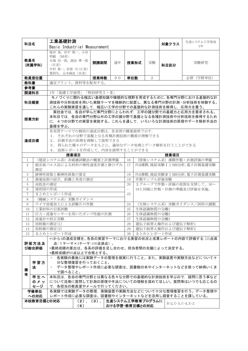| 科目名                                             |                                          | 工業基礎計測                                                                                           |      |                 |                |                                               |                                             |            | 生産システム工学専攻<br>対象クラス                                     |                                                    |  |  |  |
|-------------------------------------------------|------------------------------------------|--------------------------------------------------------------------------------------------------|------|-----------------|----------------|-----------------------------------------------|---------------------------------------------|------------|---------------------------------------------------------|----------------------------------------------------|--|--|--|
|                                                 |                                          | Basic Industrial Measurement                                                                     |      |                 |                |                                               |                                             |            |                                                         | $1$ 年                                              |  |  |  |
|                                                 |                                          | 福田泉,田中禎一,小田<br>明範 (M系)                                                                           |      |                 |                |                                               |                                             |            |                                                         |                                                    |  |  |  |
| 教員名                                             |                                          | 木場 信一郎, 湯治 準一郎                                                                                   |      | 開講期間            | 通年             | 授業形式                                          |                                             | 実験         |                                                         | 実験研究                                               |  |  |  |
|                                                 | (所属学科)                                   | (E系)                                                                                             |      |                 |                |                                               |                                             |            | 科目区分                                                    |                                                    |  |  |  |
|                                                 |                                          | 中村 裕一, 岩部 司 (C系)<br>墨利久, 元木純也 (B系)                                                               |      |                 |                |                                               |                                             |            |                                                         |                                                    |  |  |  |
|                                                 | 教員室位置                                    |                                                                                                  |      | 授業時数            | 90             | 単位数                                           |                                             | 2          |                                                         | 必修 (学修単位)                                          |  |  |  |
| 教科書                                             |                                          | 適宜プリント、資料等を配布する。                                                                                 |      |                 |                |                                               |                                             |            |                                                         |                                                    |  |  |  |
| 参考書                                             |                                          |                                                                                                  |      |                 |                |                                               |                                             |            |                                                         |                                                    |  |  |  |
|                                                 | 関連科目                                     | 1年「基礎工学演習」「特別研究 I · II                                                                           |      |                 |                |                                               |                                             |            |                                                         |                                                    |  |  |  |
|                                                 |                                          |                                                                                                  |      |                 |                |                                               |                                             |            |                                                         | モノづくりに関わる幅広い基礎知識や複眼的な視野を育成するために, 各専門分野における基盤的な計    |  |  |  |
|                                                 | 科目概要                                     |                                                                                                  |      |                 |                |                                               |                                             |            |                                                         | 測技術や分析技術を用いた実験テーマを横断的に配置し,異なる専門分野の計測・分析技術を体験する。    |  |  |  |
| これらの実験実習を通して、幅広い工学の分野での基盤的な計測技術を修得し、応用力を養う。     |                                          |                                                                                                  |      |                 |                |                                               |                                             |            |                                                         |                                                    |  |  |  |
|                                                 |                                          |                                                                                                  |      |                 |                | 実社会では、各自が学んだ専門分野にとらわれず、工学の諸分野での基礎力と応用力を要求される。 |                                             |            |                                                         |                                                    |  |  |  |
|                                                 | 授業方針                                     | 本科目では,各自の専門分野以外の工学の諸分野で基盤となる各種計測技術や分析技術を修得するため<br>に、4つの分野での実習を実施する。これらを通して、いろいろな計測技術の原理やデータ解析手法の |      |                 |                |                                               |                                             |            |                                                         |                                                    |  |  |  |
|                                                 |                                          | 基礎を学ぶ。                                                                                           |      |                 |                |                                               |                                             |            |                                                         |                                                    |  |  |  |
| 各実習テーマでの個別の達成目標は、各実習の概要説明で示す.                   |                                          |                                                                                                  |      |                 |                |                                               |                                             |            |                                                         |                                                    |  |  |  |
| 1. それぞれの分野で基盤となる各種計測技術の概要が理解できる                 |                                          |                                                                                                  |      |                 |                |                                               |                                             |            |                                                         |                                                    |  |  |  |
|                                                 | 2. 計測手法の原理を理解して説明できる<br>達成目標             |                                                                                                  |      |                 |                |                                               |                                             |            |                                                         |                                                    |  |  |  |
|                                                 |                                          | 3. 得られた種々のデータをもとに、適切なデータ処理とデータ解析を行うことができる                                                        |      |                 |                |                                               |                                             |            |                                                         |                                                    |  |  |  |
|                                                 |                                          | 4. 技術レポートを作成して、内容を説明することができる                                                                     |      |                 |                |                                               |                                             |            |                                                         |                                                    |  |  |  |
|                                                 |                                          |                                                                                                  | 授業項目 |                 |                | 16                                            |                                             |            | 授業項目                                                    |                                                    |  |  |  |
| (建設システム系) 非破壊試験法の概要と計測準備<br>1<br>$\overline{2}$ |                                          |                                                                                                  |      |                 |                |                                               |                                             |            | (情報システム系)薄膜作製・計測評価の準備<br>PLD薄膜, 焼結実験 I とXRD分析, 電子計測基礎実験 |                                                    |  |  |  |
| 超音波パルス法による材料の弾性速度計測と静ひずみ<br>17<br>測定            |                                          |                                                                                                  |      |                 |                |                                               |                                             |            |                                                         |                                                    |  |  |  |
| 静弾性係数と動弾性係数の算定<br>3                             |                                          |                                                                                                  |      |                 |                |                                               |                                             |            |                                                         | PLD薄膜, 焼結実験ⅡとXRD分析, 電子計測基礎実験                       |  |  |  |
| $\overline{4}$                                  |                                          | 測量技術の紹介、距離と角度の測定                                                                                 |      |                 |                | 18<br>19                                      |                                             | 作製サンプル評価実験 |                                                         |                                                    |  |  |  |
| 5                                               | 高低差の測定                                   |                                                                                                  |      |                 |                | 20                                            |                                             |            |                                                         | 2グループで作製・評価の役割を交替して、16~                            |  |  |  |
| 6                                               | 地形図の作成                                   |                                                                                                  |      |                 |                | $\overline{\phantom{0}}$                      |                                             |            |                                                         | 19と同様に作製・計測の準備及び評価を実施。                             |  |  |  |
| $\overline{7}$                                  |                                          | まとめとレポート作成                                                                                       |      |                 |                | 23                                            |                                             |            |                                                         |                                                    |  |  |  |
| 8                                               |                                          | (機械システム系) 実験ガイダンス                                                                                |      |                 |                |                                               |                                             |            |                                                         |                                                    |  |  |  |
| 9                                               |                                          | ワイヤ放電加工による試験片の作製                                                                                 |      |                 |                | 24                                            |                                             |            |                                                         | (生物システム系) 実験ガイダンス/試料の調製                            |  |  |  |
| 10                                              |                                          | 工業材料の引張試験                                                                                        |      |                 |                | 生体認識物質の分離1<br>25<br>生体認識物質の分離2                |                                             |            |                                                         |                                                    |  |  |  |
| 11                                              |                                          | 圧力・流量センサーを用いたポンプ性能の計測                                                                            |      |                 |                | 26                                            |                                             |            |                                                         |                                                    |  |  |  |
| 12<br>$13\,$                                    |                                          | 流量計の校正実験<br>放射線の測定(1)                                                                            |      |                 |                | 27                                            | 生体認識物質の分離3                                  |            |                                                         |                                                    |  |  |  |
| 14                                              |                                          | 放射線の測定(2)                                                                                        |      |                 |                | 29                                            | 28   遺伝子組替え操作および遺伝子解析1<br>遺伝子組替え操作および遺伝子解析2 |            |                                                         |                                                    |  |  |  |
| 15                                              |                                          | まとめとレポート作成                                                                                       |      |                 |                | 30                                            |                                             | まとめとレポート作成 |                                                         |                                                    |  |  |  |
|                                                 |                                          |                                                                                                  |      |                 |                |                                               |                                             |            |                                                         | *1から4の達成目標を、各系の実習テーマにおける実習の状況と成果レポートの内容で評価する (25点満 |  |  |  |
|                                                 | 評価方法及                                    | 点/1テーマ×4テーマ=100点満点)。                                                                             |      |                 |                |                                               |                                             |            |                                                         |                                                    |  |  |  |
|                                                 | び総合評価                                    | *最終成績の算出は、各系の評価を足し合わせ、担当者間の合議によって決定する。                                                           |      |                 |                |                                               |                                             |            |                                                         |                                                    |  |  |  |
|                                                 |                                          | *最終成績が60点以上で合格とする。                                                                               |      |                 |                |                                               |                                             |            |                                                         |                                                    |  |  |  |
| 各実験の最後には実験データの整理を確実に行うこと。また、実験装置や実験方法などについて十    |                                          |                                                                                                  |      |                 |                |                                               |                                             |            |                                                         |                                                    |  |  |  |
|                                                 | 学習方                                      |                                                                                                  |      | 分な整理復習を行っておくこと。 |                |                                               |                                             |            |                                                         |                                                    |  |  |  |
| 備                                               | 法                                        | で調べること。                                                                                          |      |                 |                |                                               |                                             |            |                                                         | - データ整理やレポート作成に必要な調査は、図書館の本やインターネットなどを使って納得いくま     |  |  |  |
| 考                                               | 学生へ                                      |                                                                                                  |      |                 |                |                                               |                                             |            |                                                         | 本科目は、各自の専門分野とは異なる色々な分野での基礎的な計測技術を学ぶので、疑問に思う事など     |  |  |  |
|                                                 | のメッ                                      |                                                                                                  |      |                 |                |                                               |                                             |            |                                                         | について活発に質問して計測の原理や手法についての理解を深めてほしい。質問等はいつでも応じるの     |  |  |  |
|                                                 | セージ                                      | で、各担当の教員室やメールで行ってください。                                                                           |      |                 |                |                                               |                                             |            |                                                         |                                                    |  |  |  |
|                                                 | 学修単位                                     |                                                                                                  |      |                 |                |                                               |                                             |            |                                                         | 各実験では実験データの整理、実験装置や実験方法などについて十分な整理復習を行う。データ整理や     |  |  |  |
|                                                 | への対応                                     |                                                                                                  |      |                 |                |                                               |                                             |            |                                                         | レポート作成に必要な調査は、図書館やインターネットなどを活用し調査することを課している。       |  |  |  |
|                                                 | 本校教育目標との対応<br>(2), (3), 生産システム工学教育プログラムに |                                                                                                  |      |                 |                |                                               |                                             |            | $B-2, C-3, C-4, E-2$                                    |                                                    |  |  |  |
|                                                 |                                          |                                                                                                  | (6)  |                 | おける学習・教育目標との対応 |                                               |                                             |            |                                                         |                                                    |  |  |  |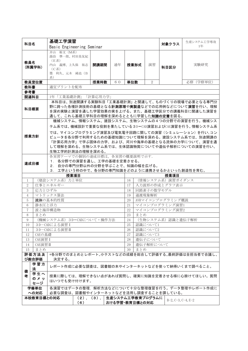|                                                                                                                                                                                                                       | 基礎工学演習<br>科目名                                                               |                                                                                                                                                                                                                           |  |                            |     |                 |        |           |                   | 生産システム工学専攻                                         |  |
|-----------------------------------------------------------------------------------------------------------------------------------------------------------------------------------------------------------------------|-----------------------------------------------------------------------------|---------------------------------------------------------------------------------------------------------------------------------------------------------------------------------------------------------------------------|--|----------------------------|-----|-----------------|--------|-----------|-------------------|----------------------------------------------------|--|
|                                                                                                                                                                                                                       |                                                                             | Basic Engineering Seminar                                                                                                                                                                                                 |  |                            |     |                 |        |           | 対象クラス             | 1年                                                 |  |
| 教員名<br>(所属学科)                                                                                                                                                                                                         |                                                                             | 井山 裕文 (M系)<br>湯治 準一郎、村田美友紀<br>(E系)<br>内山 義博、上久保 祐志<br>(C <sub>3</sub> )<br>墨 利久、元木 純也 (B<br>系)                                                                                                                            |  | 開講期間                       | 通年  | 授業形式            |        | 演習        | 科目区分              | 実験研究                                               |  |
|                                                                                                                                                                                                                       | 教員室位置                                                                       |                                                                                                                                                                                                                           |  | 授業時数                       | 6 0 | 単位数             |        | 2         |                   | 必修 (学修単位)                                          |  |
| 教科書                                                                                                                                                                                                                   |                                                                             | 適宜プリントを配布                                                                                                                                                                                                                 |  |                            |     |                 |        |           |                   |                                                    |  |
| 参考書                                                                                                                                                                                                                   |                                                                             |                                                                                                                                                                                                                           |  |                            |     |                 |        |           |                   |                                                    |  |
| 関連科目<br>1年「工業基礎計測」「計算応用力学」                                                                                                                                                                                            |                                                                             |                                                                                                                                                                                                                           |  |                            |     |                 |        |           |                   |                                                    |  |
| 本科目は、別途開講する実験科目「工業基礎計測」と関連して、ものづくりの現場で必要となる専門分<br>野に跨った各種計測技術の基礎となる <b>計測原理や実製造</b> などでの応用例などについて <b>演習</b> を行い、理解<br>科目概要<br>を深め実験と演習を通した学習効果の実を上げる。また、基礎工学区分での講義科目に関連した演習を<br>通して、これら基礎工学科目の理解を深めるとともに学習した知識の定着を図る。 |                                                                             |                                                                                                                                                                                                                           |  |                            |     |                 |        |           |                   |                                                    |  |
|                                                                                                                                                                                                                       |                                                                             |                                                                                                                                                                                                                           |  |                            |     |                 |        |           |                   | 機械システム、情報システム、建設システム、生物システムの4つの分野での演習を行う。機械シス      |  |
|                                                                                                                                                                                                                       |                                                                             |                                                                                                                                                                                                                           |  |                            |     |                 |        |           |                   | テム系では、機械設計で重要な役割を果たしている3D−CAD演習およびCAE演習を行う。情報システム系 |  |
| 授業方針                                                                                                                                                                                                                  |                                                                             | では、マイコンプログラミング演習及び電気電子回路に関しての演習(シミュレーション)を行い、コン<br>ピュータを各分野で利用するための基礎知識について理解を深める。建設システム系では、別途開講の<br>「計算応用力学」で学ぶ固体の力学、および、河川や海岸の基礎となる流体の力学について、演習を通<br>して理解を深める。生物システム系では、生体認識物質についてや遺伝子解析についての演習を行い、<br>生物工学的計測法の理解を深める。 |  |                            |     |                 |        |           |                   |                                                    |  |
|                                                                                                                                                                                                                       |                                                                             | 各実習テーマでの個別の達成目標は、各実習の概要説明で示す.                                                                                                                                                                                             |  |                            |     |                 |        |           |                   |                                                    |  |
| 達成目標                                                                                                                                                                                                                  |                                                                             | 1. 各分野での演習を通し、工学の基礎を定着させる。                                                                                                                                                                                                |  |                            |     |                 |        |           |                   |                                                    |  |
|                                                                                                                                                                                                                       |                                                                             | 2. 自分の専門分野以外の分野を学ぶことで、知識の幅を広げる。                                                                                                                                                                                           |  |                            |     |                 |        |           |                   |                                                    |  |
|                                                                                                                                                                                                                       | 3. 工学という枠の中で、各分野の専門知識をどのように連携させるかといった創造性を育む。<br>授業項目<br>授業項目                |                                                                                                                                                                                                                           |  |                            |     |                 |        |           |                   |                                                    |  |
| 1                                                                                                                                                                                                                     |                                                                             | (建設システム系) 力と単位                                                                                                                                                                                                            |  |                            |     | 16              |        |           | (情報システム系) 演習ガイダンス |                                                    |  |
| $\overline{2}$                                                                                                                                                                                                        |                                                                             | 仕事とエネルギー                                                                                                                                                                                                                  |  |                            |     | 17              |        |           | 入力波形の作成とグラフ表示     |                                                    |  |
| 3                                                                                                                                                                                                                     | 応力とひずみ                                                                      |                                                                                                                                                                                                                           |  |                            |     | 18              |        |           | 回路素子の数学モデル        |                                                    |  |
| $\overline{4}$                                                                                                                                                                                                        |                                                                             | マトリックス算法                                                                                                                                                                                                                  |  |                            |     | 19              | 過渡現象解析 |           |                   |                                                    |  |
| 5                                                                                                                                                                                                                     |                                                                             | 流体の基本的性質                                                                                                                                                                                                                  |  |                            |     | 20              |        |           | AVRマイコンプログラミング概説  |                                                    |  |
| 6                                                                                                                                                                                                                     | 静水圧と浮力                                                                      |                                                                                                                                                                                                                           |  |                            |     | 21              |        |           | マイコンプログラミング演習1    |                                                    |  |
| $\tau$                                                                                                                                                                                                                |                                                                             | 波と海岸構造物                                                                                                                                                                                                                   |  |                            |     | 22              |        |           | マイコンプログラミング演習2    |                                                    |  |
| 8<br>9                                                                                                                                                                                                                | まとめ                                                                         | (機械システム系) 3D-CADについて·操作方法                                                                                                                                                                                                 |  |                            |     | 23<br>24        | まとめ    |           | (生物システム系)認識と遺伝子解析 |                                                    |  |
| $10\,$                                                                                                                                                                                                                |                                                                             | 3D-CADによる演習 I                                                                                                                                                                                                             |  |                            |     | 25 <sup>7</sup> |        | 認識について1   |                   |                                                    |  |
| 11                                                                                                                                                                                                                    |                                                                             | 3D-CADによる演習II                                                                                                                                                                                                             |  |                            |     | 26              |        | 認識について2   |                   |                                                    |  |
| 12                                                                                                                                                                                                                    | CAEの基礎                                                                      |                                                                                                                                                                                                                           |  |                            |     | 27              |        | 認識について3   |                   |                                                    |  |
| 13                                                                                                                                                                                                                    | CAE演習 I                                                                     |                                                                                                                                                                                                                           |  |                            |     | 28              |        | 遺伝子について   |                   |                                                    |  |
| 14                                                                                                                                                                                                                    | CAE演習 II                                                                    |                                                                                                                                                                                                                           |  |                            |     | 29              |        | 遺伝子解析について |                   |                                                    |  |
| 15                                                                                                                                                                                                                    | まとめ                                                                         |                                                                                                                                                                                                                           |  |                            |     | 30              | まとめ    |           |                   |                                                    |  |
|                                                                                                                                                                                                                       | *各分野でのまとめとレポート、小テストなどの成績を総合して評価する。最終評価は全担当者で合議し、<br>評価方法及<br>び総合評価<br>決定する。 |                                                                                                                                                                                                                           |  |                            |     |                 |        |           |                   |                                                    |  |
|                                                                                                                                                                                                                       |                                                                             | レポート作成に必要な調査は、図書館の本やインターネットなどを使って納得いくまで調べること。<br>法<br>備                                                                                                                                                                   |  |                            |     |                 |        |           |                   |                                                    |  |
|                                                                                                                                                                                                                       | 学習方                                                                         |                                                                                                                                                                                                                           |  |                            |     |                 |        |           |                   |                                                    |  |
| 者                                                                                                                                                                                                                     | 学生へ<br>のメッ<br>セージ                                                           | はいつでも受け付けます。                                                                                                                                                                                                              |  |                            |     |                 |        |           |                   | 授業に際しては、理解できない点があれば質問し、確実に知識を定着させる様に心掛けてほしい。質問     |  |
|                                                                                                                                                                                                                       | 学修単位                                                                        |                                                                                                                                                                                                                           |  |                            |     |                 |        |           |                   | 各演習ではデータの整理,解析方法などについて十分な整理復習を行う。データ整理やレポート作成に     |  |
|                                                                                                                                                                                                                       | への対応<br>本校教育目標との対応                                                          | 必要な調査は、図書館やインターネットなどを活用し調査することを課している。                                                                                                                                                                                     |  | (2),(3),  生産システム工学教育プログラムに |     |                 |        |           |                   |                                                    |  |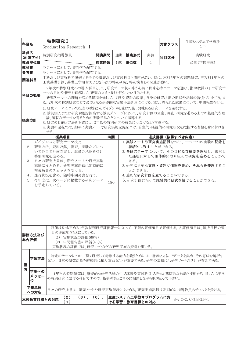| <b>科目名</b>                                                                                                                                                                                                                                                                                                                                                                                                                                                              | 特別研究 I   |                                          |      |     |      |    | 対象クラス | 生産システム工学専攻                                                                                                                                                              |  |  |
|-------------------------------------------------------------------------------------------------------------------------------------------------------------------------------------------------------------------------------------------------------------------------------------------------------------------------------------------------------------------------------------------------------------------------------------------------------------------------|----------|------------------------------------------|------|-----|------|----|-------|-------------------------------------------------------------------------------------------------------------------------------------------------------------------------|--|--|
|                                                                                                                                                                                                                                                                                                                                                                                                                                                                         |          | Graduation Research I                    |      |     |      |    |       | 1年                                                                                                                                                                      |  |  |
| 教員名<br>(所属学科)                                                                                                                                                                                                                                                                                                                                                                                                                                                           | 特別研究指導教員 |                                          | 開講期間 | 通期  | 授業形式 | 実験 | 科目区分  | 実験研究                                                                                                                                                                    |  |  |
| <b> 教員室位置</b>                                                                                                                                                                                                                                                                                                                                                                                                                                                           |          |                                          | 授業時数 | 180 | 単位数  | 4  |       | 必修(学修単位)                                                                                                                                                                |  |  |
| 教科書                                                                                                                                                                                                                                                                                                                                                                                                                                                                     |          | 各テーマに対して、資料等を配布する。                       |      |     |      |    |       |                                                                                                                                                                         |  |  |
| 参考書                                                                                                                                                                                                                                                                                                                                                                                                                                                                     |          | 各テーマに対して、資料等を配布する。                       |      |     |      |    |       |                                                                                                                                                                         |  |  |
| 関連科目                                                                                                                                                                                                                                                                                                                                                                                                                                                                    |          | 工業基礎計測、基礎工学演習および2年次の特別研究、特別演習との関連が強い。    |      |     |      |    |       | 本科および専攻科で履修する全ての講義および実験科目と関連が深い。特に、本科5年次の課題研究、専攻科1年次の                                                                                                                   |  |  |
| 科目の概要                                                                                                                                                                                                                                                                                                                                                                                                                                                                   |          | ーマの目的や概要を理解して、研究の方向づけを行うことを目的とする。        |      |     |      |    |       | 2年次の特別研究への導入科目として、研究テーマ例の中から特に興味を持つテーマを選び、指導教員の下で研究テ<br>研究テーマへの理解を深める過程を通して、文献や資料の収集、自身の研究状況の把握や記録の習慣づけを行う。ま<br>た、2年次の特別研究などで必要となる基礎的な実験手法を身につける。また、得られた成果について、中間報告を行う。 |  |  |
| 1. 研究テーマについて担当の教員からガイダンスを受けた後、興味ある研究テーマを選択する。<br> 2. 教員個人または研究課題を担当する教員グループによって、研究計画の立案、調査、研究を進める上での基礎的な理<br>論、適切なデータを得るための実験手法などについて指導する。<br> 授業方針<br>3. 研究の目的と方法を明確にし、2年次の特別研究の成果につなげるよう指導する。<br> 4. 実験の過程では、細かに実験ノートや研究実施記録をつけ、自主的・継続的に研究状況を把握する習慣を身に付けさ<br>せる。                                                                                                                                                                                                      |          |                                          |      |     |      |    |       |                                                                                                                                                                         |  |  |
|                                                                                                                                                                                                                                                                                                                                                                                                                                                                         |          | 授業項目                                     | 時間   |     |      |    |       |                                                                                                                                                                         |  |  |
| 達成目標(修得すべき内容)<br>1. ガイダンスと研究テーマ決定<br>1. 実験ノートや研究実施記録を作り、一つ一つの実験の記録を<br>2. 研究方法,資料収集,調査,実験などにつ<br>継続的に残すことができる。<br>いて各自で計画立案し、教員の承認を受け<br>2. 各研究テーマについて、その目的及び概要を理解し、選択し<br>特別研究を進める。<br>た課題に対して主体的に取り組んで研究を進めることがで<br>3. 日々の研究成果は、研究ノートや研究実施<br>きる。<br>記録にまとめる。研究実施記録は定期的に<br>3. 研究に必要な文献・資料や情報を集め、それらを整理するこ<br>指導教員のチェックを受ける。<br>とができる。<br>4. 進行状況を含め、随時中間発表を行う。<br>4. 適切な研究計画を立てることができる。<br>5. 今年度は、次ページに掲載する研究テーマ<br>5. 研究計画に沿って継続的に研究を続けることができる。<br>180<br>を予定している。 |          |                                          |      |     |      |    |       |                                                                                                                                                                         |  |  |
| 評価は別途定める1年次特別研究評価報告に従って、下記の評価項目で評価する。各評価項目は、達成目標の項<br>目の達成度をもとにしている。<br>評価方法及び<br>(1) 実施状況の評価(60%)<br>総合評価<br>(2) 中間報告書の評価(40%)<br>実施状況の評価では、研究ノートなどの研究実施の資料を用いる。                                                                                                                                                                                                                                                                                                       |          |                                          |      |     |      |    |       |                                                                                                                                                                         |  |  |
| 特定のテーマについて深く研究して考察する能力を養うためには、適切な方法でデータを集め、その意味を解析す<br>学習方法<br>ること、日常の研究活動を継続的に積み重ねることが重要である。研究の蓄積には研究ノートの活用が有効である。<br>備                                                                                                                                                                                                                                                                                                                                                |          |                                          |      |     |      |    |       |                                                                                                                                                                         |  |  |
| 考<br>学生への<br>メッセー<br>ジ                                                                                                                                                                                                                                                                                                                                                                                                                                                  |          | の特別研究に繋げる科目ですので、指導教員とこまめに相談しながら取り組んで下さい。 |      |     |      |    |       | 1年次の特別研究は、継続的な研究活動の中で講義や実験科目で培った基礎的な知識と技術を活用して、2年次                                                                                                                      |  |  |
| 学修単位<br>への対応                                                                                                                                                                                                                                                                                                                                                                                                                                                            |          |                                          |      |     |      |    |       | 日々の研究成果は、研究ノートや研究実施記録にまとめる。研究実施記録は定期的に指導教員のチェックを受ける。                                                                                                                    |  |  |
| $(3)$ , $(6)$ .<br> 生産システム工学教育プログラムにお<br>$(2)$ .<br>B-2,C-2, C-3,E-2,F-1<br>本校教育目標との対応<br>(1)<br>ける学習・教育目標との対応                                                                                                                                                                                                                                                                                                                                                          |          |                                          |      |     |      |    |       |                                                                                                                                                                         |  |  |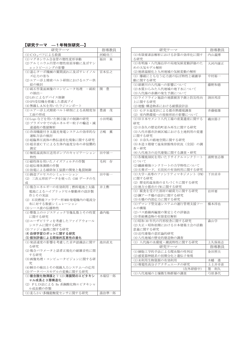#### ■【研究テーマ –1年特別研究–】

| 研究テーマ                                     | 指導教員    |
|-------------------------------------------|---------|
| (1) CO <sub>2</sub> パフによる殺菌               | 河崎功三    |
| (1)マグネシウム合金管の塑性変形挙動                       | 福田 泉    |
| (2)アルミニウム円管の塑性座屈挙動に及ぼすシ                   |         |
| ョットピーニングの影響                               |         |
| (1)遠心ターボ機械の翼間流れに及ぼすレイノル                   | 宮本弘之    |
| ズ応力の寄与                                    |         |
| (2)エアー浮上精密ベルト研削におけるエアー供                   |         |
| 給の検討                                      |         |
| (1) 砥石作業面画像のコンピュータ処理<br>一砥粒               | 豊<br>開  |
| の抽出ー                                      |         |
| (2)LAN によるデバイス制御                          |         |
| (3)GPS受信機を搭載した漂流ブイ                        |         |
| (4) 無線LANを用いたラジコンボート                      |         |
|                                           |         |
| (1)エアー浮上式精密ベルト研削による高精度加                   | 豊浦 茂    |
| 工面の形成                                     |         |
| (1) Lego などを用いた倒立振子の制御の研究                 | 小田明範    |
| (2)プラズマ中での高エネルギー粒子の輸送·減                   |         |
| 速過程の数値解析                                  |         |
| (1) 冷却機能付き太陽光発電システムの効率的な                  | 古嶋<br>薫 |
| 運転方法の検討                                   |         |
| (2)超臨界圧流体の熱伝達劣化現象に関する研究                   |         |
| (3)超音波CTによる生体内温度分布の非侵襲的                   |         |
| 測定                                        |         |
| (1)極低温流体圧送用ポンプのキャビテーション                   | 田中禎一    |
| 特性                                        |         |
| (1)磁性体を用いたノイズフィルタの作製                      | 毛利 存    |
| (2)超伝導体薄膜の作製                              |         |
| (3)放電による破砕加工装置の開発と亀裂制御                    |         |
| (1)鋳造プロセスのシミュレーション                        | 田中裕一    |
| (2) 三次元形状データを使った CAM データの生                |         |
| 成                                         |         |
| (1) 複合エネルギーの有効利用;燃料電池と太陽                  | 井上勲     |
| 電池によるハイブリッドセル駆動車の設計製                      |         |
| 作とその実証                                    |         |
| (2)石炭燃焼ファラデー形MHD発電機内の電流分                  |         |
| 布に対する数値シミュレーション                           |         |
| (3)シース波の伝播特性                              |         |
| (1) 整数上のロジスティック写像乱数とその性質                  | 森内勉     |
| に関する研究                                    |         |
| (2)ユーザビリティを考慮したファイアウォール                   |         |
| システムに関する研究                                |         |
| (3)ファジィ論理に関する研究                           |         |
|                                           |         |
| (4) 自律学習ロボットに関する研究<br>(5)個別評価による間接的互恵性の進化 |         |
|                                           |         |
| (1)発話速度の影響を考慮した音声認識法に関す                   | 池田直光    |
| る研究                                       |         |
| (2)複合パラメータと話者正規化の耐雑音性に関                   |         |
| する研究                                      |         |
| (3) 画像処理・コンピュータビジョンに関する研                  |         |
| 究                                         |         |
| (4) 瞬目の検出とその視線入力システムへの応用                  |         |
| (3)データベースモデルの変換に関する研究                     |         |
| (1) 複合酸化物薄膜と Y-123 薄膜間のエピタキシ              | 木場信一郎   |
| ャル成長と3層構造化                                |         |
| (2) PLD法による Ba 系銅酸化物エピタキシャ                |         |
| ル成長膜の作製                                   |         |
| (1)柔らかい多機能触覚センサに関する研究                     | 湯治準一郎   |

| 研究テーマ                                             | 指導教員    |
|---------------------------------------------------|---------|
| (1)有限要素法解析における計算の効率化に関す<br>る研究                    | 内山義博    |
| (1)有明海·八代海沿岸の局地気候変動評価のた<br>めの大気モデル解析              | 大河内康正   |
| (2)地球温暖化と九州地域の気候変動の解析                             |         |
| (1) 爆破にともなう応力波の伝ぱ特性と破壊挙<br>動に関する研究                | 中村裕一    |
| (1)球磨川の八代海への影響について<br>(2)水質からみた八代地域の地下水について       | 藤野和徳    |
| (3)八代海の赤潮の発生予測について                                |         |
| (1)ライフライン施設の地震被害予測と防災性向<br>上に関する研究                | 渕田邦彦    |
| (2) 地盤-構造物系における耐震設計法                              |         |
| (1) GPS温度計による都市熱環境調査<br>(2) 室内熱環境への屋根形状の影響について    | 斉藤郁雄    |
| (1) 旧日本セメント八代工場の産業遺産に関する<br>研究                    | 磯田節子    |
| (2)日奈久の歴史的町並み再生に関する研究                             |         |
| (3)八代市都市計画区域における土地利用の変遷<br>に関する研究                 |         |
| (4)日奈久の路地空間に関する研究                                 |         |
| (5)木造3階建て温泉旅館残存状況(全国)の調                           |         |
| 査・研究<br>(6) 八代地方の近代建築に関する調査・研究                    |         |
| (1)各種焼却灰を用いたリサイクルコンクリート                           | 浦野登志雄   |
| について                                              |         |
| (2)繊維補強コンクリートの力学特性について<br>(3)石膏ボード、石炭灰の有効利用に関する研究 |         |
| (1) 大学・高専のファシリティマネジメント (FM)                       | 下田貞幸    |
| に関する研究                                            |         |
| (2)歴史的温泉街のまちづくりに関する研究<br>(3) 地方小都市の FM に関する研究     |         |
| (1) 腐食を受けた部材の耐荷力に関する研究                            | 岩坪要     |
| (2)鋼アーチ橋の設計に関する研究                                 |         |
| (3)石橋の内部応力に関する研究                                  |         |
| (1)デマンド型交通システムの運行管理支援ツー                           | 橋本淳也    |
| ルの構築                                              |         |
| (2)バス路線再編案の策定とその評価法<br>(3)骨組構造物の有限変位解析            |         |
| (1)昭和30年代の円形校舎に関する研究                              | 森山学     |
| (2)大正・昭和初期における日本建築士会の活動                           |         |
| 意義に関する研究                                          |         |
| (3)近代建築の意匠論的研究                                    |         |
| (4) 八代地域の歴史的建造物の調査                                |         |
| (1) 八代海の水環境·潮流特性に関する研究                            | 上久保祐志   |
| 研究テーマ                                             | 指導教員    |
| (1) 細胞工学的手法による爬虫類の性判定<br>(2)感覚器神経系の初期分化と遺伝子発現     | 金田照夫    |
| (1) 未利用生物資源の有効利用                                  | 進<br>木幡 |
| (1)導電性高分子アクチュエータの研究                               | 上土井幸喜   |
| (在外研修中)                                           | 墨<br>利久 |
| (1) 八代地域の土壌微生物群層の調査                               | 弓原多代    |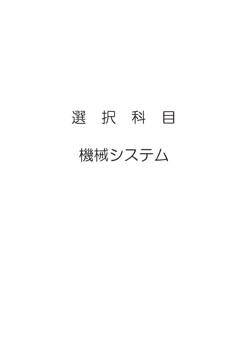# 選 択 科 目

### 機械システム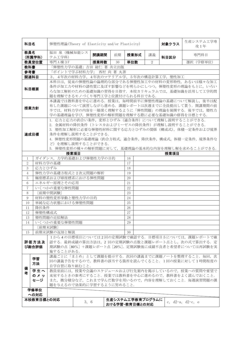| 科目名                                                                                                                                                                                                                                                                                                                     |                                                                                                                                                                                                      | 弹塑性理論(Theory of Elasticity and/or Plasticity) |      | 対象クラス |                  | 生産システム工学専<br>攻1年 |  |    |      |  |                                                                                                     |
|-------------------------------------------------------------------------------------------------------------------------------------------------------------------------------------------------------------------------------------------------------------------------------------------------------------------------|------------------------------------------------------------------------------------------------------------------------------------------------------------------------------------------------------|-----------------------------------------------|------|-------|------------------|------------------|--|----|------|--|-----------------------------------------------------------------------------------------------------|
| 教員名                                                                                                                                                                                                                                                                                                                     | (所属学科)                                                                                                                                                                                               | 福田 泉 (機械知能シス<br>テム工学科)                        |      | 開講期間  | 前期               | 授業形式             |  | 講義 | 科目区分 |  | 専門科目                                                                                                |
|                                                                                                                                                                                                                                                                                                                         | 教員室位置                                                                                                                                                                                                | 専門A棟3F                                        |      | 授業時数  | 30               | 単位数              |  | 2  |      |  | 選択 (学修単位)                                                                                           |
| 教科書                                                                                                                                                                                                                                                                                                                     |                                                                                                                                                                                                      | 「弾塑性力学の基礎」吉田 総仁 著 共立出版                        |      |       |                  |                  |  |    |      |  |                                                                                                     |
| 参考書                                                                                                                                                                                                                                                                                                                     |                                                                                                                                                                                                      | 「ポイントで学ぶ材料力学」 西村 尚 著 丸善                       |      |       |                  |                  |  |    |      |  |                                                                                                     |
|                                                                                                                                                                                                                                                                                                                         | 関連科目                                                                                                                                                                                                 | 3, 4年次の材料力学、4年次のマテリアル学、5年次の構造計算工学,塑性加工        |      |       |                  |                  |  |    |      |  |                                                                                                     |
|                                                                                                                                                                                                                                                                                                                         |                                                                                                                                                                                                      |                                               |      |       |                  |                  |  |    |      |  | 本科目は、従来の弾塑性論の論理的な部分である弾塑性加工中の材料の変形特性、あるいは様々な加工                                                      |
|                                                                                                                                                                                                                                                                                                                         | 科目概要                                                                                                                                                                                                 | 題を理解できるモノづくり専門工学と位置付けられる科目である.                |      |       |                  |                  |  |    |      |  | 条件が加工力や材料の諸性質に及ぼす影響などを明らかにしつつ、弾塑性変形の理論をもとに、いろい<br>ろな加工解析のための基礎知識の習得を目指す. 本校カリキュラムでは、基礎知識を活用して工学的問   |
| 本講義では教科書を中心に進める。授業は、毎時間前半に弾塑性理論の基礎について解説し、後半は配<br>布した課題について演習しながら進める。課題レポートは次週までに全員提出して貰う。開講期間の前<br>授業方針<br>半では,材料力学の内容を一層深く理解するように「弾性問題」の理論を展開する.後半では,塑性力<br>学の基礎理論を学び, 弾塑性変形の解析問題を理解する際に必要な基礎知識の修得を目標とする.                                                                                                             |                                                                                                                                                                                                      |                                               |      |       |                  |                  |  |    |      |  |                                                                                                     |
| 1. 応力と応力の釣合い条件, 変形とひずみ (適合条件) について理解し説明することができる.<br>2. 金属材料の降伏条件(トレスカおよびミーゼスの降伏条件)が理解し説明することができる.<br>3. 塑性加工解析に必要な弾塑性材料に関する応力とひずみの関係 (構成式), 体積一定条件および境界<br>達成目標<br>条件を理解し説明することができる.<br>4. 弾塑性変形問題の基礎理論 (釣合方程式, 適合条件, 降伏条件, 構成式, 体積一定条件, 境界条件な<br>ど)を理解し説明することができる.<br>5. 弾塑性変形の種々の解析問題に対して、基礎理論の基本的な内容を理解し解を求めることができる. |                                                                                                                                                                                                      |                                               |      |       |                  |                  |  |    |      |  |                                                                                                     |
|                                                                                                                                                                                                                                                                                                                         |                                                                                                                                                                                                      |                                               | 授業項目 |       |                  |                  |  |    | 授業項目 |  |                                                                                                     |
| 1                                                                                                                                                                                                                                                                                                                       |                                                                                                                                                                                                      | ガイダンス、力学的基礎および弾塑性力学の目的                        |      |       |                  | 16               |  |    |      |  |                                                                                                     |
| $\sqrt{2}$                                                                                                                                                                                                                                                                                                              |                                                                                                                                                                                                      | 材料力学の基礎                                       |      |       |                  | 17<br>18         |  |    |      |  |                                                                                                     |
|                                                                                                                                                                                                                                                                                                                         | 3<br>応力とひずみ                                                                                                                                                                                          |                                               |      |       |                  |                  |  |    |      |  |                                                                                                     |
| $\overline{4}$                                                                                                                                                                                                                                                                                                          |                                                                                                                                                                                                      | 弾性力学の基礎方程式と2次元問題の解析                           |      |       |                  | 19               |  |    |      |  |                                                                                                     |
| 5                                                                                                                                                                                                                                                                                                                       |                                                                                                                                                                                                      | 極座標系および球座標系における弾性問題                           |      |       |                  | 20               |  |    |      |  |                                                                                                     |
| 6                                                                                                                                                                                                                                                                                                                       |                                                                                                                                                                                                      | エネルギー原理とその応用                                  |      |       |                  | 21               |  |    |      |  |                                                                                                     |
| $\overline{7}$                                                                                                                                                                                                                                                                                                          |                                                                                                                                                                                                      | いくつかの重要な弾性問題                                  |      |       |                  | 22               |  |    |      |  |                                                                                                     |
| 8                                                                                                                                                                                                                                                                                                                       |                                                                                                                                                                                                      | [前期中間試験]                                      |      |       |                  | 23               |  |    |      |  |                                                                                                     |
| 9                                                                                                                                                                                                                                                                                                                       |                                                                                                                                                                                                      | 材料の塑性変形挙動と塑性力学の目的                             |      |       |                  | 24               |  |    |      |  |                                                                                                     |
| 10                                                                                                                                                                                                                                                                                                                      |                                                                                                                                                                                                      | 単純な応力状態における弾塑性問題                              |      |       |                  | 25               |  |    |      |  |                                                                                                     |
| 11                                                                                                                                                                                                                                                                                                                      | 降伏条件                                                                                                                                                                                                 |                                               |      |       |                  | 26               |  |    |      |  |                                                                                                     |
| 12                                                                                                                                                                                                                                                                                                                      | 弾塑性構成式                                                                                                                                                                                               |                                               |      |       |                  | 27               |  |    |      |  |                                                                                                     |
| 13                                                                                                                                                                                                                                                                                                                      |                                                                                                                                                                                                      | 塑性問題の近似解法                                     |      |       |                  | 28               |  |    |      |  |                                                                                                     |
| 14                                                                                                                                                                                                                                                                                                                      |                                                                                                                                                                                                      | いくつかの重要な弾塑性問題                                 |      |       |                  | 29               |  |    |      |  |                                                                                                     |
|                                                                                                                                                                                                                                                                                                                         |                                                                                                                                                                                                      | [前期末試験]                                       |      |       |                  |                  |  |    |      |  |                                                                                                     |
| 15                                                                                                                                                                                                                                                                                                                      |                                                                                                                                                                                                      | 前期末試験の返却と解説                                   |      |       |                  | 30               |  |    |      |  |                                                                                                     |
|                                                                                                                                                                                                                                                                                                                         |                                                                                                                                                                                                      |                                               |      |       |                  |                  |  |    |      |  |                                                                                                     |
| 1から4の目標項目については2回の定期試験で確認する。目標項目5については、課題レポートで確<br>認する. 最終成績の算出方法は、2回の定期試験の点数と課題レポート点とし、次の式で算出する. 定<br>評価方法及<br>期試験の点「80%]+課題レポート点「20%]. 定期試験後に成績不良者と希望者については再試験を実<br>び総合評価<br>施することがある.                                                                                                                                 |                                                                                                                                                                                                      |                                               |      |       |                  |                  |  |    |      |  |                                                                                                     |
| 備                                                                                                                                                                                                                                                                                                                       | 学習<br>方法                                                                                                                                                                                             | 自学自習に取り組むこと.                                  |      |       |                  |                  |  |    |      |  | 講義ごとに「まとめ」として課題を提示する. 次回の講義までに課題ノートを整理すること. 毎回、次<br>回の講義予告をするので、教科書の該当する箇所を読んでくること. 1回の授業に対して1時間程度の |
| 者                                                                                                                                                                                                                                                                                                                       | 学生へ<br>教員室前には、授業や会議のスケジュールおよび行先案内を掲示しているので、授業への質問や要望で<br>のメッ<br>来室するときの参考にすること.授業では教科書を中心に進めるので,教科書をよく読んでおくこと.<br>セージ<br>また、微分積分など、これまで学んだ数学を用いるので、内容を理解しておくこと. 毎週演習問題の課<br>題を与えるので効果的に学習するように努めること. |                                               |      |       |                  |                  |  |    |      |  |                                                                                                     |
|                                                                                                                                                                                                                                                                                                                         | 学修単位<br>への対応                                                                                                                                                                                         |                                               |      |       |                  |                  |  |    |      |  |                                                                                                     |
|                                                                                                                                                                                                                                                                                                                         | 本校教育目標との対応                                                                                                                                                                                           |                                               |      |       | 生産システム工学教育プログラムに |                  |  |    |      |  |                                                                                                     |
|                                                                                                                                                                                                                                                                                                                         |                                                                                                                                                                                                      |                                               | 3, 6 |       | おける学習・教育目標との対応   |                  |  |    |      |  | c, $d2-a$ , $d2-c$ , e                                                                              |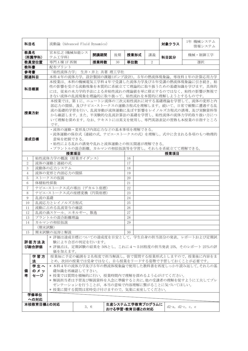| 科目名                                                                                                                                                                                                                                                                   |                | 流動論 (Advanced Fluid Dynamics)               |      |      |                                    |      | 対象クラス | 1年 機械システム<br>情報システム |  |                        |                                                                                                           |
|-----------------------------------------------------------------------------------------------------------------------------------------------------------------------------------------------------------------------------------------------------------------------|----------------|---------------------------------------------|------|------|------------------------------------|------|-------|---------------------|--|------------------------|-----------------------------------------------------------------------------------------------------------|
| 教員名                                                                                                                                                                                                                                                                   | (所属学科)         | 宮本弘之 (機械知能シス<br>テム工学科)                      |      | 開講期間 | 後期                                 | 授業形式 |       | 講義                  |  | 科目区分                   | 機械·制御工学                                                                                                   |
|                                                                                                                                                                                                                                                                       | 教員室位置          | 専門 A 棟 1F 西側                                |      | 授業時数 | 30                                 | 単位数  |       | $\overline{2}$      |  |                        | 選択                                                                                                        |
| 教科書                                                                                                                                                                                                                                                                   |                | 配布プリント                                      |      |      |                                    |      |       |                     |  |                        |                                                                                                           |
| 参考書                                                                                                                                                                                                                                                                   |                | 「粘性流体力学」 生井·井上 共著 理工学社                      |      |      |                                    |      |       |                     |  |                        |                                                                                                           |
|                                                                                                                                                                                                                                                                       | 関連科目           |                                             |      |      |                                    |      |       |                     |  |                        | 本科4年の流体力学,設計製図の課題(ポンプ設計),5年の熱流体現象論、専攻科1年の計算応用力学                                                           |
|                                                                                                                                                                                                                                                                       |                |                                             |      |      |                                    |      |       |                     |  |                        | 本授業は、本科の機械電気工学科4年で受講した流体力学及び5年受講の熱流体現象論に引き続き、粘                                                            |
|                                                                                                                                                                                                                                                                       | 科目概要           | きない流体の乱流現象を理論的に取り扱って、粘性流れを本質的に理解しようとするものです。 |      |      |                                    |      |       |                     |  |                        | 性の影響を受ける流動現象を本質的に系統立てて理論的に取り扱うための基礎知識を学びます。具体的<br>には、従来の水力学的手法による非粘性流れの理論値を単に修正するのではなく、粘性の影響が無視で          |
| 本授業では、第1に、ニュートン流体の三次元粘性流れに対する基礎理論を学習して、流体の変形と内<br>部応力の関係、及びナビエ·ストークスの運動方程式を理解します。続いて、日常で頻繁に遭遇する乱<br>流の基礎的学習を行い、乱流挙動が流体運動に及ぼす影響をレイノルズ方程式の誘導、及び実験資料等<br>授業方針<br>から確認します。また、半実験的な乱流計算法の基礎を学習し、粘性流体の流体力学的取り扱い方につ<br>いて理解を深めます。なお、テキストには英文を使用し、専門英語表記の習熟も本授業の目指すところ<br>です。 |                |                                             |      |      |                                    |      |       |                     |  |                        |                                                                                                           |
| ・流体の運動・変形及び内部応力などの基本事項を理解できる。<br>•流体運動の保存式(連続の式、ナビエ・ストークスの式)を理解し、式中に含まれる各項のもつ物理的<br>意味を把握できる。<br>達成目標<br>・粘性による乱れの誘発や乱れと流体運動との相互関連が理解できる。<br>・プラントルの混合距離,カルマンの相似仮説等を学習し,それらを系統立てて理解できる。                                                                               |                |                                             |      |      |                                    |      |       |                     |  |                        |                                                                                                           |
|                                                                                                                                                                                                                                                                       |                | 授業項目                                        |      |      |                                    |      |       |                     |  | 授業項目                   |                                                                                                           |
| 1                                                                                                                                                                                                                                                                     |                | 粘性流体力学の概説 (授業ガイダンス)                         |      |      |                                    | 16   |       |                     |  |                        |                                                                                                           |
| $\overline{2}$                                                                                                                                                                                                                                                        |                | 流体の運動と連続の式                                  |      |      |                                    | 17   |       |                     |  |                        |                                                                                                           |
| 3                                                                                                                                                                                                                                                                     | 流動体の応力システム     |                                             |      |      |                                    |      |       |                     |  |                        |                                                                                                           |
| 4                                                                                                                                                                                                                                                                     |                | 流体の変形と内部応力の関係                               |      |      |                                    | 19   |       |                     |  |                        |                                                                                                           |
| 5                                                                                                                                                                                                                                                                     |                | ストークスの仮説                                    |      |      |                                    | 20   |       |                     |  |                        |                                                                                                           |
| 6                                                                                                                                                                                                                                                                     | 体積粘性係数         |                                             |      |      |                                    | 21   |       |                     |  |                        |                                                                                                           |
| $\overline{7}$                                                                                                                                                                                                                                                        |                | ナビエ・ストークス式の導出(デカルト座標)                       |      |      |                                    | 22   |       |                     |  |                        |                                                                                                           |
| 8                                                                                                                                                                                                                                                                     |                | ナビエ・ストークス式の座標変換 (円筒座標)                      |      |      |                                    | 23   |       |                     |  |                        |                                                                                                           |
| 9                                                                                                                                                                                                                                                                     | 乱流の基礎          |                                             |      |      |                                    | 24   |       |                     |  |                        |                                                                                                           |
| 10                                                                                                                                                                                                                                                                    |                | 乱流応力とレイノルズ方程式                               |      |      |                                    | 25   |       |                     |  |                        |                                                                                                           |
| 11                                                                                                                                                                                                                                                                    |                | 流動に占める乱流寄与の確認                               |      |      |                                    | 26   |       |                     |  |                        |                                                                                                           |
| 12                                                                                                                                                                                                                                                                    |                | 乱流の渦スケール、エネルギー、散逸                           |      |      |                                    | 27   |       |                     |  |                        |                                                                                                           |
| 13                                                                                                                                                                                                                                                                    |                | プラントルの混合距離理論                                |      |      |                                    | 28   |       |                     |  |                        |                                                                                                           |
| 14                                                                                                                                                                                                                                                                    |                | カルマンの相似仮説                                   |      |      |                                    | 29   |       |                     |  |                        |                                                                                                           |
|                                                                                                                                                                                                                                                                       | (期末試験)         |                                             |      |      |                                    |      |       |                     |  |                        |                                                                                                           |
| 15                                                                                                                                                                                                                                                                    |                | 期末試験の返却と解説                                  |      |      |                                    | 30   |       |                     |  |                        |                                                                                                           |
|                                                                                                                                                                                                                                                                       | 評価方法及<br>び総合評価 | 験により合否の判定を行います。                             |      |      |                                    |      |       |                     |  |                        | * 評価は達成目標についての達成度を目安として、学生自身の担当部分の発表、レポートおよび定期試<br>* 評価点は、定期試験の結果を 50%とし、これに4~5回程度の担当発表 25%, そのレポート 25%の評 |
|                                                                                                                                                                                                                                                                       |                | 価を加えます。                                     |      |      |                                    |      |       |                     |  |                        |                                                                                                           |
| 授業毎に予定の範囲を2名程度で担当解説し、皆で質問する授業形式としますので、授業後に内容をま<br>学習方<br>法<br>とめ,次回の授業では受身ではなく,自ら授業をリードする姿勢で予習しておくことが必要です。                                                                                                                                                            |                |                                             |      |      |                                    |      |       |                     |  |                        |                                                                                                           |
|                                                                                                                                                                                                                                                                       | 学生へ            |                                             |      |      |                                    |      |       |                     |  |                        | * 本科4年の流体力学及び5年の熱流体現象論で使用した教科書を再度しっかり読み返して、それらの基                                                          |
| 備                                                                                                                                                                                                                                                                     | のメッ            | 礎知識を再確認して下さい。                               |      |      |                                    |      |       |                     |  |                        |                                                                                                           |
| 者<br>セージ<br>* 授業では質問を積極的に行い,授業時間内で理解を深めるよう心がけてください。<br>* 解説担当者は予習及び解説資料を入念に準備すると共に,他の受講者の理解を促すように工夫してプレ<br>ゼンテーションを行うことが,本当の意味で内容理解に繋がることに気づいてほしい。                                                                                                                    |                |                                             |      |      |                                    |      |       |                     |  |                        |                                                                                                           |
|                                                                                                                                                                                                                                                                       |                | * 授業に関する質問は常時受け付けますので,気楽に来室してください。          |      |      |                                    |      |       |                     |  |                        |                                                                                                           |
|                                                                                                                                                                                                                                                                       | 学修単位<br>への対応   |                                             |      |      |                                    |      |       |                     |  |                        |                                                                                                           |
|                                                                                                                                                                                                                                                                       | 本校教育目標との対応     |                                             | 3, 6 |      | 生産システム工学教育プログラムに<br>おける学習・教育目標との対応 |      |       |                     |  | $d2-a$ , $d2-c$ , c, e |                                                                                                           |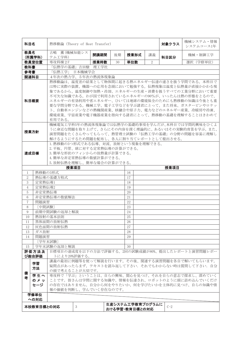| 科目名                                                                                                                                                                                                                                                                                                                                                                                                                             |                                        | 熱移動論 (Theory of Heat Transfer)                                                                                                                                                                                                                                                            |      |    | 対象クラス            | 機械システム・情報<br>システムコース1年 |      |           |  |
|---------------------------------------------------------------------------------------------------------------------------------------------------------------------------------------------------------------------------------------------------------------------------------------------------------------------------------------------------------------------------------------------------------------------------------|----------------------------------------|-------------------------------------------------------------------------------------------------------------------------------------------------------------------------------------------------------------------------------------------------------------------------------------------|------|----|------------------|------------------------|------|-----------|--|
| 教員名                                                                                                                                                                                                                                                                                                                                                                                                                             | (所属学科)                                 | 古嶋 薫(機械知能シス<br>テム工学科)                                                                                                                                                                                                                                                                     | 開講期間 | 後期 | 授業形式             | 講義                     | 科目区分 | 機械·制御工学   |  |
|                                                                                                                                                                                                                                                                                                                                                                                                                                 | 教員室位置                                  | 専攻科棟 2F                                                                                                                                                                                                                                                                                   | 授業時数 | 30 | 単位数              | $\overline{2}$         |      | 選択 (学修単位) |  |
| 教科書                                                                                                                                                                                                                                                                                                                                                                                                                             |                                        | 「伝熱学の基礎」吉田駿 理工学社                                                                                                                                                                                                                                                                          |      |    |                  |                        |      |           |  |
| 参考書                                                                                                                                                                                                                                                                                                                                                                                                                             |                                        | 「伝熱工学」 日本機械学会                                                                                                                                                                                                                                                                             |      |    |                  |                        |      |           |  |
| 関連科目                                                                                                                                                                                                                                                                                                                                                                                                                            |                                        | 4年次の熱力学、5年次の熱流体現象論                                                                                                                                                                                                                                                                        |      |    |                  |                        |      |           |  |
| 熱移動論は、温度差の結果として物体間に起きる熱エネルギー伝達の速さを扱う学問である。本科目で<br>は特に実際の装置、機器への応用を念頭において勉強する。伝熱現象は温度と伝熱量が直接かかわる現<br>象であるから、温度制御や加熱・冷却、エネルギーの生産・消費を扱うすべての工業分野において重要<br>不可欠な知識である。わが国で利用されているエネルギーの90%が、いったんは熱の形態をとるので、<br>エネルギーの有効利用や省エネルギー、ひいては地球の環境保全のためにも熱移動の知識は今後とも重<br>科目概要<br>要な学問分野である。機械工学、電子工学などを学ぶ諸君にとって、また将来、ガスタービンやロケッ<br>ト、自動車エンジンなどの熱機関産業、核融合や原子力、電力などのエネルギー産業、冷暖房や冷凍、<br>環境産業、宇宙産業や電子機器産業を指向する諸君にとって、熱移動の基礎を理解することはきわめて<br>有用である。 |                                        |                                                                                                                                                                                                                                                                                           |      |    |                  |                        |      |           |  |
| 機械電気工学科5年の熱流体現象論では伝熱学の基礎的事項を学んだが、本科目では学問的興味をひくよ<br>うに身近な問題を取り上げて、さらにその内容を深く理論的に、あるいはその実験的背景を学ぶ。また、<br>授業方針<br>演習問題をたくさんやってもらって、熱管理士試験の「伝熱工学の基礎」の分野の問題を容易に理解し<br>解けるようにするため問題を配布し、各人に割り当てレポートとして提出させる。                                                                                                                                                                                                                           |                                        |                                                                                                                                                                                                                                                                                           |      |    |                  |                        |      |           |  |
| 達成目標                                                                                                                                                                                                                                                                                                                                                                                                                            |                                        | 1. 熱移動の3つ形式である伝導、対流、放射という現象を理解できる。<br>2.平板、円管、球に対する定常熱伝導の計算ができる。<br>3. 簡単な形状のフィンからの放熱量が計算できる。<br>4.簡単な非定常熱伝導の数値計算ができる。<br>5. 放射伝熱を理解し、簡単な場合の計算ができる。                                                                                                                                       |      |    |                  |                        |      |           |  |
|                                                                                                                                                                                                                                                                                                                                                                                                                                 |                                        | 授業項目                                                                                                                                                                                                                                                                                      |      |    |                  |                        | 授業項目 |           |  |
| 1                                                                                                                                                                                                                                                                                                                                                                                                                               | 熱移動の3形式                                |                                                                                                                                                                                                                                                                                           |      |    | 16               |                        |      |           |  |
| $\overline{2}$                                                                                                                                                                                                                                                                                                                                                                                                                  |                                        | 熱伝導の基礎方程式                                                                                                                                                                                                                                                                                 |      |    | 17               |                        |      |           |  |
| 3                                                                                                                                                                                                                                                                                                                                                                                                                               |                                        | 定常熱伝導1                                                                                                                                                                                                                                                                                    |      |    | 18               |                        |      |           |  |
|                                                                                                                                                                                                                                                                                                                                                                                                                                 |                                        |                                                                                                                                                                                                                                                                                           |      |    | 19               |                        |      |           |  |
| $\overline{4}$                                                                                                                                                                                                                                                                                                                                                                                                                  | 定常熱伝導2                                 |                                                                                                                                                                                                                                                                                           |      |    |                  |                        |      |           |  |
| 5                                                                                                                                                                                                                                                                                                                                                                                                                               | 非定常熱伝導                                 |                                                                                                                                                                                                                                                                                           |      |    | 20               |                        |      |           |  |
| 6                                                                                                                                                                                                                                                                                                                                                                                                                               |                                        | 非定常熱伝導の数値解法                                                                                                                                                                                                                                                                               |      |    | 21               |                        |      |           |  |
| $\overline{7}$                                                                                                                                                                                                                                                                                                                                                                                                                  | 問題演習                                   |                                                                                                                                                                                                                                                                                           |      |    | 22               |                        |      |           |  |
| 8                                                                                                                                                                                                                                                                                                                                                                                                                               | [中間試験]                                 |                                                                                                                                                                                                                                                                                           |      |    | 23               |                        |      |           |  |
| 9                                                                                                                                                                                                                                                                                                                                                                                                                               |                                        | 前期中間試験の返却と解説                                                                                                                                                                                                                                                                              |      |    | 24               |                        |      |           |  |
| 10                                                                                                                                                                                                                                                                                                                                                                                                                              |                                        | 熱放射の基本法則                                                                                                                                                                                                                                                                                  |      |    | 25               |                        |      |           |  |
| 11                                                                                                                                                                                                                                                                                                                                                                                                                              |                                        | 黒体面間の放射伝熱                                                                                                                                                                                                                                                                                 |      |    | 26               |                        |      |           |  |
| 12                                                                                                                                                                                                                                                                                                                                                                                                                              |                                        | 灰色面間の放射伝熱                                                                                                                                                                                                                                                                                 |      |    | 27               |                        |      |           |  |
| 13                                                                                                                                                                                                                                                                                                                                                                                                                              | ガス放射                                   |                                                                                                                                                                                                                                                                                           |      |    | 28               |                        |      |           |  |
| 14                                                                                                                                                                                                                                                                                                                                                                                                                              | 問題演習                                   |                                                                                                                                                                                                                                                                                           |      |    | 29               |                        |      |           |  |
|                                                                                                                                                                                                                                                                                                                                                                                                                                 |                                        | [学年末試験]                                                                                                                                                                                                                                                                                   |      |    |                  |                        |      |           |  |
| 15                                                                                                                                                                                                                                                                                                                                                                                                                              |                                        | 学年末試験の返却と解説                                                                                                                                                                                                                                                                               |      |    | 30               |                        |      |           |  |
|                                                                                                                                                                                                                                                                                                                                                                                                                                 | 評価方法及                                  | 目標項目の達成度を以下の方法で評価する。2回の試験成績が80%、提出したレポートと演習問題レポー                                                                                                                                                                                                                                          |      |    |                  |                        |      |           |  |
| 備<br>考                                                                                                                                                                                                                                                                                                                                                                                                                          | び総合評価<br>学習<br>方法<br>学生へ<br>のメッ<br>セージ | トにより20%評価する。<br>講義の最初に例題等を使って解説を行います。その後、関連する演習問題を各自で解いてもらいます。<br>疑問点があったらまず、テキストを読み返して下さい、それでもわからない時は質問して下さい. 自分<br>の頭で考えることが大切です。<br>専攻科で「学ぶ」ということは、自らの興味、関心を見つけ、それを自らの意志で探求し、深めていく<br>ことです。皆さんは学問に関する知識や、情報を伝達され、ロボットのように頭に詰め込んでいくだけ<br>の存在ではありません。自分から何をやりたいか、何を学びたいかを主体的に見つけ、自らの知識や情 |      |    |                  |                        |      |           |  |
|                                                                                                                                                                                                                                                                                                                                                                                                                                 |                                        | 報の価値を判断し、学んでいく存在なのです。                                                                                                                                                                                                                                                                     |      |    |                  |                        |      |           |  |
|                                                                                                                                                                                                                                                                                                                                                                                                                                 | 学修単位<br>への対応                           |                                                                                                                                                                                                                                                                                           |      |    | 生産システム工学教育プログラムに |                        |      |           |  |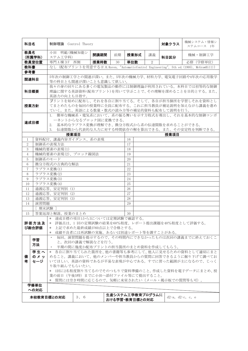| 科目名            |          | 制御理論 Control Theory                                                                                                                         |      |                  |    |                                    |    | 対象クラス                  | 機械システム・情報シ<br>ステムコース 1年                                                                            |  |  |
|----------------|----------|---------------------------------------------------------------------------------------------------------------------------------------------|------|------------------|----|------------------------------------|----|------------------------|----------------------------------------------------------------------------------------------------|--|--|
| 教員名            | (所属学科)   | 小田 明範 (機械知能シ<br>ステム工学科)                                                                                                                     |      | 開講期間             | 前期 | 授業形式                               | 講義 | 科目区分                   | 機械・制御工学                                                                                            |  |  |
|                | 教員室位置    | 専門 A 棟 3 F 西側                                                                                                                               |      | 授業時数             | 30 | 単位数                                | 2  |                        | 必修 (学修単位)                                                                                          |  |  |
| 教科書            |          |                                                                                                                                             |      |                  |    |                                    |    |                        | なし (配布プリントを用意する(F.H.Raven, "AutomaticControl Engineering", 5th ed. (1995), McGrawHill))            |  |  |
| 参考書            |          |                                                                                                                                             |      |                  |    |                                    |    |                        |                                                                                                    |  |  |
| 関連科目           |          | 等の科目とも関連が深いことも意識して欲しい。                                                                                                                      |      |                  |    |                                    |    |                        | 5年次の制御工学との関連が深い。また、5年次の機械力学、材料力学、電気電子回路や4年次の応用数学                                                   |  |  |
| 科目概要           |          | 英語力の向上も目指す。                                                                                                                                 |      |                  |    |                                    |    |                        | 我々の身の回りにある多くの電気製品の動作には制御理論が利用されている。本科目では初等的な制御<br>理論に関する英語資料(配布プリント)を用いて学ぶことで、その理解を深めることを目的とする。また、 |  |  |
| 授業方針           |          | プリントを始めに配布し、それを各自に割り当てる。そして、各自が担当個所を学習しそれを資料とし<br>てまとめたものを毎回の授業時に全員に配布する。これに担当教員が補足説明を加えながら講義を進め<br>ていく。また、英語による数量·数式の読み方等の補足的資料も配布して説明を行う。 |      |                  |    |                                    |    |                        |                                                                                                    |  |  |
| 達成目標           |          | ーネントからなるブロック図に変換できる。<br>2. 基本的なラプラス変換が理解でき、微分方程式から系の伝達関数を求めることができる。                                                                         |      |                  |    |                                    |    |                        | 1. 簡単な機械系・電気系において、系の振る舞いを示す方程式を導出し、それを基本的な制御コンポ<br>3. 伝達関数から代表的な入力に対する時間依存の解を算出できる。また、その安定性を判断できる。 |  |  |
|                |          | 授業項目                                                                                                                                        |      |                  |    |                                    |    | 授業項目                   |                                                                                                    |  |  |
| $\mathbf{1}$   |          | 資料配付、講義内容ガイダンス、系の表現                                                                                                                         |      |                  |    | 16                                 |    |                        |                                                                                                    |  |  |
| $\overline{2}$ |          | 制御系の表現方法                                                                                                                                    |      |                  |    | 17                                 |    |                        |                                                                                                    |  |  |
| 3              |          | 機械的要素の表現(1)                                                                                                                                 |      |                  |    | 18                                 |    |                        |                                                                                                    |  |  |
| $\overline{4}$ |          | 機械的要素の表現(2)、ブロック線図法                                                                                                                         |      |                  |    | 19                                 |    |                        |                                                                                                    |  |  |
| 5              |          | 制御系のモード                                                                                                                                     |      |                  |    | 20                                 |    |                        |                                                                                                    |  |  |
| 6              |          | 微分方程式の古典的な解法                                                                                                                                |      |                  |    | 21                                 |    |                        |                                                                                                    |  |  |
| $\overline{7}$ |          | ラプラス変換(1)                                                                                                                                   |      |                  |    | 22                                 |    |                        |                                                                                                    |  |  |
| 8              |          | ラプラス変換(2)                                                                                                                                   |      |                  |    | 23                                 |    |                        |                                                                                                    |  |  |
| 9              |          | ラプラス変換(3)                                                                                                                                   |      |                  |    | 24                                 |    |                        |                                                                                                    |  |  |
| 10             |          | ラプラス変換(4)                                                                                                                                   |      |                  |    | 25                                 |    |                        |                                                                                                    |  |  |
| 11             |          | 過渡応答、安定判別 (1)                                                                                                                               |      |                  |    | 26                                 |    |                        |                                                                                                    |  |  |
| 12             |          | 過渡応答、安定判別 (2)                                                                                                                               |      |                  |    | 27                                 |    |                        |                                                                                                    |  |  |
| 13<br>14       | 演習問題     | 過渡応答、安定判別 (3)                                                                                                                               |      |                  |    | 28<br>29                           |    |                        |                                                                                                    |  |  |
|                | [期末試験]   |                                                                                                                                             |      |                  |    |                                    |    |                        |                                                                                                    |  |  |
| 15             |          | 答案返却と解説、授業のまとめ                                                                                                                              |      |                  |    | 30                                 |    |                        |                                                                                                    |  |  |
|                |          | * 達成目標の項目1から3については定期試験で確認する。                                                                                                                |      |                  |    |                                    |    |                        |                                                                                                    |  |  |
|                |          | <b>評価方法及 *</b> 評価点は、1 回の定期試験の結果を60%程度、レポート提出課題を40%程度として評価する。                                                                                |      |                  |    |                                    |    |                        |                                                                                                    |  |  |
|                | び総合評価    | * 上記で求めた最終成績が60点以上で合格とする。                                                                                                                   |      |                  |    |                                    |    |                        |                                                                                                    |  |  |
|                |          | * 成績不良者には再試験の実施、あるいは別途レポート等を課すことがある。                                                                                                        |      |                  |    |                                    |    |                        |                                                                                                    |  |  |
|                | 学習<br>方法 |                                                                                                                                             |      | と。次回の講義で解説などを行う。 |    | 半期の間に幾度か配布プリントの担当箇所のまとめ資料を作成してもらう。 |    |                        | • 毎回、演習問題を提示するので、その時間内にできなかったものは次回の講義までに終えておくこ                                                     |  |  |
|                | 学生へ      |                                                                                                                                             |      |                  |    |                                    |    |                        | * 各自に割り当てられた箇所を、他の書籍等も参考にして、他人に見せるための資料として適切にまと                                                    |  |  |
| 備              | のメッ      |                                                                                                                                             |      |                  |    |                                    |    |                        | めること。講義において、他のメンバーや担当教員からの質問に回答できるように掘り下げて調べてお                                                     |  |  |
| 者              | セージ      |                                                                                                                                             |      |                  |    |                                    |    |                        | いてほしい。英語の資料であるが平易な表現が中心である。すでに習った範囲が主になるので、じっく                                                     |  |  |
|                |          | り取り組んでもらいたい。<br>* 1回に2名程度割り当てるのでそのつもりで資料準備のこと。作成した資料を電子データにまとめ、授                                                                            |      |                  |    |                                    |    |                        |                                                                                                    |  |  |
|                |          |                                                                                                                                             |      |                  |    |                                    |    |                        |                                                                                                    |  |  |
|                |          | 業の前日 (午後5時) までに小田へ添付ファイル等にて提出すること。                                                                                                          |      |                  |    |                                    |    |                        |                                                                                                    |  |  |
|                | 学修単位     | * 質問には空き時間に応じるので、気軽に来室されたい(メール・掲示板での質問等も可)。                                                                                                 |      |                  |    |                                    |    |                        |                                                                                                    |  |  |
|                | への対応     |                                                                                                                                             |      |                  |    |                                    |    |                        |                                                                                                    |  |  |
|                |          | 本校教育目標との対応                                                                                                                                  | 3, 6 |                  |    | 生産システム工学教育プログラムに<br>おける学習・教育目標との対応 |    | $d2-a$ , $d2-c$ , c, e |                                                                                                    |  |  |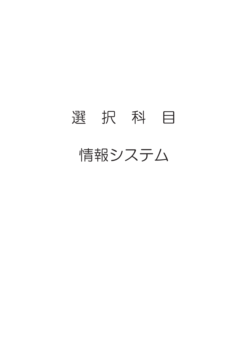## 選 択 科 目 情報システム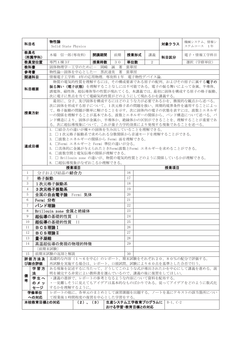| 科目名            |               | 物性論                                              |               |      |    |                  |    | 対象クラス      | 機械システム、情報シ                                            |
|----------------|---------------|--------------------------------------------------|---------------|------|----|------------------|----|------------|-------------------------------------------------------|
|                |               | Solid State Physics                              |               |      |    |                  |    |            | ステムコース 1年                                             |
| 教員名            |               |                                                  |               |      |    |                  |    |            |                                                       |
|                | (所属学科)        | 木場 信一郎 (専攻科)                                     |               | 開講期間 | 前期 | 授業形式             | 講義 | 科目区分       | 電子・情報工学科目                                             |
|                | 教員室位置         | 専門A棟3F                                           |               | 授業時数 |    | 単位数              | 2  |            | 選択 (学修単位)                                             |
|                |               |                                                  |               |      | 30 |                  |    |            |                                                       |
| 教科書            |               | 固体物理学-工学のために- 岡崎 誠 著                             |               |      |    | 裳華房              |    |            |                                                       |
| 参考書            |               | 物性論–固体を中心としたー 黒沢達美                               |               |      | 著  | 裳華房              |    |            |                                                       |
| 関連科目           |               | 情報電子工学科 4年の応用物理. 専攻科1年 電子物性デバイス論.                |               |      |    |                  |    |            |                                                       |
|                |               |                                                  |               |      |    |                  |    |            | 物質の電気的性質を理解するには、その構成要素である原子の配列、およびその原子に属する電子の         |
|                |               |                                                  |               |      |    |                  |    |            | 振る舞い(電子状態)を理解することなしには不可能である。電子の振る舞いによって金属、半導体、        |
| 科目概要           |               |                                                  |               |      |    |                  |    |            | 誘電体、磁性体、超伝導体等の性質が現れてくる。本講義では、最初に固体を構成する原子の格子振動、       |
|                |               | 次に電子に焦点を当てて電磁気的性質がどのようにして現れるかを講義する。              |               |      |    |                  |    |            |                                                       |
|                |               |                                                  |               |      |    |                  |    |            | 最初に、分子、及び固体を構成するにはどのような力が必要であるかを、微視的な観点から述べる。         |
|                |               |                                                  |               |      |    |                  |    |            | 次に固体を形成する原子について、1次元格子系の問題を扱い、周期的境界条件を適用することによっ        |
|                |               |                                                  |               |      |    |                  |    |            | て、格子振動の問題が簡単に解けることを示す。次に固体内の電子の状態を表すには、波数とエネルギ        |
| 授業方針           |               |                                                  |               |      |    |                  |    |            | ーの関係を理解することが基本である。波数とエネルギーの関係から、バンド構造について述べる。バ        |
|                |               |                                                  |               |      |    |                  |    |            | ンド構造により、固体が金属か、半導体か、絶縁体かの区別ができることを、理解することが重要であ        |
|                |               | る。次に超伝導現象について、これが量子力学的効果により発現する現象であることを述べる。      |               |      |    |                  |    |            |                                                       |
|                |               |                                                  |               |      |    |                  |    |            |                                                       |
|                |               | 1. 口結合力の違いが種々の固体を生み出していることを理解できる。                |               |      |    |                  |    |            |                                                       |
|                |               | 2. □1次元格子振動系で求められる分散関係から音速モードを理解することができる。        |               |      |    |                  |    |            |                                                       |
|                |               | 3. 口波数とエネルギーの関係から Fermi 面を理解できる。                 |               |      |    |                  |    |            |                                                       |
| 達成目標           |               | 4. OFermi エネルギーと Fermi 準位の違いが分る。                 |               |      |    |                  |    |            |                                                       |
|                |               | 5. 口具体的に金属が与えられたときFermi波数とFermi エネルギーを求めることができる。 |               |      |    |                  |    |            |                                                       |
|                |               | 6. 口波数空間と電気伝導の関係が理解できる。                          |               |      |    |                  |    |            |                                                       |
|                |               |                                                  |               |      |    |                  |    |            | 7. □ Brillouin zone の違いが、物質の電気的性質とどのように関係しているかが理解できる。 |
|                |               | 8. 口超伝導現象がなぜおこるか理解できる。                           |               |      |    |                  |    |            |                                                       |
|                |               | 授業項目                                             |               |      |    |                  |    | 授業項目       |                                                       |
| $\mathbf{1}$   |               | 分子および結晶の結合力                                      |               |      |    | 16               |    |            |                                                       |
| $\overline{2}$ | 格子振動          |                                                  |               |      |    | 17               |    |            |                                                       |
| 3              |               | 1次元格子振動系                                         |               |      |    | 18               |    |            |                                                       |
| $\overline{4}$ |               | 3 次元格子振動系                                        |               |      |    | 19               |    |            |                                                       |
| 5              |               |                                                  |               |      |    | 20               |    |            |                                                       |
|                |               | 金属の自由電子論                                         | Fermi 気体      |      |    |                  |    |            |                                                       |
| 6              | Fermi 分布      |                                                  |               |      |    | 21               |    |            |                                                       |
| 7              | バンド理論         |                                                  |               |      |    | 22               |    |            |                                                       |
| 8              |               | Brillouin zone 金属と絶縁体                            |               |      |    | 23               |    |            |                                                       |
| 9              |               | 超伝導の基礎的性質                                        | <b>I</b>      |      |    | 24               |    |            |                                                       |
| 10             |               | 超伝導の基礎的性質                                        | TΤ            |      |    | 25               |    |            |                                                       |
| 11             | <b>BCS理論I</b> |                                                  |               |      |    | 26               |    |            |                                                       |
| 12             | BCS理論I        |                                                  |               |      |    | 27               |    |            |                                                       |
| 13             | 量子凝縮          |                                                  |               |      |    | 28               |    |            |                                                       |
| 14             |               | 高温超伝導の発現の物理的特徴                                   |               |      |    | 29               |    |            |                                                       |
|                |               |                                                  |               |      |    |                  |    |            |                                                       |
|                |               | [前期末試験]                                          |               |      |    |                  |    |            |                                                       |
| 15             |               | 前期末試験の返却と解説                                      |               |      |    | 30               |    |            |                                                       |
|                | 評価方法及         |                                                  |               |      |    |                  |    |            | 基礎的な内容(1~6を中心)のレポート、期末試験をそれぞれ20、80%の配分で評価する。          |
|                | び総合評価         | 再試験を実施する場合は、レポート、口頭試問、試験により60点を基準とした合否で行う。       |               |      |    |                  |    |            |                                                       |
|                | 学習方           |                                                  |               |      |    |                  |    |            | ある現象を記述するに当たって、どうしてこのような式が導出されたかを中心にして講義を進める。説        |
| 備              | 法             | 明を補完する非常によい教科書を選んでいるので、講義の後に復習をしてほしい。            |               |      |    |                  |    |            |                                                       |
| 考              | 学生へ           | ・講義の進捗で、レポートの参考となるような内容について資料を配布する。              |               |      |    |                  |    |            |                                                       |
|                | のメッ           |                                                  |               |      |    |                  |    |            | ・一見難しそうに見えてもアイデアは基本的なものばかりである。従ってアイデアをどのように数式化        |
|                | セージ           | するかを理解するように。                                     |               |      |    |                  |    |            |                                                       |
|                | 学修単位          |                                                  |               |      |    |                  |    |            | レポートの他に、各単元のまとめとして演習課題を出題する。ノートを基にテキストの該当箇所につい        |
|                | への対応          | て授業後1時間程度の復習を中心とした学習をする。                         |               |      |    |                  |    |            |                                                       |
|                | 本校教育目標との対応    |                                                  | $(2)$ , $(3)$ |      |    | 生産システム工学教育プログラムに |    | $B-1, C-2$ |                                                       |
|                |               |                                                  |               |      |    | おける学習・教育目標との対応   |    |            |                                                       |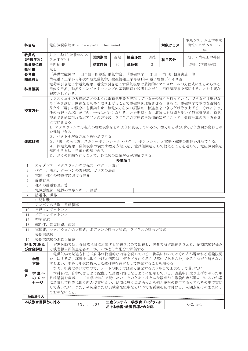| 科目名            |                                                                                                                                                                                                                                                                                                                                                                                                                                                                                    | 電磁気現象論(Electromagnetic Phenomena)                                                                                                                                                                                                               |               |      | 生産システム工学専攻<br>対象クラス<br>情報システムコース |                                    |    |                                             |                                                                                                     |  |  |  |  |
|----------------|------------------------------------------------------------------------------------------------------------------------------------------------------------------------------------------------------------------------------------------------------------------------------------------------------------------------------------------------------------------------------------------------------------------------------------------------------------------------------------|-------------------------------------------------------------------------------------------------------------------------------------------------------------------------------------------------------------------------------------------------|---------------|------|----------------------------------|------------------------------------|----|---------------------------------------------|-----------------------------------------------------------------------------------------------------|--|--|--|--|
|                |                                                                                                                                                                                                                                                                                                                                                                                                                                                                                    |                                                                                                                                                                                                                                                 |               |      |                                  |                                    |    |                                             | 1年                                                                                                  |  |  |  |  |
| 教員名            | (所属学科)                                                                                                                                                                                                                                                                                                                                                                                                                                                                             | 井上 勲 (生物化学シス<br>テム工学科)                                                                                                                                                                                                                          |               | 開講期間 | 後期                               | 授業形式                               | 講義 | 科目区分                                        | 電子・情報工学科目                                                                                           |  |  |  |  |
|                | 教員室位置                                                                                                                                                                                                                                                                                                                                                                                                                                                                              | 専門棟 4F                                                                                                                                                                                                                                          |               | 授業時数 | 30                               | 単位数                                | 2  |                                             | 選択 (学修単位)                                                                                           |  |  |  |  |
| 教科書            |                                                                                                                                                                                                                                                                                                                                                                                                                                                                                    | なし                                                                                                                                                                                                                                              |               |      |                                  |                                    |    |                                             |                                                                                                     |  |  |  |  |
| 参考書            |                                                                                                                                                                                                                                                                                                                                                                                                                                                                                    |                                                                                                                                                                                                                                                 |               |      |                                  |                                    |    | 「基礎電磁気学」 山口昌一郎執筆 電気学会、「電磁気学」 永田 一清 著 朝倉書店 他 |                                                                                                     |  |  |  |  |
| 関連科目           |                                                                                                                                                                                                                                                                                                                                                                                                                                                                                    | 情報電子工学科4年次の電気磁気学、生産情報工学専攻1年の電子物性デバイス論                                                                                                                                                                                                           |               |      |                                  |                                    |    |                                             |                                                                                                     |  |  |  |  |
| 科目概要           |                                                                                                                                                                                                                                                                                                                                                                                                                                                                                    | 課題としている.                                                                                                                                                                                                                                        |               |      |                                  |                                    |    |                                             | 電荷が引き起こす電気現象、電流が引き起こす磁気現象は最終的にマクスウェルの方程式にまとめられる.<br>電位や電界、磁界やインダクタンスなどの基礎原理を説明しながら、電磁気現象を解明することを主要な |  |  |  |  |
|                | マクスウェルの方程式がどのように電磁気現象を表現しているかの解析を行っていく、できるだけ単純な<br>モデルを選び、例題なども多く取り上げることで電磁気を理解させる。さらに、電磁気学で重要な役割を<br>果たす「場」の概念にも馴染ませ、静電気と磁気の類似点、相違点をできるだけ取り上げる. それにより、<br>授業方針<br>他の分野への応用ができ、十分に使いこなせることを期待する。演習にも時間を割いて静電気現象、磁気<br>現象で共通に現れるポアソンの方程式、ラプラスの方程式を数値的に解くことで、数値計算の考え方を身<br>に付けさせる.                                                                                                                                                                                                   |                                                                                                                                                                                                                                                 |               |      |                                  |                                    |    |                                             |                                                                                                     |  |  |  |  |
| 達成目標           |                                                                                                                                                                                                                                                                                                                                                                                                                                                                                    | 1. マクスウェルの方程式が物理現象をどのように表現しているか、微分形と積分形でどう表現が変わるか<br>を理解できる.<br>2. ベクトル解析の取り扱いができる.<br>3.「場」の考え方、スカラーポテンシャル・ベクトルポテンシャルと電場・磁場の関係が理解できる.<br>4.静電気現象,磁気現象の満たす微分方程式を、境界値問題として捉えることを通して、電磁気現象を<br>解明する方法・手順を理解できる.<br>5. 多くの例題を行うことで、各現象の数値解析が理解できる. |               |      |                                  |                                    |    |                                             |                                                                                                     |  |  |  |  |
|                |                                                                                                                                                                                                                                                                                                                                                                                                                                                                                    |                                                                                                                                                                                                                                                 |               |      | 授業項目                             |                                    |    |                                             |                                                                                                     |  |  |  |  |
| 1              | ガイダンス、マクスウェルの方程式、ベクトル表示                                                                                                                                                                                                                                                                                                                                                                                                                                                            |                                                                                                                                                                                                                                                 |               |      |                                  |                                    |    |                                             |                                                                                                     |  |  |  |  |
| $\overline{2}$ | ベクトル表示、クーロンの方程式、ガウスの法則                                                                                                                                                                                                                                                                                                                                                                                                                                                             |                                                                                                                                                                                                                                                 |               |      |                                  |                                    |    |                                             |                                                                                                     |  |  |  |  |
| $\mathfrak{Z}$ |                                                                                                                                                                                                                                                                                                                                                                                                                                                                                    | 電位、種々の帯電体における電界                                                                                                                                                                                                                                 |               |      |                                  |                                    |    |                                             |                                                                                                     |  |  |  |  |
| $\overline{4}$ | 静雷容量                                                                                                                                                                                                                                                                                                                                                                                                                                                                               |                                                                                                                                                                                                                                                 |               |      |                                  |                                    |    |                                             |                                                                                                     |  |  |  |  |
| 5              |                                                                                                                                                                                                                                                                                                                                                                                                                                                                                    | 種々の静電容量計算                                                                                                                                                                                                                                       |               |      |                                  |                                    |    |                                             |                                                                                                     |  |  |  |  |
| 6              |                                                                                                                                                                                                                                                                                                                                                                                                                                                                                    | 電気影像法, 電界のエネルギー, 演習                                                                                                                                                                                                                             |               |      |                                  |                                    |    |                                             |                                                                                                     |  |  |  |  |
| $\overline{7}$ | 誘電体, 磁界                                                                                                                                                                                                                                                                                                                                                                                                                                                                            |                                                                                                                                                                                                                                                 |               |      |                                  |                                    |    |                                             |                                                                                                     |  |  |  |  |
| 8              | 中間試験                                                                                                                                                                                                                                                                                                                                                                                                                                                                               |                                                                                                                                                                                                                                                 |               |      |                                  |                                    |    |                                             |                                                                                                     |  |  |  |  |
| 9              |                                                                                                                                                                                                                                                                                                                                                                                                                                                                                    | アンペアの法則、電磁誘導                                                                                                                                                                                                                                    |               |      |                                  |                                    |    |                                             |                                                                                                     |  |  |  |  |
| 10<br>11       |                                                                                                                                                                                                                                                                                                                                                                                                                                                                                    | 自己インダクタンス<br>相互インダクタンス                                                                                                                                                                                                                          |               |      |                                  |                                    |    |                                             |                                                                                                     |  |  |  |  |
| 12             | 変動電流                                                                                                                                                                                                                                                                                                                                                                                                                                                                               |                                                                                                                                                                                                                                                 |               |      |                                  |                                    |    |                                             |                                                                                                     |  |  |  |  |
| 13             |                                                                                                                                                                                                                                                                                                                                                                                                                                                                                    | 磁性体,磁気回路,演習                                                                                                                                                                                                                                     |               |      |                                  |                                    |    |                                             |                                                                                                     |  |  |  |  |
| 14             |                                                                                                                                                                                                                                                                                                                                                                                                                                                                                    | 電磁波、マクスウェルの方程式、ポアソンの微分方程式、ラプラスの微分方程式                                                                                                                                                                                                            |               |      |                                  |                                    |    |                                             |                                                                                                     |  |  |  |  |
|                | 後期末試験                                                                                                                                                                                                                                                                                                                                                                                                                                                                              |                                                                                                                                                                                                                                                 |               |      |                                  |                                    |    |                                             |                                                                                                     |  |  |  |  |
| 15             |                                                                                                                                                                                                                                                                                                                                                                                                                                                                                    | 後期末試験の返却と解説                                                                                                                                                                                                                                     |               |      |                                  |                                    |    |                                             |                                                                                                     |  |  |  |  |
|                | 評価方法及<br>び総合評価                                                                                                                                                                                                                                                                                                                                                                                                                                                                     |                                                                                                                                                                                                                                                 |               |      |                                  |                                    |    |                                             | 定期試験では、各目標項目に対応する問題を含めて出題し、併せて演習課題を与える。定期試験評価点                                                      |  |  |  |  |
| 備<br>者         | と演習報告評価点を各々80%, 20%とした配分で評価する.<br>電磁気学で記述される式自体が物理的な内容を現している. 講義においてはその式が導かれる理論説明<br>学習<br>を主にするが、講義中に取り上げた例題は「何をどういう考えで解いてあるのか」を考えながら解きなお<br>すとよい. 本科4年次に購入した教科書を復習として熟読することを薦める.<br>方法<br>なお、板書は多い方なので、ノートの取り方は速く筆記するよう各自で工夫をして貰いたい.<br>学生へ<br>本科目は、自学できるよう配慮した講義内容となるように配慮している。講義中に取り上げなかった項<br>のメッ<br>目は講義を参考にして自学で学んで貰いたい、そのためにはどんな観点から講義内容が進んでいるのか常<br>に意識して授業に取り組んで貰いたい。疑問に思う点があったら例え説明の途中であってもその場で質問<br>セージ<br>して貰いたい。また、研究室または実験室在室中ならいつでも質問を受け付ける。疑問点をそのままにし<br>ておかないこと. |                                                                                                                                                                                                                                                 |               |      |                                  |                                    |    |                                             |                                                                                                     |  |  |  |  |
|                | 学修単位応                                                                                                                                                                                                                                                                                                                                                                                                                                                                              |                                                                                                                                                                                                                                                 |               |      |                                  |                                    |    |                                             |                                                                                                     |  |  |  |  |
|                | 本校教育目標との対応                                                                                                                                                                                                                                                                                                                                                                                                                                                                         |                                                                                                                                                                                                                                                 | $(3)$ , $(6)$ |      |                                  | 生産システム工学教育プログラムに<br>おける学習・教育目標との対応 |    |                                             | $C-2, E-1$                                                                                          |  |  |  |  |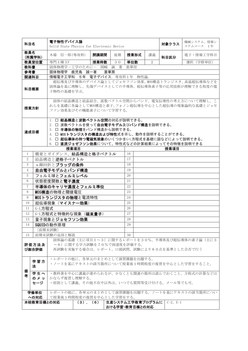| 科目名                                                                                                                                       |                                                                                                                                                                                                                                                          | 電子物性デバイス論<br>Solid State Physics for Electronic Device |               |      |     | 対象クラス                              | 機械システム、情報シ<br>ステムコース 1年 |                                           |                                                                                                   |  |  |
|-------------------------------------------------------------------------------------------------------------------------------------------|----------------------------------------------------------------------------------------------------------------------------------------------------------------------------------------------------------------------------------------------------------|--------------------------------------------------------|---------------|------|-----|------------------------------------|-------------------------|-------------------------------------------|---------------------------------------------------------------------------------------------------|--|--|
| 教員名                                                                                                                                       | (所属学科)                                                                                                                                                                                                                                                   | 木場 信一郎(専攻科)                                            |               | 開講期間 | 後期  | 授業形式                               | 講義                      | 科目区分                                      | 電子・情報工学科目                                                                                         |  |  |
|                                                                                                                                           | 教員室位置                                                                                                                                                                                                                                                    | 専門A棟3F                                                 |               | 授業時数 | 30  | 単位数                                | 2                       |                                           | 選択 (学修単位)                                                                                         |  |  |
| 教科書                                                                                                                                       |                                                                                                                                                                                                                                                          | 固体物理学-工学のために- 岡崎 誠 著                                   |               |      |     | 裳華房                                |                         |                                           |                                                                                                   |  |  |
| 参考書                                                                                                                                       |                                                                                                                                                                                                                                                          | 固体物理学 鹿児島 誠一著                                          |               |      | 裳華房 |                                    |                         |                                           |                                                                                                   |  |  |
| 関連科目                                                                                                                                      |                                                                                                                                                                                                                                                          | 情報電子工学科 5年 電子デバイス. 専攻科1年 物性論.                          |               |      |     |                                    |                         |                                           |                                                                                                   |  |  |
| 科目概要                                                                                                                                      |                                                                                                                                                                                                                                                          | 子物性の基礎を学ぶ。                                             |               |      |     |                                    |                         |                                           | 超伝導及び半導体のデバイス論としてジョセフソン効果、MOS構造トランジスタ、高温超伝導体などを<br>固体論を基に理解し、先端デバイスとしての半導体、超伝導体素子等の応用技術が理解できる程度の電 |  |  |
| 授業方針                                                                                                                                      |                                                                                                                                                                                                                                                          | フソン効果及びその機能素子について学習する。                                 |               |      |     |                                    |                         |                                           | 固体の結晶構造と結晶結合、波数ベクトル空間からバンド、電気伝導性の考え方について理解し、こ<br>れらを基礎に各論としてMOS構造と素子、フォノン超伝導を中心とした超伝導の現象論的な基礎とジョセ |  |  |
|                                                                                                                                           | 1. 口 結晶構造と波数ベクトル空間の対応が説明できる。<br>2. 口 波数ベクトルを使って自由電子モデル及びバンド構造を説明できる。<br>3. □ 半導体の物理をバンド構造から説明できる。<br>達成目標<br>4. □ MOSトランジスタの構造および特性式を示し、動作を説明することができる。<br>5. □ 超伝導体の持つ電磁気現象のいくつかをG-L方程式を基礎に図などによって説明できる。<br>6. 口 直流ジョゼフソン効果について、特性式などの計算結果によってその特徴を説明できる |                                                        |               |      |     |                                    |                         |                                           |                                                                                                   |  |  |
|                                                                                                                                           |                                                                                                                                                                                                                                                          | 授業項目                                                   |               |      |     |                                    |                         | 授業項目                                      |                                                                                                   |  |  |
| $\mathbf{1}$                                                                                                                              |                                                                                                                                                                                                                                                          | 概要とガイダンス、結晶構造と格子ベクトル                                   |               |      |     | 16                                 |                         |                                           |                                                                                                   |  |  |
| $\overline{2}$                                                                                                                            |                                                                                                                                                                                                                                                          | 結晶構造と逆格子ベクトル                                           |               |      |     | 17                                 |                         |                                           |                                                                                                   |  |  |
| 3                                                                                                                                         |                                                                                                                                                                                                                                                          | x線回折とブラッグの条件                                           |               |      |     | 18                                 |                         |                                           |                                                                                                   |  |  |
| 4                                                                                                                                         |                                                                                                                                                                                                                                                          | 自由電子モデルとバンド構造                                          |               |      |     | 19                                 |                         |                                           |                                                                                                   |  |  |
| 5                                                                                                                                         |                                                                                                                                                                                                                                                          | フェルミ球とフェルミレベル                                          |               |      |     | 20                                 |                         |                                           |                                                                                                   |  |  |
| 6                                                                                                                                         |                                                                                                                                                                                                                                                          | 状態密度関数と電子濃度                                            |               |      |     | 21                                 |                         |                                           |                                                                                                   |  |  |
| 7                                                                                                                                         |                                                                                                                                                                                                                                                          | 半導体のキャリヤ濃度とフェルミ準位                                      |               |      |     | 22                                 |                         |                                           |                                                                                                   |  |  |
| 8                                                                                                                                         |                                                                                                                                                                                                                                                          | MOS構造の物理と閾値電圧                                          |               |      |     | 23                                 |                         |                                           |                                                                                                   |  |  |
| 9                                                                                                                                         |                                                                                                                                                                                                                                                          | MOSトランジスタの物理と電流特性                                      |               |      |     | 24                                 |                         |                                           |                                                                                                   |  |  |
| 10                                                                                                                                        |                                                                                                                                                                                                                                                          | 超伝導現象 (マイスナー効果)                                        |               |      |     | 25                                 |                         |                                           |                                                                                                   |  |  |
| 11                                                                                                                                        | G-L方程式                                                                                                                                                                                                                                                   |                                                        |               |      |     | 26                                 |                         |                                           |                                                                                                   |  |  |
| 12                                                                                                                                        |                                                                                                                                                                                                                                                          | G-L方程式と特徴的な現象 (磁束量子)                                   |               |      |     | 27                                 |                         |                                           |                                                                                                   |  |  |
| 13                                                                                                                                        |                                                                                                                                                                                                                                                          | 量子現象とジョセフソン効果                                          |               |      |     | 28                                 |                         |                                           |                                                                                                   |  |  |
| 14                                                                                                                                        |                                                                                                                                                                                                                                                          | SQUIDの動作原理                                             |               |      |     | 29                                 |                         |                                           |                                                                                                   |  |  |
|                                                                                                                                           |                                                                                                                                                                                                                                                          | 〔前期末試験〕                                                |               |      |     |                                    |                         |                                           |                                                                                                   |  |  |
| 15                                                                                                                                        |                                                                                                                                                                                                                                                          | 前期末試験の返却と解説                                            |               |      |     | 30                                 |                         |                                           |                                                                                                   |  |  |
|                                                                                                                                           | 評価方法及<br>び総合評価                                                                                                                                                                                                                                           | ~6)に関する学力試験を70%で到達度を評価する。                              |               |      |     |                                    |                         | 再試験を実施する場合は、レポート、口頭試問、試験により60点を基準とした合否で行う | 固体論の基礎(主に項目1~3)に関するレポートを30%、半導体及び超伝導体の素子論(主に3                                                     |  |  |
|                                                                                                                                           | •レポートの他に、各単元のまとめとして演習課題を出題する。<br>学習方<br>・ノートを基にテキストの該当箇所について授業後1時間程度の復習を中心とした学習をすること。<br>法                                                                                                                                                               |                                                        |               |      |     |                                    |                         |                                           |                                                                                                   |  |  |
| 備<br>学生へ<br>・教科書を中心に講義が進められるが、少なくとも関連の箇所は読んでおくこと。方程式の計算などは<br>者<br>のメッ<br>かならず復習し理解する。<br>セージ<br>・原則として講義、その他不在中以外は、いつでも質問等受け付ける。メール等でも可。 |                                                                                                                                                                                                                                                          |                                                        |               |      |     |                                    |                         |                                           |                                                                                                   |  |  |
|                                                                                                                                           | 学修単位                                                                                                                                                                                                                                                     |                                                        |               |      |     |                                    |                         |                                           | レポートの他に、各単元のまとめとして演習課題を出題する。ノートを基にテキストの該当箇所につい                                                    |  |  |
|                                                                                                                                           | への対応                                                                                                                                                                                                                                                     | て授業後1時間程度の復習を中心とした学習をする。                               |               |      |     |                                    |                         |                                           |                                                                                                   |  |  |
|                                                                                                                                           | 本校教育目標との対応                                                                                                                                                                                                                                               |                                                        | $(3)$ , $(6)$ |      |     | 生産システムエ学教育プログラムに<br>おける学習・教育目標との対応 |                         | $C-2$ , $E-1$                             |                                                                                                   |  |  |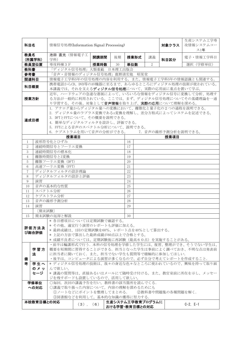| 科目名                                                                                 |              | 情報信号処理(Information Signal Processing)                                                            |                                                                               |    | 対象クラス                                                                                                                                         | 生産システム工学専<br>攻情報システムコー<br>ス1年 |      |               |  |  |  |  |
|-------------------------------------------------------------------------------------|--------------|--------------------------------------------------------------------------------------------------|-------------------------------------------------------------------------------|----|-----------------------------------------------------------------------------------------------------------------------------------------------|-------------------------------|------|---------------|--|--|--|--|
| 教員名                                                                                 | (所属学科)       | 池田 直光 (情報電子工<br>学科)                                                                              | 開講期間                                                                          | 後期 | 授業形式                                                                                                                                          | 講義                            | 科目区分 | 電子·情報工学科目     |  |  |  |  |
|                                                                                     | 教員室位置        | 専攻科棟 3 F                                                                                         | 授業時数                                                                          | 30 | 単位数                                                                                                                                           | $\overline{2}$                |      | 選択 (学修単位)     |  |  |  |  |
| 教科書                                                                                 |              | 「ディジタル信号処理」大類重範 日本理工出版会                                                                          |                                                                               |    |                                                                                                                                               |                               |      |               |  |  |  |  |
| 参考書                                                                                 |              | 「音声・音情報のディジタル信号処理」鹿野清宏他 昭晃堂                                                                      |                                                                               |    |                                                                                                                                               |                               |      |               |  |  |  |  |
| 関連科目                                                                                |              | 情報電子工学科5年の信号処理の内容を利用する。また、情報電子工学科5年の情報認識とも関連する。                                                  |                                                                               |    |                                                                                                                                               |                               |      |               |  |  |  |  |
| 科目概要                                                                                |              | 携帯電話からCD、DVD等のAV機器に至るまで、あらゆるところにディジタル処理の技術が使われている。<br>本講義では、それを支えるディジタル信号処理について、実際の応用面に重点を置いて学ぶ。 |                                                                               |    |                                                                                                                                               |                               |      |               |  |  |  |  |
| 授業方針                                                                                |              |                                                                                                  |                                                                               |    | 近年、ハードウェアの急速な進展によって、いろいろな情報をディジタル信号に変換して分析、処理す<br>る方法が一般的に利用されている。ここでは、まず、ディジタル信号処理についてその基礎理論を一通<br>り学習する。その後、対象として音声情報を取り上げ、実際の応用について理解を深める。 |                               |      |               |  |  |  |  |
|                                                                                     |              | 1. アナログ量からディジタル量への変換において、離散化と量子化の2つの過程を説明できる。                                                    |                                                                               |    |                                                                                                                                               |                               |      |               |  |  |  |  |
|                                                                                     |              |                                                                                                  | 2. ディジタル量のラプラス変換であるz変換を理解し、差分方程式によってシステムを記述できる。<br>3. DFTとFFTについて、その概要を説明できる。 |    |                                                                                                                                               |                               |      |               |  |  |  |  |
| 達成目標                                                                                |              |                                                                                                  |                                                                               |    |                                                                                                                                               |                               |      |               |  |  |  |  |
|                                                                                     |              | 4. 簡単なディジタルフィルタを設計し、評価できる。                                                                       |                                                                               |    |                                                                                                                                               |                               |      |               |  |  |  |  |
|                                                                                     |              | 5. FFTによる音声のスペクトル分析について、説明できる。<br>6. ケプストラムを用いて音声の分析ができる。 7. 音声の線形予測分析を説明できる。                    |                                                                               |    |                                                                                                                                               |                               |      |               |  |  |  |  |
|                                                                                     |              | 授業項目                                                                                             |                                                                               |    |                                                                                                                                               | 授業項目                          |      |               |  |  |  |  |
| $\mathbf{1}$                                                                        |              | 波形符号化とひずみ                                                                                        |                                                                               |    | 16                                                                                                                                            |                               |      |               |  |  |  |  |
| $\overline{2}$                                                                      |              | 連続時間信号とフーリエ変換                                                                                    |                                                                               |    | 17                                                                                                                                            |                               |      |               |  |  |  |  |
| 3                                                                                   |              | 連続時間信号の標本化                                                                                       |                                                                               |    | 18                                                                                                                                            |                               |      |               |  |  |  |  |
| 4                                                                                   |              | 離散時間信号とZ変換                                                                                       |                                                                               |    | 19                                                                                                                                            |                               |      |               |  |  |  |  |
| 5                                                                                   |              | 離散フーリエ変換 (DFT)                                                                                   |                                                                               |    | 20                                                                                                                                            |                               |      |               |  |  |  |  |
| 6                                                                                   |              | 高速フーリエ変換 (FFT)                                                                                   |                                                                               |    | 21                                                                                                                                            |                               |      |               |  |  |  |  |
| $\tau$                                                                              |              | ディジタルフィルタの設計理論                                                                                   |                                                                               |    | 22                                                                                                                                            |                               |      |               |  |  |  |  |
| 8                                                                                   |              | ディジタルフィルタの設計と評価                                                                                  |                                                                               |    | 23                                                                                                                                            |                               |      |               |  |  |  |  |
| 9                                                                                   | 演習           |                                                                                                  |                                                                               |    | 24                                                                                                                                            |                               |      |               |  |  |  |  |
| 10                                                                                  |              | 音声の基本的な性質                                                                                        |                                                                               |    | 25                                                                                                                                            |                               |      |               |  |  |  |  |
| 11                                                                                  |              | スペクトル分析                                                                                          |                                                                               |    | 26                                                                                                                                            |                               |      |               |  |  |  |  |
| 12                                                                                  |              | ケプストラム分析                                                                                         |                                                                               |    | 27                                                                                                                                            |                               |      |               |  |  |  |  |
| 13                                                                                  |              | 音声の線形予測分析                                                                                        |                                                                               |    | 28                                                                                                                                            |                               |      |               |  |  |  |  |
| 14                                                                                  | 演習           |                                                                                                  |                                                                               |    | 29                                                                                                                                            |                               |      |               |  |  |  |  |
|                                                                                     | [期末試験]       |                                                                                                  |                                                                               |    |                                                                                                                                               |                               |      |               |  |  |  |  |
| 15                                                                                  |              | 期末試験の返却と解説                                                                                       |                                                                               |    | 30                                                                                                                                            |                               |      |               |  |  |  |  |
|                                                                                     |              | * 各目標項目については定期試験で確認する。                                                                           |                                                                               |    |                                                                                                                                               |                               |      |               |  |  |  |  |
|                                                                                     | 評価方法及        | * その他、適宜行う演習のレポートも評価に加える。<br>* 最終成績は、1回の定期試験を60%、レポート点を40%として算出する。                               |                                                                               |    |                                                                                                                                               |                               |      |               |  |  |  |  |
|                                                                                     | び総合評価        | * 上記の方法で算出した最終成績が60点以上で合格とする。                                                                    |                                                                               |    |                                                                                                                                               |                               |      |               |  |  |  |  |
|                                                                                     |              | * 成績不良者については、定期試験後に再試験(最高60点)を実施することがある。                                                         |                                                                               |    |                                                                                                                                               |                               |      |               |  |  |  |  |
|                                                                                     |              | ・前半は輪講形式で行う. 本科の信号処理を学修した学生には、復習、整理ができ、そうでない学生は、                                                 |                                                                               |    |                                                                                                                                               |                               |      |               |  |  |  |  |
|                                                                                     | 学習方          | 概要を短期間に習得することができる。担当となった学生は事前によく調べておき、不明な点は発表前                                                   |                                                                               |    |                                                                                                                                               |                               |      |               |  |  |  |  |
|                                                                                     | 法            | に担当者に聞いておく. また、担当でない学生も質問等で積極的に参加してほしい.                                                          |                                                                               |    |                                                                                                                                               |                               |      |               |  |  |  |  |
| 備                                                                                   |              | ・後半は、コンピュータによる演習が多くなるので、必ず自分で考えてレポートを作成すること.                                                     |                                                                               |    |                                                                                                                                               |                               |      |               |  |  |  |  |
| 者                                                                                   | 学生へ          | * ディジタル信号処理の技術は、我々の身近な色々なところに使われているので、興味を持って取り組                                                  |                                                                               |    |                                                                                                                                               |                               |      |               |  |  |  |  |
|                                                                                     | のメッ          | んで欲しい。                                                                                           |                                                                               |    |                                                                                                                                               |                               |      |               |  |  |  |  |
| * 講義の質問等は、直接あるいはメールにて随時受け付ける。また、教官室前に所在を示し、メッセー<br>セージ<br>ジを残すボードも設置しているので、活用して欲しい。 |              |                                                                                                  |                                                                               |    |                                                                                                                                               |                               |      |               |  |  |  |  |
|                                                                                     |              |                                                                                                  |                                                                               |    |                                                                                                                                               |                               |      |               |  |  |  |  |
|                                                                                     | 学修単位<br>への対応 | ○毎回,次回の講義予告を行い、教科書の該当箇所を読んでくる.                                                                   |                                                                               |    |                                                                                                                                               |                               |      |               |  |  |  |  |
|                                                                                     |              | ○講義で取り扱った内容について、内容の理解を深めるためにも<br>①ノートなどにポイントを整理してまとめる. 2教科書や問題集の各種問題を解く.                         |                                                                               |    |                                                                                                                                               |                               |      |               |  |  |  |  |
|                                                                                     |              | 3図書館などを利用して、基本的な知識の獲得に努力する.                                                                      |                                                                               |    |                                                                                                                                               |                               |      |               |  |  |  |  |
|                                                                                     | 本校教育目標との対応   |                                                                                                  |                                                                               |    | 生産システム工学教育プログラムに                                                                                                                              |                               |      |               |  |  |  |  |
|                                                                                     |              |                                                                                                  | $(3)$ , $(6)$                                                                 |    | おける学習・教育目標との対応                                                                                                                                |                               |      | $C-2$ , $E-1$ |  |  |  |  |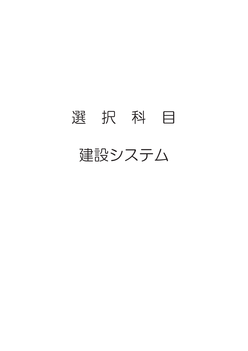## 選 択 科 目 建設システム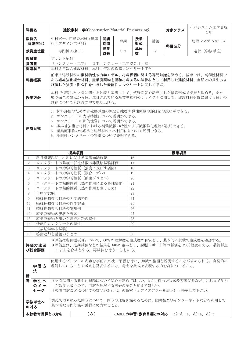| 科目名                                                                                                                                                                                                                  |                                                                                                                                                       |                | 建設素材工学(Construction Material Engineering) |          |                 | 対象クラス    | 生産システム工学専攻<br>1年  |      |                                                                                                        |  |  |  |  |
|----------------------------------------------------------------------------------------------------------------------------------------------------------------------------------------------------------------------|-------------------------------------------------------------------------------------------------------------------------------------------------------|----------------|-------------------------------------------|----------|-----------------|----------|-------------------|------|--------------------------------------------------------------------------------------------------------|--|--|--|--|
| 教員名                                                                                                                                                                                                                  | (所属学科)                                                                                                                                                | 社会デザイン工学科)     | 中村裕一, 浦野登志雄 (建築                           | 開講<br>期間 | 半期              | 授業<br>形式 | 講義                | 科目区分 | 建設システムコース                                                                                              |  |  |  |  |
|                                                                                                                                                                                                                      | 教員室位置                                                                                                                                                 |                | 専門棟A棟1F                                   | 授業<br>時数 | 30              | 単位<br>数  | 2                 |      | 選択 (学修単位)                                                                                              |  |  |  |  |
| 教科書                                                                                                                                                                                                                  |                                                                                                                                                       | プリント配付         |                                           |          |                 |          |                   |      |                                                                                                        |  |  |  |  |
| 参考書                                                                                                                                                                                                                  |                                                                                                                                                       | 「コンクリート工学」     |                                           |          | 日本コンクリート工学協会月刊誌 |          |                   |      |                                                                                                        |  |  |  |  |
| 関連科目                                                                                                                                                                                                                 |                                                                                                                                                       |                | 本科2年次の建設材料、本科4年次の鉄筋コンクリート工学               |          |                 |          |                   |      |                                                                                                        |  |  |  |  |
| 科目概要                                                                                                                                                                                                                 |                                                                                                                                                       |                | び優れた強度・耐久性を付与した機能性コンクリートに関して学ぶ。           |          |                 |          |                   |      | 前半は建設材料の素材物性や力学モデル、材料評価に関する専門知識を深める。後半では、高靭性材料で<br>ある繊維強化複合材料、産業廃棄物を混和材料あるいは骨材として利用した建設材料、自然との共生およ     |  |  |  |  |
| 本科で修得した材料に関する知識を基礎にして、質疑応答を活発にした輪講形式で授業を進める。また、<br>環境保全の観点から最近注目されている産業廃棄物のリサイクルに関して、建設材料分野における最近の<br>授業方針<br>話題についても講義の中で取り上げる。                                                                                     |                                                                                                                                                       |                |                                           |          |                 |          |                   |      |                                                                                                        |  |  |  |  |
| 1. 材料評価のための非破壊試験の概要と強度や弾性係数の評価法の説明ができる。<br>2. コンクリートの力学特性について説明ができる。<br>3. コンクリートの熱的性質について説明ができる。<br>4. 繊維補強複合材料における補強繊維の特性および繊維強化理論が説明できる。<br>達成目標<br>5. 産業廃棄物の処理法と建設材料への利用法について説明できる。<br>6. 機能性コンクリートの特徴について説明できる。 |                                                                                                                                                       |                |                                           |          |                 |          |                   |      |                                                                                                        |  |  |  |  |
|                                                                                                                                                                                                                      |                                                                                                                                                       |                | 授業項目                                      |          |                 |          |                   | 授業項目 |                                                                                                        |  |  |  |  |
| 1                                                                                                                                                                                                                    |                                                                                                                                                       |                | 科目概要説明、材料に関する基礎知識確認                       |          |                 | 16       |                   |      |                                                                                                        |  |  |  |  |
| 2                                                                                                                                                                                                                    |                                                                                                                                                       |                | コンクリートの強度・弾性係数の非破壊試験評価                    |          |                 | 17       |                   |      |                                                                                                        |  |  |  |  |
| 3                                                                                                                                                                                                                    |                                                                                                                                                       |                | コンクリートの力学的性質 (強度に及ぼす要因)                   |          |                 | 18       |                   |      |                                                                                                        |  |  |  |  |
| 4                                                                                                                                                                                                                    |                                                                                                                                                       |                | コンクリートの力学的性質 (複合モデル)                      |          |                 | 19       |                   |      |                                                                                                        |  |  |  |  |
| 5                                                                                                                                                                                                                    |                                                                                                                                                       |                | コンクリートの力学的性質 (破壊プロセス)                     |          |                 | 20       |                   |      |                                                                                                        |  |  |  |  |
| 6                                                                                                                                                                                                                    |                                                                                                                                                       |                | コンクリートの熱的性質(熱の作用による特性変化)                  |          |                 | 21       |                   |      |                                                                                                        |  |  |  |  |
| $\overline{7}$                                                                                                                                                                                                       |                                                                                                                                                       |                | コンクリートの熱的性質 (熱の作用と生じる力)                   |          |                 | 22       |                   |      |                                                                                                        |  |  |  |  |
| 8                                                                                                                                                                                                                    | [中間試験]                                                                                                                                                |                |                                           |          |                 | 23       |                   |      |                                                                                                        |  |  |  |  |
| 9                                                                                                                                                                                                                    |                                                                                                                                                       | 繊維補強複合材料の力学的特性 |                                           |          |                 | 24       |                   |      |                                                                                                        |  |  |  |  |
| 10                                                                                                                                                                                                                   |                                                                                                                                                       | 繊維補強複合材料の性能評価  |                                           |          |                 | 25       |                   |      |                                                                                                        |  |  |  |  |
| 11                                                                                                                                                                                                                   |                                                                                                                                                       | 繊維補強複合材料の実用例   |                                           |          |                 | 26       |                   |      |                                                                                                        |  |  |  |  |
| 12                                                                                                                                                                                                                   |                                                                                                                                                       | 産業廃棄物の現状と課題    |                                           |          |                 | 27       |                   |      |                                                                                                        |  |  |  |  |
| 13                                                                                                                                                                                                                   |                                                                                                                                                       |                | 産業廃棄物を用いた建設材料の特性                          |          |                 | 28       |                   |      |                                                                                                        |  |  |  |  |
|                                                                                                                                                                                                                      |                                                                                                                                                       | 機能性コンクリートの特性   |                                           |          |                 | 29       |                   |      |                                                                                                        |  |  |  |  |
| 14                                                                                                                                                                                                                   |                                                                                                                                                       |                |                                           |          |                 |          |                   |      |                                                                                                        |  |  |  |  |
|                                                                                                                                                                                                                      |                                                                                                                                                       | [後期学年末試験]      |                                           |          |                 |          |                   |      |                                                                                                        |  |  |  |  |
| 15                                                                                                                                                                                                                   | 評価方法及<br>び総合評価                                                                                                                                        | 答案返却と講義のまとめ    | 60 以上を合格とする。再試験を行うこともある。                  |          |                 | 30       |                   |      | *評価は各目標項目について、60%の理解度を達成度の目安とし、基本的に試験で達成度を確認する。<br>*評価点は、定期試験などの結果を 80%の重みとし、課題レポート等の評価を 20%程度加える。最終評点 |  |  |  |  |
| 備                                                                                                                                                                                                                    | 学習方<br>法                                                                                                                                              |                | 理解していることや考えを発表すること。考えを数式で表現する力を身につけること。   |          |                 |          |                   |      | 使用するプリントの内容を事前に点検・予習を行い、知識の整理と説明することが求められる。自発的に                                                        |  |  |  |  |
| 考                                                                                                                                                                                                                    | 学生へ<br>*材料に関する新しい課題について関心を高めてほしい。また、微分方程式や複素関数など、これまで学ん<br>のメッ<br>だ数学も扱うので、内容を理解する格好の機会と捉えてほしい。<br>セージ<br>*授業内容などについての質問があれば、教員室(オフイスアワーを表示)へ来室して下さい。 |                |                                           |          |                 |          |                   |      |                                                                                                        |  |  |  |  |
|                                                                                                                                                                                                                      | 講義で取り扱った内容について、内容の理解を深めるために、図書館及びインターネットなどを利用して<br>学修単位へ<br>基本的な専門知識の獲得に努力すること。<br>の対応                                                                |                |                                           |          |                 |          |                   |      |                                                                                                        |  |  |  |  |
|                                                                                                                                                                                                                      | 本校教育目標との対応                                                                                                                                            |                | (3)                                       |          |                 |          | JABEEの学習・教育目標との対応 |      | $d2-d$ , e, $d2-a$ , $d2-c$                                                                            |  |  |  |  |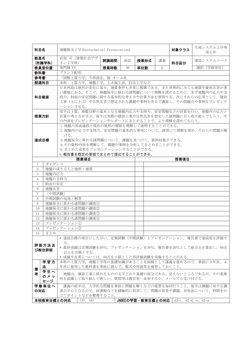| 科目名                                                                                                                                                                                                                      |                                                                                                                | 地盤保全工学(Geotechnical Preservation)                                                                                         |                                                                              |    | 対象クラス | 生産システム工学専<br>攻1年 |                                         |           |  |  |  |  |  |
|--------------------------------------------------------------------------------------------------------------------------------------------------------------------------------------------------------------------------|----------------------------------------------------------------------------------------------------------------|---------------------------------------------------------------------------------------------------------------------------|------------------------------------------------------------------------------|----|-------|------------------|-----------------------------------------|-----------|--|--|--|--|--|
| 教員名                                                                                                                                                                                                                      | (所属学科)                                                                                                         | 岩部 司 (建築社会デザ<br>イン工学科)                                                                                                    | 開講期間                                                                         | 前記 | 授業形式  | 講義               | 科目区分                                    | 建設システムコース |  |  |  |  |  |
|                                                                                                                                                                                                                          | 教員室位置                                                                                                          | 専門棟1F                                                                                                                     | 授業時数                                                                         | 30 | 単位数   | 2                |                                         | 選択 (学修単位) |  |  |  |  |  |
| 教科書                                                                                                                                                                                                                      |                                                                                                                | プリント配布                                                                                                                    |                                                                              |    |       |                  |                                         |           |  |  |  |  |  |
| 参考書                                                                                                                                                                                                                      |                                                                                                                | 「図解土質力学」今西清志, 他 オーム社                                                                                                      |                                                                              |    |       |                  |                                         |           |  |  |  |  |  |
| 関連科目                                                                                                                                                                                                                     |                                                                                                                | 本科:土質力学,地盤工学,土木施工法,防災工学など                                                                                                 |                                                                              |    |       |                  |                                         |           |  |  |  |  |  |
| 日本列島は地形が変化に富み、地質条件も非常に複雑である。また世界的にみても地震や豪雨災害が多<br>い環境にある。そこで、地盤保全に係わる諸問題について理解を深めるために、まず地盤内の応力や支<br>持力、斜面の安定問題に関する基本的な考え方や計算方法を習得する。次にそれらの応用として、建設<br>科目概要<br>工事(主に土工)や自然災害で想定される課題や事例を各自で調査し、その問題点や事例をプレゼンテ<br>ーションさせる。 |                                                                                                                |                                                                                                                           |                                                                              |    |       |                  |                                         |           |  |  |  |  |  |
| 前半は土質、地盤分野の基本となる地盤内応力や支持力、安定問題などの計算を行い、地盤内の応力と<br>計算の考え方を学ぶ。後半は実際の建設工事や自然災害を想定した諸問題に自ら取り組んでもらう。そ<br>授業方針<br>の内容をプレゼンテーションやレポートにまとめることで、より理解を深めてもらう。                                                                      |                                                                                                                |                                                                                                                           |                                                                              |    |       |                  |                                         |           |  |  |  |  |  |
|                                                                                                                                                                                                                          |                                                                                                                | 1. 地盤の形成過程と現在の地形の関係を理解して説明することができる。<br>2. 地盤内の応力や支持力、安定問題の基本的な事項について、演習にて理解を深め、それらの問題が解<br>ける。                            |                                                                              |    |       |                  |                                         |           |  |  |  |  |  |
| 達成目標                                                                                                                                                                                                                     |                                                                                                                |                                                                                                                           | 3. 地盤保全に係わる諸問題について、課題を見つけて、資料収集ができる。<br>4. その資料内容を理解して、課題や事例を分析してまとめることができる。 |    |       |                  |                                         |           |  |  |  |  |  |
|                                                                                                                                                                                                                          |                                                                                                                | 5. まとめた成果をプレゼンテーションすることができる。                                                                                              |                                                                              |    |       |                  |                                         |           |  |  |  |  |  |
|                                                                                                                                                                                                                          |                                                                                                                | 6.報告書を既定の要領でまとめて提出することができる。                                                                                               |                                                                              |    |       |                  |                                         |           |  |  |  |  |  |
|                                                                                                                                                                                                                          |                                                                                                                | 授業項目                                                                                                                      |                                                                              |    |       |                  | 授業項目                                    |           |  |  |  |  |  |
| 1                                                                                                                                                                                                                        | ガイダンス                                                                                                          |                                                                                                                           |                                                                              |    |       |                  |                                         |           |  |  |  |  |  |
| $\overline{2}$                                                                                                                                                                                                           |                                                                                                                | 地盤の成り立ちと地形・地質                                                                                                             |                                                                              |    |       |                  |                                         |           |  |  |  |  |  |
| 3                                                                                                                                                                                                                        | 地盤内応力                                                                                                          |                                                                                                                           |                                                                              |    |       |                  |                                         |           |  |  |  |  |  |
| $\overline{4}$                                                                                                                                                                                                           | 地盤の支持力                                                                                                         |                                                                                                                           |                                                                              |    |       |                  |                                         |           |  |  |  |  |  |
| 5                                                                                                                                                                                                                        | 斜面の安定                                                                                                          |                                                                                                                           |                                                                              |    |       |                  |                                         |           |  |  |  |  |  |
| 6                                                                                                                                                                                                                        | 地盤災害                                                                                                           |                                                                                                                           |                                                                              |    |       |                  |                                         |           |  |  |  |  |  |
| $\overline{7}$                                                                                                                                                                                                           | [中間試験]                                                                                                         |                                                                                                                           |                                                                              |    |       |                  |                                         |           |  |  |  |  |  |
| 8                                                                                                                                                                                                                        |                                                                                                                | 中間試験の返却と解答                                                                                                                |                                                                              |    |       |                  |                                         |           |  |  |  |  |  |
| 9                                                                                                                                                                                                                        |                                                                                                                | 地盤保全に係わる諸問題の調査①                                                                                                           |                                                                              |    |       |                  |                                         |           |  |  |  |  |  |
| 10                                                                                                                                                                                                                       |                                                                                                                | 地盤保全に係わる諸問題の調査②                                                                                                           |                                                                              |    |       |                  |                                         |           |  |  |  |  |  |
| 11                                                                                                                                                                                                                       |                                                                                                                | 地盤保全に係わる諸問題の調査③                                                                                                           |                                                                              |    |       |                  |                                         |           |  |  |  |  |  |
| 12                                                                                                                                                                                                                       |                                                                                                                | 地盤保全に係わる諸問題の調査4                                                                                                           |                                                                              |    |       |                  |                                         |           |  |  |  |  |  |
| 13                                                                                                                                                                                                                       |                                                                                                                | プレゼンテーション1                                                                                                                |                                                                              |    |       |                  |                                         |           |  |  |  |  |  |
| 14                                                                                                                                                                                                                       |                                                                                                                | プレゼンテーション2                                                                                                                |                                                                              |    |       |                  |                                         |           |  |  |  |  |  |
| 15                                                                                                                                                                                                                       | まとめ                                                                                                            |                                                                                                                           |                                                                              |    |       |                  |                                         |           |  |  |  |  |  |
|                                                                                                                                                                                                                          | 評価方法及<br>び総合評価                                                                                                 | * 達成目標の項目にしたがい、定期試験(中間試験)とプレゼンテーション、報告書で達成度を評価す<br>る。<br>* 最終成績は定期試験を50%、プレゼンテーションを30%、報告書を20%として総合点を算出し、60点<br>以上を合格とする。 |                                                                              |    |       |                  |                                         |           |  |  |  |  |  |
|                                                                                                                                                                                                                          |                                                                                                                | * 成績不良者については、60点を上限とした再評価試験を実施することがある。                                                                                    |                                                                              |    |       |                  |                                         |           |  |  |  |  |  |
| 備                                                                                                                                                                                                                        | 学習方<br>法                                                                                                       | 本科の土質力学,地盤工学等の基礎知識があることを前提として講義を進めるので、事前に3年次, 4<br>年次に使用した教科書を事前に読んで、数式や用語等を復習しておくこと。                                     |                                                                              |    |       |                  |                                         |           |  |  |  |  |  |
| 者                                                                                                                                                                                                                        | 学生へ<br>地盤は、建設工事に係わるものの文字どおり基礎の部分である。見えないところであるが、その重要<br>のメッ<br>性を認識して取り組んで欲しい。質問等は教官室へ来室するか、メールでも受け付ける。<br>セージ |                                                                                                                           |                                                                              |    |       |                  |                                         |           |  |  |  |  |  |
| 学修単位へ<br>講義の前半は,力学的な問題を事前に問題を解くなどの復習を毎回行うこと。後半は課題に対する調<br>の対応<br>査が中心となるので、図書館などを積極的に利用して、問題の背景や課題、対処法について、時間をか<br>けてポイントなどを整理すること。                                                                                      |                                                                                                                |                                                                                                                           |                                                                              |    |       |                  |                                         |           |  |  |  |  |  |
|                                                                                                                                                                                                                          | 本校教育目標との対応                                                                                                     | (3), (6)                                                                                                                  |                                                                              |    |       |                  | JABEEの学習・教育目標との対応   d2-c, d2-d, e, d2-a |           |  |  |  |  |  |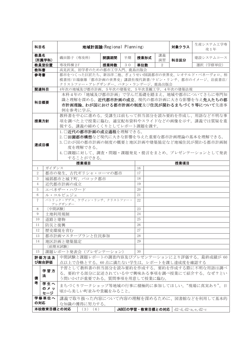| 科目名                                                                                                                                                                                                   |                                                                                                                                                                                                                                                                     |                                                                                                                                       | 地域計画論(Regional Planning) |    |                                       | 対象クラス          | 生産システム工学専<br>攻1年      |           |  |  |  |  |
|-------------------------------------------------------------------------------------------------------------------------------------------------------------------------------------------------------|---------------------------------------------------------------------------------------------------------------------------------------------------------------------------------------------------------------------------------------------------------------------|---------------------------------------------------------------------------------------------------------------------------------------|--------------------------|----|---------------------------------------|----------------|-----------------------|-----------|--|--|--|--|
| 教員名                                                                                                                                                                                                   | (所属学科)                                                                                                                                                                                                                                                              | 磯田節子 (専攻科)                                                                                                                            | 開講期間                     | 半期 | 授業形式                                  | 講義<br>演習       | 科目区分                  | 建設システムコース |  |  |  |  |
|                                                                                                                                                                                                       | 教員室位置                                                                                                                                                                                                                                                               | 専攻科棟 2F                                                                                                                               | 授業時数                     | 30 | 単位数                                   | $\overline{2}$ |                       | 選択 (学修単位) |  |  |  |  |
| 教科書                                                                                                                                                                                                   |                                                                                                                                                                                                                                                                     | 高見沢実、初学者のための都市工学入門、鹿島出版会                                                                                                              |                          |    |                                       |                |                       |           |  |  |  |  |
| 参考書                                                                                                                                                                                                   |                                                                                                                                                                                                                                                                     | 都市をつくった巨匠たち、新谷洋二他、ぎょうせい/図説都市の世界史、レオナルド・ベネーヴォロ、相<br>模書房/日端康雄「都市計画の世界史」講談社現代新書/ケビン・リンチ、都市のイメージ、岩波書店/<br>クリストファー・アレグザンダー、パタン・ランゲージ、鹿島出版会 |                          |    |                                       |                |                       |           |  |  |  |  |
| 関連科目                                                                                                                                                                                                  |                                                                                                                                                                                                                                                                     |                                                                                                                                       |                          |    | 4年次の地域及び都市計画、5年次の建築史、5年次景観工学、4年次の建築法規 |                |                       |           |  |  |  |  |
| 本科4年の「地域及び都市計画」で学んだ基礎を踏まえ、地域や都市についてさらに専門知<br>識と理解を深める。近代都市計画の成立、現代の都市計画に大きな影響を与え先人たちの都<br>科目概要<br>市計画理論、わが国における都市計画の制度及び住民が関わるまちづくり等について先進事<br>例を参考に学ぶ。                                               |                                                                                                                                                                                                                                                                     |                                                                                                                                       |                          |    |                                       |                |                       |           |  |  |  |  |
| 教科書を中心に進める。受講生は前もって担当部分を読み要約を作成し、用語など不明な事<br>項を調べた上で授業に臨む。適宜配布資料やスライドなどの画像を示す。講義では質疑を重<br>授業方針<br>視する。講義の締めくくりとしてレポート課題を課す。                                                                           |                                                                                                                                                                                                                                                                     |                                                                                                                                       |                          |    |                                       |                |                       |           |  |  |  |  |
| 1. □近代の都市計画の成立過程を理解できる。<br>2. □田園都市構想など現代に大きな影響を与えた重要な都市計画理論の基本を理解できる。<br>3. 口わが国の都市計画の制度の概要と地区計画や建築協定など地域住民が関わる都市計画制<br>達成目標<br>度を理解できる。<br>4. □課題に対して、調査・問題・課題発見・提言をまとめ、プレゼンテーションとして発表<br>することができる。 |                                                                                                                                                                                                                                                                     |                                                                                                                                       |                          |    |                                       |                |                       |           |  |  |  |  |
|                                                                                                                                                                                                       |                                                                                                                                                                                                                                                                     | 授業項目                                                                                                                                  |                          |    |                                       |                | 授業項目                  |           |  |  |  |  |
| 1                                                                                                                                                                                                     | ガイダンス                                                                                                                                                                                                                                                               |                                                                                                                                       |                          |    | 16                                    |                |                       |           |  |  |  |  |
| 2                                                                                                                                                                                                     |                                                                                                                                                                                                                                                                     | 都市の発生、古代ギリシャ・ローマの都市                                                                                                                   |                          |    | 17                                    |                |                       |           |  |  |  |  |
| 3                                                                                                                                                                                                     |                                                                                                                                                                                                                                                                     | 城郭都市と城下町、バロック都市                                                                                                                       |                          |    | 18                                    |                |                       |           |  |  |  |  |
|                                                                                                                                                                                                       |                                                                                                                                                                                                                                                                     |                                                                                                                                       |                          |    |                                       |                |                       |           |  |  |  |  |
| 4                                                                                                                                                                                                     |                                                                                                                                                                                                                                                                     | 近代都市計画の成立                                                                                                                             |                          |    | 19                                    |                |                       |           |  |  |  |  |
| 5                                                                                                                                                                                                     |                                                                                                                                                                                                                                                                     | エベネザー・ハワード                                                                                                                            |                          |    | 20                                    |                |                       |           |  |  |  |  |
| 6                                                                                                                                                                                                     |                                                                                                                                                                                                                                                                     | ル・コルビュジェ                                                                                                                              |                          |    | 21                                    |                |                       |           |  |  |  |  |
| $\tau$                                                                                                                                                                                                |                                                                                                                                                                                                                                                                     | パトリック・ゲデス、ケヴィン・リンチ、クリストファー・                                                                                                           |                          |    | 22                                    |                |                       |           |  |  |  |  |
| 8                                                                                                                                                                                                     | [中間試験]                                                                                                                                                                                                                                                              | アレグザンダー                                                                                                                               |                          |    | 23                                    |                |                       |           |  |  |  |  |
| 9                                                                                                                                                                                                     |                                                                                                                                                                                                                                                                     |                                                                                                                                       |                          |    | 24                                    |                |                       |           |  |  |  |  |
|                                                                                                                                                                                                       | 土地利用規制                                                                                                                                                                                                                                                              |                                                                                                                                       |                          |    |                                       |                |                       |           |  |  |  |  |
| 10                                                                                                                                                                                                    | 道路と建物                                                                                                                                                                                                                                                               |                                                                                                                                       |                          |    | 25                                    |                |                       |           |  |  |  |  |
| 11                                                                                                                                                                                                    | 防災と復興                                                                                                                                                                                                                                                               |                                                                                                                                       |                          |    | 26                                    |                |                       |           |  |  |  |  |
| 12                                                                                                                                                                                                    |                                                                                                                                                                                                                                                                     | 歴史環境を育む                                                                                                                               |                          |    | 27                                    |                |                       |           |  |  |  |  |
| 13                                                                                                                                                                                                    |                                                                                                                                                                                                                                                                     | 都市計画マスタープランと住民参加                                                                                                                      |                          |    | 28                                    |                |                       |           |  |  |  |  |
| 14                                                                                                                                                                                                    |                                                                                                                                                                                                                                                                     | 地区計画と建築協定                                                                                                                             |                          |    | 29                                    |                |                       |           |  |  |  |  |
|                                                                                                                                                                                                       |                                                                                                                                                                                                                                                                     | [前期末試験]                                                                                                                               |                          |    |                                       |                |                       |           |  |  |  |  |
| 15                                                                                                                                                                                                    |                                                                                                                                                                                                                                                                     | 課題レポート発表会(プレゼンテーション)                                                                                                                  |                          |    | 30                                    |                |                       |           |  |  |  |  |
|                                                                                                                                                                                                       | 評価方法及<br>び総合評価                                                                                                                                                                                                                                                      | 中間試験と課題レポートの調査内容及びプレゼンテーションにより評価する。最終成績が60                                                                                            |                          |    |                                       |                |                       |           |  |  |  |  |
| 備<br>考                                                                                                                                                                                                | 点以上で合格とする。60点に満たない学生は,レポートを課し達成度を確認する<br>予習として教科書の担当部分を読み要約を作成する。要約を作成する際に不明な用語は調べ<br>学習方<br>る。要約する部分に記述されている中で興味ある事項を調べ授業にて紹介する。なぜ?とい<br>法<br>う問いかけが重要である。質問事項を用意して授業に臨む。<br>学生へ<br>まちづくりワークショップ等地域の行事に積極的に参加してほしい。"現場に真実あり"。日<br>のメッ<br>頃から美しい町並みや景観をみること。<br>セージ |                                                                                                                                       |                          |    |                                       |                |                       |           |  |  |  |  |
| の対応                                                                                                                                                                                                   | 学修単位へ                                                                                                                                                                                                                                                               | 講義で取り扱った内容について内容の理解を深めるために、図書館などを利用して基本的<br>な知識の獲得に努力する。                                                                              |                          |    |                                       |                |                       |           |  |  |  |  |
|                                                                                                                                                                                                       | 本校教育目標との対応                                                                                                                                                                                                                                                          | (3)<br>(6)                                                                                                                            |                          |    | JABEEの学習・教育目標との対応                     |                | $d2-d, d2-a, e, d2-c$ |           |  |  |  |  |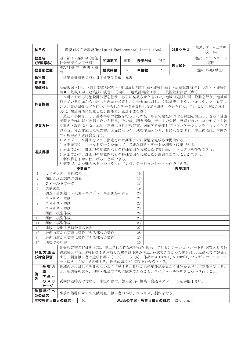| 科目名                                                                               |                                          |               | 環境施設設計演習(Design of Environmental Institution) |      |    | 対象クラス                                     | 生産システム工学専<br>攻 1年                              |                                                       |                                                            |  |  |  |
|-----------------------------------------------------------------------------------|------------------------------------------|---------------|-----------------------------------------------|------|----|-------------------------------------------|------------------------------------------------|-------------------------------------------------------|------------------------------------------------------------|--|--|--|
| 教員名                                                                               | (所属学科)                                   | 社会デザイン工学科)    | 磯田節子·森山学 (建築                                  | 開講期間 | 前期 | 授業形式                                      | 演習                                             | 科目区分                                                  | 建設システムコース<br>専門                                            |  |  |  |
|                                                                                   | 教員室位置                                    | 2F            | 専攻科棟 2F · 専門 A 棟                              | 授業時数 | 60 | 単位数                                       | 2                                              |                                                       | 選択 (学修単位)                                                  |  |  |  |
| 教科書                                                                               |                                          |               | 「建築設計資料集成」日本建築学会編                             |      | 丸善 |                                           |                                                |                                                       |                                                            |  |  |  |
| 参考書                                                                               |                                          |               |                                               |      |    |                                           |                                                |                                                       |                                                            |  |  |  |
| 関連科目                                                                              |                                          |               |                                               |      |    |                                           |                                                | 画II · 景観工学 · 建築設計演習II (5年) · 地域計画論 (専1) · 景観設計演習 (専2) | 基礎製図 (1年) ・設計製図(2-3年)・地域及び都市計画・建築計画 I ・建築設計演習 I (4年) ・建築計  |  |  |  |
|                                                                                   |                                          |               |                                               |      |    |                                           |                                                |                                                       | 本科における建築設計演習を継承しさらに発展させたもので、地域の施設計画・設計を行う。地域が              |  |  |  |
|                                                                                   |                                          |               |                                               |      |    |                                           |                                                |                                                       | 抱えている問題から抽出した課題を設定し、この課題に対し、文献調査、タウンウォッチング、ヒアリ             |  |  |  |
| 科目概要                                                                              |                                          |               |                                               |      |    |                                           |                                                |                                                       | ング、実測調査などを行い、得られたデータを参照しながら計画·設計を行う。これにより地域の風土、            |  |  |  |
|                                                                                   |                                          |               | 文化、生活習慣に配慮した計画能力、設計手法を養う。                     |      |    |                                           |                                                |                                                       |                                                            |  |  |  |
|                                                                                   |                                          |               |                                               |      |    |                                           |                                                |                                                       | 最初に事例を示し、基本事項の教授を行う。その後、各自で地域における課題を抽出し、さらに受講              |  |  |  |
| 者間でそれに基づき話し合いを行う。その後、調査活動、データの分析・整理を行い、コンセプトを練                                    |                                          |               |                                               |      |    |                                           |                                                |                                                       |                                                            |  |  |  |
| り計画・設計に入る。添削・指導は各自が報告書、図面等を提出しプレゼンテーションを行うかたちで<br>授業方針                            |                                          |               |                                               |      |    |                                           |                                                |                                                       |                                                            |  |  |  |
|                                                                                   |                                          |               |                                               |      |    |                                           |                                                |                                                       | 進める。また作成した報告書、図面に基づき、地域住民との打合せにも参加する。提出後には、学内外             |  |  |  |
|                                                                                   | での展示会や講評会を行う。                            |               |                                               |      |    |                                           |                                                |                                                       |                                                            |  |  |  |
| 1. スケジュール計画を立て、指定された期限までに課題を完成させ提出する。<br>2. 文献調査やフィールドワークを通して、必要な資料・データを調査・収集できる。 |                                          |               |                                               |      |    |                                           |                                                |                                                       |                                                            |  |  |  |
|                                                                                   |                                          |               |                                               |      |    |                                           |                                                |                                                       |                                                            |  |  |  |
| 達成目標                                                                              |                                          |               |                                               |      |    |                                           |                                                | 3.適正でかつ、計画地の地域性などの特殊要因を考慮した作業計画、コンセプトを提案できる。          |                                                            |  |  |  |
|                                                                                   |                                          |               | 5.制作物を丁寧に仕上げることができる。                          |      |    | 4.適正でかつ、計画地の地域性などの特殊要因を考慮した計画案を立てることができる。 |                                                |                                                       |                                                            |  |  |  |
|                                                                                   |                                          |               | 6. 適正で、かつ魅力ある分かりやすいプレゼンテーションシートを作成できる。        |      |    |                                           |                                                |                                                       |                                                            |  |  |  |
|                                                                                   |                                          |               | 授業項目                                          |      |    |                                           |                                                | 授業項目                                                  |                                                            |  |  |  |
| 1                                                                                 |                                          | ガイダンス、事例紹介    |                                               |      |    | 16                                        |                                                |                                                       |                                                            |  |  |  |
| $\overline{2}$                                                                    |                                          | 抽出された課題の発表    |                                               |      |    | 17                                        |                                                |                                                       |                                                            |  |  |  |
| 3                                                                                 |                                          | フィールドワーク      |                                               |      |    | 18                                        |                                                |                                                       |                                                            |  |  |  |
| 4                                                                                 | 文献調査                                     |               |                                               |      |    | 19                                        |                                                |                                                       |                                                            |  |  |  |
| 5                                                                                 |                                          |               | 調査・計画趣旨・概要・スケジュール計画等の報告                       |      |    | 20                                        |                                                |                                                       |                                                            |  |  |  |
| 6                                                                                 |                                          | エスキス・添削       |                                               |      |    | 21                                        |                                                |                                                       |                                                            |  |  |  |
| $\overline{7}$                                                                    |                                          | エスキス・添削       |                                               |      |    | 22                                        |                                                |                                                       |                                                            |  |  |  |
| 8                                                                                 |                                          | エスキス・添削       |                                               |      |    | 23                                        |                                                |                                                       |                                                            |  |  |  |
| 9                                                                                 |                                          | 図面・模型作成       |                                               |      |    | 24                                        |                                                |                                                       |                                                            |  |  |  |
| 10                                                                                |                                          | 図面・模型作成       |                                               |      |    | 25                                        |                                                |                                                       |                                                            |  |  |  |
| 11                                                                                |                                          | 図面・模型作成       |                                               |      |    | 26                                        |                                                |                                                       |                                                            |  |  |  |
| 12<br>13                                                                          |                                          | 地域に提出する報告書の発表 | 計画内容から実際に製作できる部分の製作                           |      |    | 27<br>28                                  |                                                |                                                       |                                                            |  |  |  |
| 14                                                                                |                                          |               | 計画内容から実際に製作できる部分の製作                           |      |    | 29                                        |                                                |                                                       |                                                            |  |  |  |
| 15                                                                                | 地域での発表                                   |               |                                               |      |    | 30                                        |                                                |                                                       |                                                            |  |  |  |
|                                                                                   |                                          |               |                                               |      |    |                                           |                                                |                                                       | 調査報告書の評価を 30%、提出された作品の評価を 60%、プレゼンテーションシートを 10%として最        |  |  |  |
|                                                                                   | 評価方法及                                    |               |                                               |      |    |                                           |                                                |                                                       | 終成績とする。達成目標1を達成した場合は100点満点、達成できなかった場合は60点満点での評価と           |  |  |  |
|                                                                                   | び総合評価                                    |               |                                               |      |    |                                           |                                                |                                                       | する。調査報告書は達成目標2 (10%)、3 (20%)、作品は4 (30%)、5 (30%)、プレゼンテーションシ |  |  |  |
|                                                                                   |                                          |               | ートは6 (10%) で評価する。最終成績は60点以上を合格とする。            |      |    |                                           |                                                |                                                       |                                                            |  |  |  |
|                                                                                   | 学習方                                      |               |                                               |      |    |                                           | 地域の方に対して失礼のないよう行動する。日頃から建築雑誌を見たり建物を見学して刺激を受けるこ |                                                       |                                                            |  |  |  |
| 法<br>と。新聞等を読み、地域・社会の情勢に敏感であること。スケジュール管理をしっかり行うこと。<br>備                            |                                          |               |                                               |      |    |                                           |                                                |                                                       |                                                            |  |  |  |
| 考                                                                                 | 学生へ                                      |               |                                               |      |    |                                           |                                                |                                                       |                                                            |  |  |  |
| のメッ<br>質問は随時受け付ける。来室の際は、教員室前の授業・会議スケジュールを参照下さい。<br>セージ                            |                                          |               |                                               |      |    |                                           |                                                |                                                       |                                                            |  |  |  |
|                                                                                   | 学修単位へ                                    |               |                                               |      |    |                                           |                                                |                                                       |                                                            |  |  |  |
|                                                                                   | 事前の指導に対して文献調査、報告書の作成、エスキス、製作を行う。<br>のの対応 |               |                                               |      |    |                                           |                                                |                                                       |                                                            |  |  |  |
|                                                                                   | 本校教育目標との対応                               |               | (6)                                           |      |    | JABEEの学習・教育目標との対応                         |                                                | $d2-c$ , e, g, h                                      |                                                            |  |  |  |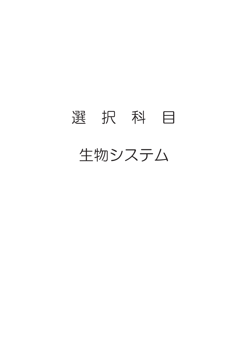## 選 択 科 目 生物システム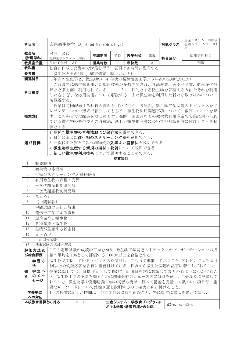| 科目名                                                                     |                 | 応用微生物学 (Applied Microbiology)           |          |      |        | 対象クラス                              | 生産システム工学専攻<br>生物システムコース1<br>年 |                    |                                                                                          |  |  |
|-------------------------------------------------------------------------|-----------------|-----------------------------------------|----------|------|--------|------------------------------------|-------------------------------|--------------------|------------------------------------------------------------------------------------------|--|--|
| 教員名                                                                     |                 | 弓原 多代                                   |          | 開講期間 | 半期     | 授業形式                               | 講義                            |                    | 応用専門科目                                                                                   |  |  |
|                                                                         | (所属学科)<br>教員室位置 | 生物化学システム工学科<br>生物工学棟                    | - 3 F    | 授業時数 | 30     | 単位数                                | $\overline{2}$                | 科目区分               | 選択                                                                                       |  |  |
| 教科書                                                                     |                 | 独自に作成した資料で講義を行う。資料は各時間に配布する             |          |      |        |                                    |                               |                    |                                                                                          |  |  |
| 参考書                                                                     |                 | 「微生物とその利用」緒方靖或                          |          |      | 編 コロナ社 |                                    |                               |                    |                                                                                          |  |  |
| 関連科目                                                                    |                 | 3年次の生化学2, 微生物学, 4 年次の発酵培養工学, 5年次の生物化学工学 |          |      |        |                                    |                               |                    |                                                                                          |  |  |
|                                                                         |                 |                                         |          |      |        |                                    |                               |                    | これまでに微生物を用いた応用技術が多数開発され、食品産業、医薬品産業、環境浄化分                                                 |  |  |
| 科目概要                                                                    |                 | も概説する.                                  |          |      |        |                                    |                               |                    | 野など多方面に利用されている。ここでは、目的とする微生物を育種する方法やそれを利用<br>したさまざまな応用技術について解説する. また微生物を利用した新たな取り組みについて  |  |  |
|                                                                         |                 |                                         |          |      |        |                                    |                               |                    | 授業は毎回配布する独自の資料を用いて行う. 各時間、微生物工学関連のトピックスをプ                                                |  |  |
| レゼンテーション形式で紹介してもらう. 微生物利用関連事項について、数回レポートを課                              |                 |                                         |          |      |        |                                    |                               |                    |                                                                                          |  |  |
| 授業方針                                                                    |                 |                                         |          |      |        |                                    |                               |                    | す. この科目では醸造をはじめとする発酵, 医薬品などの微生物利用産業で実際に用いられ                                              |  |  |
| ている微生物の特性やその育種法、新しい微生物産業についての知識を身に付けることを目                               |                 |                                         |          |      |        |                                    |                               |                    |                                                                                          |  |  |
| 標とする.<br>1. 数種の微生物の育種法および保存法を説明できる.                                     |                 |                                         |          |      |        |                                    |                               |                    |                                                                                          |  |  |
|                                                                         |                 |                                         |          |      |        |                                    |                               |                    |                                                                                          |  |  |
| 2. 目的に応じた微生物のスクリーニング法を選択できる.<br>達成目標<br>3. 一次代謝物質と二次代謝物質の効率よい蓄積法を説明できる. |                 |                                         |          |      |        |                                    |                               |                    |                                                                                          |  |  |
| 4. 微生物が生産する新規の素材・物質について説明できる.                                           |                 |                                         |          |      |        |                                    |                               |                    |                                                                                          |  |  |
| 5. 新しい微生物利用技術について説明することができる.                                            |                 |                                         |          |      |        |                                    |                               |                    |                                                                                          |  |  |
|                                                                         |                 |                                         |          |      | 授業項目   |                                    |                               |                    |                                                                                          |  |  |
| 1                                                                       | 概要説明            |                                         |          |      |        |                                    |                               |                    |                                                                                          |  |  |
| $\overline{2}$                                                          |                 | 微生物の多様性                                 |          |      |        |                                    |                               |                    |                                                                                          |  |  |
| 3                                                                       |                 | 生物のスクリーニングと純粋培養                         |          |      |        |                                    |                               |                    |                                                                                          |  |  |
| $\overline{4}$                                                          |                 | 有用微生物の育種・変異                             |          |      |        |                                    |                               |                    |                                                                                          |  |  |
| 5                                                                       |                 | 一次代謝産物制御発酵                              |          |      |        |                                    |                               |                    |                                                                                          |  |  |
| 6                                                                       |                 | 二次代謝産物制御発酵                              |          |      |        |                                    |                               |                    |                                                                                          |  |  |
| $\overline{7}$                                                          | まとめ1            |                                         |          |      |        |                                    |                               |                    |                                                                                          |  |  |
| 8                                                                       | [中間試験]          |                                         |          |      |        |                                    |                               |                    |                                                                                          |  |  |
| 9                                                                       |                 | 中間試験の返却と解説                              |          |      |        |                                    |                               |                    |                                                                                          |  |  |
| 10                                                                      |                 | 遺伝子工学による育種                              |          |      |        |                                    |                               |                    |                                                                                          |  |  |
| 11<br>12                                                                |                 | 環境保全と微生物                                |          |      |        |                                    |                               |                    |                                                                                          |  |  |
| 13                                                                      |                 | 各種産業と微生物<br>生物が生産する新素材                  |          |      |        |                                    |                               |                    |                                                                                          |  |  |
| 14                                                                      | まとめ 2           |                                         |          |      |        |                                    |                               |                    |                                                                                          |  |  |
|                                                                         |                 | [前期末試験]                                 |          |      |        |                                    |                               |                    |                                                                                          |  |  |
| 15                                                                      |                 | 期末試験の返却と解説                              |          |      |        |                                    |                               |                    |                                                                                          |  |  |
|                                                                         | 評価方法及           |                                         |          |      |        |                                    |                               |                    | 2回の定期試験の成績の平均を90%, 微生物工学関連のトピックスのプレゼンテーションの成                                             |  |  |
|                                                                         | び総合評価           | 績の平均を10%として評価する. 60点以上を合格とする.           |          |      |        |                                    |                               |                    |                                                                                          |  |  |
|                                                                         | 学習方<br>法        |                                         |          |      |        |                                    |                               |                    | 微生物が関係しているトピックスを選択し、前もって準備しておくこと.プレゼンには最低1<br>回以上の質疑応答を各自に義務付けている.日頃から微生物関連の記事に着目しておくこと. |  |  |
| 学生へ<br>授業に際しては、目標項目として掲げた 5 項目を常に意識してまとめるように心がけるこ<br>備                  |                 |                                         |          |      |        |                                    |                               |                    |                                                                                          |  |  |
| 者                                                                       | のメッ             |                                         |          |      |        |                                    |                               |                    | と. 微生物工学の実際を知るために関連分野のニュース等には目を通し、自分なりに把握して                                              |  |  |
|                                                                         | セージ             |                                         |          |      |        |                                    |                               |                    | おくこと. 微生物学や発酵培養工学の復習も簡単に行って講義を受講して欲しい. 項目毎に重                                             |  |  |
|                                                                         |                 | 要なキーワードについては繰り返し説明するので確実に身に付けること.       |          |      |        |                                    |                               |                    |                                                                                          |  |  |
|                                                                         | 学修単位<br>への対応    |                                         |          |      |        |                                    |                               |                    | 1回の授業に対し,1時間以上の自学自習に取り組むこと. 特に復習に重点を置いて欲しい.                                              |  |  |
|                                                                         | 本校教育目標との対応      |                                         | 3<br>- 6 |      |        | 生産システム工学教育プログラムに<br>おける学習・教育目標との対応 |                               | $d2-c$ , e, $d2-d$ |                                                                                          |  |  |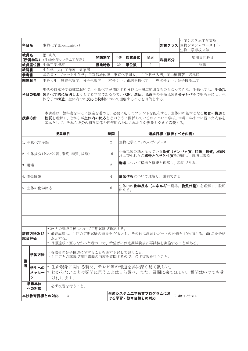| 科目名                                                                            |                                                                                                               | 生物化学(Biochemistry)                                                     |      |                                                     |                                                             |    |      | 生産システム工学専攻<br>対象クラス 生物システムコース1年<br>生物工学専攻2年                                                                                 |  |  |  |  |
|--------------------------------------------------------------------------------|---------------------------------------------------------------------------------------------------------------|------------------------------------------------------------------------|------|-----------------------------------------------------|-------------------------------------------------------------|----|------|-----------------------------------------------------------------------------------------------------------------------------|--|--|--|--|
| 教員名                                                                            | 墨 利久                                                                                                          | (所属学科) (生物化学システム工学科)                                                   | 開講期間 | 半期                                                  | 授業形式                                                        | 講義 | 科目区分 | 応用専門科目                                                                                                                      |  |  |  |  |
|                                                                                | 教員室位置 生物工学棟2F                                                                                                 |                                                                        | 授業時数 | 30                                                  | 単位数                                                         | 2  |      | 選択                                                                                                                          |  |  |  |  |
| 教科書                                                                            |                                                                                                               | 生化学 丸山工作著 裳華房                                                          |      |                                                     |                                                             |    |      |                                                                                                                             |  |  |  |  |
| 参考書                                                                            |                                                                                                               | 参考書:「ヴォート生化学」田宮信雄他訳 東京化学同人、「生物科学入門」岡山繁樹著 培風館                           |      |                                                     |                                                             |    |      |                                                                                                                             |  |  |  |  |
| 関連科目                                                                           |                                                                                                               | 本科 4年:細胞生物学、分子生物学                                                      |      |                                                     | 本科 5 年:細胞生物化学                                               |    |      | 専攻科 2 年: 分子機能工学                                                                                                             |  |  |  |  |
|                                                                                |                                                                                                               | 体分子の構造、生体内での反応と役割について理解することを目的とする。                                     |      |                                                     |                                                             |    |      | 現代の自然科学領域において、生物化学が関係する分野は一層広範囲なものとなってきた。生物化学は、生命 <b>現</b><br> 科目の概要  象を化学的に解明しようとする学問であるので、代謝、遺伝、免疫等の生命現象を分子レベルで明らかにし、生    |  |  |  |  |
| 授業方針                                                                           |                                                                                                               | 基本として、それら成分の相互関係や近年明らかにされた生命現象も交えて講義する。                                |      |                                                     |                                                             |    |      | 本講義は, 教科書を中心に授業を進める。必要に応じてプリントを配布する。生体内の基本となる <b>物質</b> の <b>構造</b> と<br>性質を理解し、それらが生体内の反応とどのように関係しているかについて学ぶ。本科5年までに習った内容を |  |  |  |  |
|                                                                                |                                                                                                               | 授業項目                                                                   |      | 時間                                                  |                                                             |    |      | 達成目標 (修得すべき内容)                                                                                                              |  |  |  |  |
| 1. 生物化学序論                                                                      |                                                                                                               |                                                                        |      | $\overline{2}$                                      | 生物化学についてのガイダンス                                              |    |      |                                                                                                                             |  |  |  |  |
|                                                                                |                                                                                                               | 2. 生体成分(タンパク質、脂質、糖質、核酸)                                                |      | 16                                                  | 生命現象の基となっている物質(タンパク質、脂質、糖質、核酸)<br>およびそれらの構造と化学的性質を理解し、説明出来る |    |      |                                                                                                                             |  |  |  |  |
| 3. 酵素                                                                          |                                                                                                               |                                                                        |      | $2^{1}$                                             |                                                             |    |      | 酵素について構造と機能を理解し、説明できる。                                                                                                      |  |  |  |  |
| 4. 遺伝情報                                                                        |                                                                                                               |                                                                        |      | 4                                                   | 遺伝情報について理解し、説明できる。                                          |    |      |                                                                                                                             |  |  |  |  |
| 5. 生体の化学反応                                                                     |                                                                                                               |                                                                        |      | 6                                                   | 出来る。                                                        |    |      | 生体内の化学反応(エネルギー獲得、物質代謝)を理解し、説明                                                                                               |  |  |  |  |
|                                                                                |                                                                                                               |                                                                        |      |                                                     |                                                             |    |      |                                                                                                                             |  |  |  |  |
|                                                                                |                                                                                                               |                                                                        |      |                                                     |                                                             |    |      |                                                                                                                             |  |  |  |  |
| 評価方法及び<br> 総合評価                                                                | 点とする。                                                                                                         | *2~5の達成目標について定期試験で確認する。<br>* 目標達成に至らなかった者の中で、希望者には定期試験後に再試験を実施することがある。 |      |                                                     |                                                             |    |      | * 最終成績は、1回の定期試験の結果を90%とし、その他に課題レポートの評価を10%加える。60点を合格                                                                        |  |  |  |  |
| ・各成分の分子構造に関することを必ず予習しておくこと。<br>学習方法<br>•1回ごとの講義で前回講義の内容を質問するので、必ず復習を行うこと。<br>備 |                                                                                                               |                                                                        |      |                                                     |                                                             |    |      |                                                                                                                             |  |  |  |  |
| 考<br>ジ                                                                         | * 生命現象に関する新聞、テレビ等の報道を興味深く見て欲しい。<br>学生への<br><b>メッセー  *</b> わからないことや疑問に思うことは自ら調べ、また、質問に来てほしい。質問はいつでも受<br>け付けます。 |                                                                        |      |                                                     |                                                             |    |      |                                                                                                                             |  |  |  |  |
| 学修単位<br>への対応                                                                   |                                                                                                               | 必ず復習を行うこと。                                                             |      |                                                     |                                                             |    |      |                                                                                                                             |  |  |  |  |
| 本校教育目標との対応                                                                     |                                                                                                               | 3                                                                      |      | 生産システム工学教育プログラムにお<br>C d2-a d2-c e<br>ける学習・教育目標との対応 |                                                             |    |      |                                                                                                                             |  |  |  |  |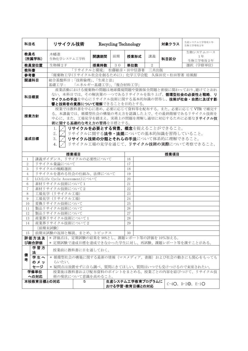| 科目名                                                                            |                                                                                                                                                                                                    | リサイクル技術                                 |  |                      |    | <b>Recycling Technology</b>                                                                    |    | 対象クラス                                      | 生産システム工学専攻1年<br>生物工学専攻2年                                                                                                                          |  |  |  |
|--------------------------------------------------------------------------------|----------------------------------------------------------------------------------------------------------------------------------------------------------------------------------------------------|-----------------------------------------|--|----------------------|----|------------------------------------------------------------------------------------------------|----|--------------------------------------------|---------------------------------------------------------------------------------------------------------------------------------------------------|--|--|--|
| 教員名                                                                            | (所属学科)                                                                                                                                                                                             | 木幡進<br>生物化学システム工学科                      |  | 開講期間                 | 前期 | 授業形式                                                                                           | 講義 | 科目区分                                       | 生物システムコース<br>1年<br>生物工学専攻2年                                                                                                                       |  |  |  |
|                                                                                | 教員室位置                                                                                                                                                                                              | 生物棟 2 F                                 |  | 授業時数                 | 30 | 単位数                                                                                            | 2  |                                            | 選択 (学修単位)                                                                                                                                         |  |  |  |
| 教科書                                                                            |                                                                                                                                                                                                    |                                         |  |                      |    | 「リサイクルと環境」 松藤敏彦・田中信壽著 三共出版                                                                     |    |                                            |                                                                                                                                                   |  |  |  |
| 参考書                                                                            |                                                                                                                                                                                                    |                                         |  |                      |    |                                                                                                |    | 「廃棄物工学(リサイクル社会を創るために)」化学工学会監 久保田宏・松田智著 培風館 |                                                                                                                                                   |  |  |  |
| 関連科目                                                                           |                                                                                                                                                                                                    | 総合基盤科目:「技術倫理」、「生産と法」<br>基礎工学:           |  | 「エネルギー基礎工学」、「複合材料工学」 |    |                                                                                                |    |                                            |                                                                                                                                                   |  |  |  |
| 科目概要                                                                           |                                                                                                                                                                                                    |                                         |  |                      |    | 産業活動における廃棄物の問題は地球環境問題や資源保全問題と密接に関わっており、避けてとおれ<br>ない。本科目では、その解決策の一つであるリサイクルを取り上げ、循環型社会の必要性と戦略、リ |    |                                            |                                                                                                                                                   |  |  |  |
|                                                                                |                                                                                                                                                                                                    |                                         |  |                      |    | サイクルの手法を中心にリサイクル技術に関する基本的知識の習得し、技術が社会・自然に及ぼす影<br>響と技術者の責務について理解できることを目的とする。                    |    |                                            |                                                                                                                                                   |  |  |  |
| 授業方針                                                                           |                                                                                                                                                                                                    | 術に関する基礎的な考え方の習得を目標とする。                  |  |                      |    |                                                                                                |    |                                            | 授業では教科書を中心に進め、必要に応じて資料等を配布する。また、必要に応じて VTR で補完す<br>る。本講義では、循環型社会の構築の考え方を認識した上で、その最終階層であるリサイクル技術を<br>中心に、また、工場見学を踏まえ、実務上の問題を理解し適切に対応するために必要なリサイクル技 |  |  |  |
|                                                                                | リサイクルを必要とする背景、概念を捉えることができること。<br>1.<br>2.<br>リサイクルに関する <b>法令・法規</b> についての基本的知識を習得していること。<br>達成目標<br>3.<br>リサイクル技術の分類とそれらの手法について体系的に理解できること。<br>リサイクル工場の見学を通じて、リサイクル技術の実際について考察できること。<br>4.<br>نسمه |                                         |  |                      |    |                                                                                                |    |                                            |                                                                                                                                                   |  |  |  |
| 授業項目<br>授業項目                                                                   |                                                                                                                                                                                                    |                                         |  |                      |    |                                                                                                |    |                                            |                                                                                                                                                   |  |  |  |
| 1                                                                              |                                                                                                                                                                                                    | 講義ガイダンス、リサイクルの必要性について                   |  |                      |    | 16                                                                                             |    |                                            |                                                                                                                                                   |  |  |  |
| $\overline{2}$                                                                 |                                                                                                                                                                                                    | リサイクル量論について                             |  |                      |    | 17                                                                                             |    |                                            |                                                                                                                                                   |  |  |  |
| 3                                                                              |                                                                                                                                                                                                    | リサイクルの戦略選択                              |  |                      |    | 18                                                                                             |    |                                            |                                                                                                                                                   |  |  |  |
| $\overline{4}$                                                                 |                                                                                                                                                                                                    | リサイクルを進める社会の仕組み、法律について                  |  |                      |    | 19                                                                                             |    |                                            |                                                                                                                                                   |  |  |  |
| 5                                                                              |                                                                                                                                                                                                    | LCA (Life Cycle Assessment)について         |  |                      |    | 20                                                                                             |    |                                            |                                                                                                                                                   |  |  |  |
| 6                                                                              |                                                                                                                                                                                                    | 素材リサイクル技術について1                          |  |                      |    | 21                                                                                             |    |                                            |                                                                                                                                                   |  |  |  |
| 7                                                                              |                                                                                                                                                                                                    | 素材リサイクル技術について2                          |  |                      |    | 22                                                                                             |    |                                            |                                                                                                                                                   |  |  |  |
| 8                                                                              |                                                                                                                                                                                                    | 工場見学 (リサイクル工場)                          |  |                      |    | 23                                                                                             |    |                                            |                                                                                                                                                   |  |  |  |
| 9                                                                              |                                                                                                                                                                                                    | 工場見学(リサイクル工場)                           |  |                      |    | 24                                                                                             |    |                                            |                                                                                                                                                   |  |  |  |
| 10                                                                             |                                                                                                                                                                                                    | 変換リサイクル技術について                           |  |                      |    | 25                                                                                             |    |                                            |                                                                                                                                                   |  |  |  |
| 11                                                                             |                                                                                                                                                                                                    | 製品リサイクル技術について                           |  |                      |    | 26                                                                                             |    |                                            |                                                                                                                                                   |  |  |  |
| 12                                                                             |                                                                                                                                                                                                    | 製品リサイクル技術について                           |  |                      |    | 27<br>28                                                                                       |    |                                            |                                                                                                                                                   |  |  |  |
| 13                                                                             |                                                                                                                                                                                                    | 産業界リサイクル技術について1<br>産業界リサイクル技術について2      |  |                      |    | 29                                                                                             |    |                                            |                                                                                                                                                   |  |  |  |
| 14                                                                             |                                                                                                                                                                                                    | [前期末試験]                                 |  |                      |    |                                                                                                |    |                                            |                                                                                                                                                   |  |  |  |
| 15                                                                             |                                                                                                                                                                                                    | 前期末試験の返却と解説、まとめ、トピックス                   |  |                      |    | 30                                                                                             |    |                                            |                                                                                                                                                   |  |  |  |
|                                                                                | 評価方法及<br>び総合評価                                                                                                                                                                                     | * 評価点は、定期試験の結果を90%とし、課題レポート等の評価を10%加える。 |  |                      |    |                                                                                                |    |                                            |                                                                                                                                                   |  |  |  |
| * 定期試験で達成目標を達成できなかった学生に対し、再試験、課題レポート等を課すことがある。<br>学習方<br>授業前に教科書に目を通しておく。<br>法 |                                                                                                                                                                                                    |                                         |  |                      |    |                                                                                                |    |                                            |                                                                                                                                                   |  |  |  |
| 備<br>考                                                                         | 学生へ                                                                                                                                                                                                |                                         |  |                      |    |                                                                                                |    |                                            | * 循環型社会の構築に関する最新の情報(マスメディア、書籍)および社会の動きにも関心をもっても                                                                                                   |  |  |  |
|                                                                                | のメッ                                                                                                                                                                                                | らいたい。                                   |  |                      |    |                                                                                                |    |                                            |                                                                                                                                                   |  |  |  |
|                                                                                | セージ                                                                                                                                                                                                |                                         |  |                      |    |                                                                                                |    |                                            | * 疑問点は放置せずに自ら調べ、質問にきてほしい。質問はいつでも受けつけるので来室されたい。                                                                                                    |  |  |  |
|                                                                                | 学修単位<br>への対応                                                                                                                                                                                       |                                         |  |                      |    |                                                                                                |    |                                            | 授業後は教科書および配布資料のポイントをまとめる。授業ごとの内容を結びつけて、リサイクル技                                                                                                     |  |  |  |
| 術の現状について意識を高めること。<br>本校教育目標との対応<br>5                                           |                                                                                                                                                                                                    |                                         |  |                      |    | 生産システム工学教育プログラムに                                                                               |    |                                            | $C-4O$ , $D-2O$ , $E-1O$                                                                                                                          |  |  |  |
|                                                                                |                                                                                                                                                                                                    |                                         |  |                      |    | おける学習・教育目標との対応                                                                                 |    |                                            |                                                                                                                                                   |  |  |  |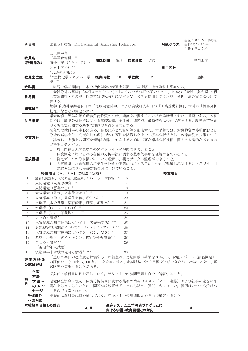| 科目名                                                              |                                                                                                                                                                                                             | 環境分析技術 (Environmental Analyzing Technique)                                                                                                                      |           |      |     | 対象クラス    | 生産システム工学専攻<br>生物システムコース1年<br>生物工学専攻2年 |                                        |                                                                                                    |  |  |  |  |
|------------------------------------------------------------------|-------------------------------------------------------------------------------------------------------------------------------------------------------------------------------------------------------------|-----------------------------------------------------------------------------------------------------------------------------------------------------------------|-----------|------|-----|----------|---------------------------------------|----------------------------------------|----------------------------------------------------------------------------------------------------|--|--|--|--|
| 教員名                                                              | (所属学科)                                                                                                                                                                                                      | 上土井幸喜<br>(共通教育科) *<br>濱邊裕子(生物化学シス<br>テム工学科) **                                                                                                                  |           | 開講期間 | 後期  | 授業形式     | 講義                                    | 専門工学<br>科目区分                           |                                                                                                    |  |  |  |  |
|                                                                  | 教員室位置                                                                                                                                                                                                       | *共通教育棟 3F<br>**生物化学システム工学<br>棟 1 F                                                                                                                              |           | 授業時数 | 30  | 単位数      | 2                                     |                                        | 選択                                                                                                 |  |  |  |  |
| 教科書                                                              |                                                                                                                                                                                                             |                                                                                                                                                                 |           |      |     |          |                                       | 「演習で学ぶ環境」日本分析化学会北海道支部編 三共出版·適宜資料も配布する。 |                                                                                                    |  |  |  |  |
| 参考書                                                              |                                                                                                                                                                                                             | 触れる。                                                                                                                                                            |           |      |     |          |                                       |                                        | 「機器分析の基礎」(本科5年テキスト)·「よくわかる分析化学のすべて」日本分析機器工業会編 日刊<br>工業新聞社·その他:授業では環境分析に関するVTR等も使用して現状や、分析手法の実際について |  |  |  |  |
|                                                                  | 関連科目                                                                                                                                                                                                        | 基礎」などとの関連が深い。                                                                                                                                                   |           |      |     |          |                                       |                                        | 数学・自然科学共通科目の「地球環境科学」および実験研究科目の「工業基礎計測」、本科の「機器分析                                                    |  |  |  |  |
|                                                                  | 環境破壊、汚染を招く環境負荷物質の性状、濃度を把握することは産業活動において重要である。本科<br>科目概要<br>目では、環境分析技術に関する基礎知識、全体像、問題点、最新情報について解説する。環境負荷物質<br>の分析技法に関する基本的知識の習得を目的とする。                                                                        |                                                                                                                                                                 |           |      |     |          |                                       |                                        |                                                                                                    |  |  |  |  |
|                                                                  | 授業方針                                                                                                                                                                                                        | 授業では教科書を中心に進め、必要に応じて資料等を配布する。本講義では、対象物質の多様化および<br>分析の高感度化、高度な前処理技術の必要性を認識した上で、標準分析法としての環境測定技術を中心<br>に講義し、実務上の問題を理解し適切に対応するために必要な環境分析技術に関する基礎的な考え方の<br>習得を目標とする。 |           |      |     |          |                                       |                                        |                                                                                                    |  |  |  |  |
|                                                                  | 1. 環境問題と人間環境等のアウトラインが把握できていること。<br>2. 環境測定に用いられる各種の分析手法に関する基本的事項を理解できていること。<br>達成目標<br>3. 測定データの取り扱いについて理解し、測定データの整理ができること。<br>大気環境、水質環境の汚染化学物質を実際に分析する手法について理解し説明することができ、問<br>4.<br>題に対処できる基礎知識を身につけていること。 |                                                                                                                                                                 |           |      |     |          |                                       |                                        |                                                                                                    |  |  |  |  |
|                                                                  |                                                                                                                                                                                                             | 授業項目 (*、**印は担当予定者)                                                                                                                                              |           |      |     |          |                                       | 授業項目                                   |                                                                                                    |  |  |  |  |
| 1                                                                |                                                                                                                                                                                                             | 講義概要説明、人間環境〈重金属、CO <sub>2</sub> 、人工有機物〉*                                                                                                                        |           |      |     | 16       |                                       |                                        |                                                                                                    |  |  |  |  |
| 2                                                                |                                                                                                                                                                                                             | 人間環境〈異変原物質〉                                                                                                                                                     |           |      |     | 17       |                                       |                                        |                                                                                                    |  |  |  |  |
| 3                                                                |                                                                                                                                                                                                             | 人間環境〈悪臭公害〉*                                                                                                                                                     |           |      |     | 18       |                                       |                                        |                                                                                                    |  |  |  |  |
| $\overline{4}$                                                   |                                                                                                                                                                                                             | 大気環境〈降水、窒素化合物1〉*                                                                                                                                                |           |      |     | 19       |                                       |                                        |                                                                                                    |  |  |  |  |
| 5<br>6                                                           |                                                                                                                                                                                                             | 大気環境〈降水、温暖化気体、粉じん〉*<br>水環境(水の循環、溶存酸素、硬度、河川水)*                                                                                                                   |           |      |     | 20<br>21 |                                       |                                        |                                                                                                    |  |  |  |  |
| 7                                                                |                                                                                                                                                                                                             | 水環境〈COD, BOD〉*                                                                                                                                                  |           |      |     | 22       |                                       |                                        |                                                                                                    |  |  |  |  |
| 8                                                                |                                                                                                                                                                                                             | 水環境 (リン、栄養塩)                                                                                                                                                    | $*$ , $*$ |      |     | 23       |                                       |                                        |                                                                                                    |  |  |  |  |
| 9                                                                | まとめ・演習*                                                                                                                                                                                                     |                                                                                                                                                                 |           |      |     | 24       |                                       |                                        |                                                                                                    |  |  |  |  |
| 10                                                               |                                                                                                                                                                                                             | 水質環境の測定技法について1 (吸光光度法)                                                                                                                                          |           |      | * * | 25       |                                       |                                        |                                                                                                    |  |  |  |  |
| 11                                                               |                                                                                                                                                                                                             | 水質環境の測定技法について2 (クロマトグラフィー) **                                                                                                                                   |           |      |     | 26       |                                       |                                        |                                                                                                    |  |  |  |  |
| 12                                                               |                                                                                                                                                                                                             | 水質環境の測定技法について3 (GC, MS) **                                                                                                                                      |           |      |     | 27       |                                       |                                        |                                                                                                    |  |  |  |  |
| 13                                                               |                                                                                                                                                                                                             | 環境ホルモン、ダイオキシン、PCBの分析技法**                                                                                                                                        |           |      |     | 28       |                                       |                                        |                                                                                                    |  |  |  |  |
| 14                                                               |                                                                                                                                                                                                             | まとめ・演習**                                                                                                                                                        |           |      |     | 29       |                                       |                                        |                                                                                                    |  |  |  |  |
|                                                                  |                                                                                                                                                                                                             | [後期学年末試験]                                                                                                                                                       |           |      |     |          |                                       |                                        |                                                                                                    |  |  |  |  |
|                                                                  | 後期学年末試験の返却と解説 *、 * *<br>30<br>15<br>「達成目標」の達成度を評価する。評価点は、定期試験の結果を90%とし、課題レポート (演習問題)<br>評価方法及<br>の評価を10%加える。60点以上を合格とする。定期試験で達成目標を達成できなかった学生に対し、再<br>び総合評価<br>試験等を実施することがある。                                |                                                                                                                                                                 |           |      |     |          |                                       |                                        |                                                                                                    |  |  |  |  |
| 備                                                                | 学習<br>方法                                                                                                                                                                                                    | 授業前に教科書に目を通しておく。テキスト中の演問問題を自分で解答すること。                                                                                                                           |           |      |     |          |                                       |                                        |                                                                                                    |  |  |  |  |
| 考                                                                | 学生へ<br>のメッ<br>セージ                                                                                                                                                                                           | けるので来室されたい。                                                                                                                                                     |           |      |     |          |                                       |                                        | 環境保全法令・規制、環境分析技術に関する最新の情報(マスメディア、書籍)および社会の動きにも<br>関心をもってもらいたい。問題点は放置せずに自らも調べ、質問にきてほしい。質問はいつでも受けつ   |  |  |  |  |
|                                                                  | 学修単位                                                                                                                                                                                                        | 授業前に教科書に目を通しておく。テキスト中の演問問題を自分で解答すること                                                                                                                            |           |      |     |          |                                       |                                        |                                                                                                    |  |  |  |  |
| への対応<br>本校教育目標との対応<br>生産システム工学教育プログラムに<br>3, 5<br>おける学習・教育目標との対応 |                                                                                                                                                                                                             |                                                                                                                                                                 |           |      |     |          |                                       |                                        | d1                                                                                                 |  |  |  |  |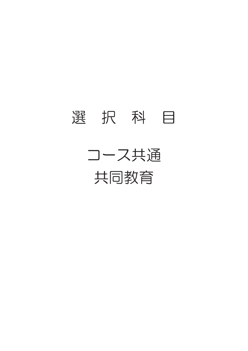### 選 択 科 目

コース共通 共同教育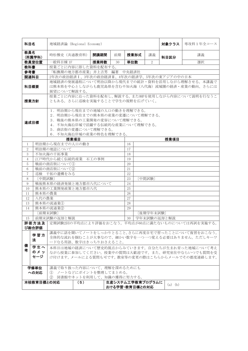| 科目名                                                                                                                                                                                          |                                                                                                                                                                               | 地域経済論 (Regional Economy)       |     |      |    |                                                                                                   |                | 対象クラス       | 専攻科1年全コース                                                                                        |  |  |  |  |
|----------------------------------------------------------------------------------------------------------------------------------------------------------------------------------------------|-------------------------------------------------------------------------------------------------------------------------------------------------------------------------------|--------------------------------|-----|------|----|---------------------------------------------------------------------------------------------------|----------------|-------------|--------------------------------------------------------------------------------------------------|--|--|--|--|
| 教員名                                                                                                                                                                                          | (所属学科)                                                                                                                                                                        | 時松雅史 (共通教育科)                   |     | 開講期間 | 前期 | 授業形式                                                                                              | 講義             | 科目区分        | 講義                                                                                               |  |  |  |  |
|                                                                                                                                                                                              | 教員室位置                                                                                                                                                                         | 一般科目棟 1F                       |     | 授業時数 | 30 | 単位数                                                                                               | $\overline{2}$ |             | 選択                                                                                               |  |  |  |  |
| 教科書                                                                                                                                                                                          |                                                                                                                                                                               | 授業ごとに内容に即した資料を配布する。            |     |      |    |                                                                                                   |                |             |                                                                                                  |  |  |  |  |
| 参考書                                                                                                                                                                                          |                                                                                                                                                                               | 「転換期の地方都市産業」井上吉男 編著 中央経済社      |     |      |    |                                                                                                   |                |             |                                                                                                  |  |  |  |  |
| 関連科目                                                                                                                                                                                         |                                                                                                                                                                               |                                |     |      |    | 2年次の政治経済 I、3年次の政治経済 II、4年次の経済学、5年次の東アジアの中の日本                                                      |                |             |                                                                                                  |  |  |  |  |
| 科目概要                                                                                                                                                                                         |                                                                                                                                                                               | 展望について解説する。                    |     |      |    |                                                                                                   |                |             | 地域経済の発展過程について明治以降から現代までの統計・資料を活用しながら理解させる。本講義で<br>は熊本県を中心としながらも鹿児島県を含む不知火海(八代海)流域圏の経済・産業の動向、さらには |  |  |  |  |
| 授業方針                                                                                                                                                                                         |                                                                                                                                                                               | ともある。さらに巡検を実施することで学生の視野を広げていく。 |     |      |    |                                                                                                   |                |             | 授業ごとに内容に沿った資料を配布し、解説する。またOHPを使用しながら内容について説明を行なうこ                                                 |  |  |  |  |
| 1. 明治期から現在までの地域の人口の動きを理解できる。<br>2. 明治期から現在までの熊本県の産業の変遷について理解できる。<br>3. 戦後の熊本県の工業開発の変容について理解できる。<br>達成目標<br>4. 不知火海沿岸域で活躍する伝統的な産業について理解できる。<br>5. 商店街の変遷について理解できる。<br>6. 不知火海沿岸域の産業の特色を理解できる。 |                                                                                                                                                                               |                                |     |      |    |                                                                                                   |                |             |                                                                                                  |  |  |  |  |
|                                                                                                                                                                                              |                                                                                                                                                                               | 授業項目                           |     |      |    |                                                                                                   |                | 授業項目        |                                                                                                  |  |  |  |  |
| $\mathbf{1}$                                                                                                                                                                                 |                                                                                                                                                                               | 明治期から現在までの人口の動き                |     |      |    | 16                                                                                                |                |             |                                                                                                  |  |  |  |  |
| $\overline{2}$                                                                                                                                                                               |                                                                                                                                                                               | 明治期の地誌について                     |     |      |    | 17                                                                                                |                |             |                                                                                                  |  |  |  |  |
| 3                                                                                                                                                                                            |                                                                                                                                                                               | 不知火海の干拓事業                      |     |      |    | 18                                                                                                |                |             |                                                                                                  |  |  |  |  |
| $\overline{4}$                                                                                                                                                                               |                                                                                                                                                                               | 江戸時代から続く伝統的産業 石工の事例            |     |      |    | 19                                                                                                |                |             |                                                                                                  |  |  |  |  |
| 5                                                                                                                                                                                            |                                                                                                                                                                               | 戦前の商店街について1                    |     |      |    | 20                                                                                                |                |             |                                                                                                  |  |  |  |  |
| 6                                                                                                                                                                                            |                                                                                                                                                                               | 戦前の商店街について2                    |     |      |    | 21                                                                                                |                |             |                                                                                                  |  |  |  |  |
| $\overline{7}$                                                                                                                                                                               |                                                                                                                                                                               | 巡検 干拓の遺構をみる                    |     |      |    | 22                                                                                                |                |             |                                                                                                  |  |  |  |  |
| 8                                                                                                                                                                                            | [中間試験]                                                                                                                                                                        |                                |     |      |    | 23                                                                                                | [中間試験]         |             |                                                                                                  |  |  |  |  |
| 9                                                                                                                                                                                            |                                                                                                                                                                               | 戦後熊本県の経済発展と地方都市八代について          |     |      |    | 24                                                                                                |                |             |                                                                                                  |  |  |  |  |
| 10                                                                                                                                                                                           |                                                                                                                                                                               | 熊本県の工業開発政策と地方都市八代              |     |      |    | 25                                                                                                |                |             |                                                                                                  |  |  |  |  |
| 11                                                                                                                                                                                           | 熊本県の農業                                                                                                                                                                        |                                |     |      |    | 26                                                                                                |                |             |                                                                                                  |  |  |  |  |
| 12                                                                                                                                                                                           | 八代の農業                                                                                                                                                                         |                                |     |      |    | 27                                                                                                |                |             |                                                                                                  |  |  |  |  |
| 13                                                                                                                                                                                           |                                                                                                                                                                               | 熊本県の流通業(I)                     |     |      |    | 28                                                                                                |                |             |                                                                                                  |  |  |  |  |
| 14                                                                                                                                                                                           |                                                                                                                                                                               | 熊本県の流通業2                       |     |      |    | 29                                                                                                |                |             |                                                                                                  |  |  |  |  |
|                                                                                                                                                                                              |                                                                                                                                                                               | [前期末試験]                        |     |      |    |                                                                                                   | [後期学年末試験]      |             |                                                                                                  |  |  |  |  |
| 15                                                                                                                                                                                           |                                                                                                                                                                               | 前期末試験の返却と解説                    |     |      |    | 30                                                                                                |                | 学年末試験の返却と解説 |                                                                                                  |  |  |  |  |
|                                                                                                                                                                                              | び総合評価                                                                                                                                                                         | 評価方法及   定期試験2回の平均点により評価をおこなう。  |     |      |    |                                                                                                   |                |             | 平均点が60点に満たないものについては再試を実施する。                                                                      |  |  |  |  |
|                                                                                                                                                                                              | 学習方<br>法                                                                                                                                                                      | ードなる用語、数字はきっちりおさえること。          |     |      |    | 講義中に話を聞いてノートをしっかりとること。さらに再度自宅で習ったことについて復習をおこなう。<br>全体的な流れを掴むことが大事なので、細かい数字を一つ一つ覚える必要はありません。ただしキーワ |                |             |                                                                                                  |  |  |  |  |
| 考                                                                                                                                                                                            | 備<br>学生へ<br>本科目は地域の経済について歴史的視点からみていきます。自分たちが生まれ育った地域について考え<br>のメッ<br>ながら授業に参加してください。授業中の質問は大歓迎です。また、研究室在中ならいつでも質問を受<br>セージ<br>け付けます。メールによる質問も可です。教室等の変更の際はこちらからメールでその都度連絡します。 |                                |     |      |    |                                                                                                   |                |             |                                                                                                  |  |  |  |  |
|                                                                                                                                                                                              | 学修単位                                                                                                                                                                          | 講義で取り扱った内容について、理解を深めるためにも      |     |      |    |                                                                                                   |                |             |                                                                                                  |  |  |  |  |
|                                                                                                                                                                                              | への対応                                                                                                                                                                          | (1) ノートなどにポイントを整理してまとめる。       |     |      |    |                                                                                                   |                |             |                                                                                                  |  |  |  |  |
|                                                                                                                                                                                              |                                                                                                                                                                               | ② 図書館やネットを利用して、知識の獲得に努力する。     |     |      |    |                                                                                                   |                |             |                                                                                                  |  |  |  |  |
|                                                                                                                                                                                              | 本校教育目標との対応                                                                                                                                                                    |                                | (5) |      |    | 生産システム工学教育プログラムに<br>おける学習・教育目標との対応                                                                |                | $(a)$ $(b)$ |                                                                                                  |  |  |  |  |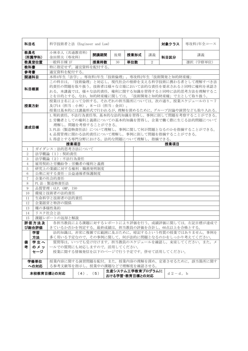| 科目名                                                                                                                                                                                                                                                                             |          | 科学技術者と法 (Engineer and Law)                  |                                             |      |    |                                    |    | 対象クラス     | 専攻科1年全コース                                                                                                                                                                                          |  |  |  |  |
|---------------------------------------------------------------------------------------------------------------------------------------------------------------------------------------------------------------------------------------------------------------------------------|----------|---------------------------------------------|---------------------------------------------|------|----|------------------------------------|----|-----------|----------------------------------------------------------------------------------------------------------------------------------------------------------------------------------------------------|--|--|--|--|
| 教員名                                                                                                                                                                                                                                                                             | (所属学科)   | 小林幸人 (共通教育科)<br>金田照夫 (専攻科)                  |                                             | 開講期間 | 後期 | 授業形式                               | 講義 | 科目区分      | 講義                                                                                                                                                                                                 |  |  |  |  |
|                                                                                                                                                                                                                                                                                 | 教員室位置    | 一般科目棟 1F                                    |                                             | 授業時数 | 30 | 単位数                                | 2  |           | 選択 (学修単位)                                                                                                                                                                                          |  |  |  |  |
| 教科書                                                                                                                                                                                                                                                                             |          | 特に指定せず。適宜資料を配付する。                           |                                             |      |    |                                    |    |           |                                                                                                                                                                                                    |  |  |  |  |
| 参考書                                                                                                                                                                                                                                                                             |          | 適宜資料を配付する。                                  |                                             |      |    |                                    |    |           |                                                                                                                                                                                                    |  |  |  |  |
|                                                                                                                                                                                                                                                                                 | 関連科目     |                                             | 本科4年生「法学」, 専攻科1年生「技術倫理」, 専攻科2年生「技術開発と知的財産権」 |      |    |                                    |    |           |                                                                                                                                                                                                    |  |  |  |  |
|                                                                                                                                                                                                                                                                                 | 科目概要     |                                             |                                             |      |    |                                    |    |           | この科目は、「技術倫理」と対応し、現代社会の根幹を支える科学技術に携わる者として理解すべき法<br>的責任の問題を取り扱う。技術者は様々な立場において法的な責任を要求されると同時に権利を承認さ<br>れる。本講義では、様々な法的責任、権利に関する知識を習得すると同時に法的思考方法を理解するこ<br>とを目的とする。なお、知的財産権に関しては、「技術開発と知的財産権」で主として取り扱う。 |  |  |  |  |
| 授業は2名によって分担する。それぞれの担当箇所については、次の通り。授業スケジュールの1~7<br>及び14 (担当:小林), 8~13 (担当:金田)。<br>授業方針<br>授業は基本的には講義形式で行われるが、理解を深めるために、グループ討論や演習なども取り入れる。                                                                                                                                        |          |                                             |                                             |      |    |                                    |    |           |                                                                                                                                                                                                    |  |  |  |  |
| 1. 契約責任,不法行為責任等,基本的な法的知識を習得し,事例に則して問題を考察することができる。<br>2. 労働者としての権利と義務についての基本的知識を習得し、企業で働く際に生じる法的問題について<br>理解し、問題を考察することができる。<br>達成目標<br>3. PL法(製造物責任法)について理解し,事例に関して何が問題となるのかを指摘することができる。<br>4. 品質管理に関わる法的責任について理解し、事例に則して問題を指摘することができる。<br>5. 得意とする専門分野における、法的な問題について理解し、指摘できる。 |          |                                             |                                             |      |    |                                    |    |           |                                                                                                                                                                                                    |  |  |  |  |
|                                                                                                                                                                                                                                                                                 |          | 授業項目                                        |                                             |      |    |                                    |    | 授業項目      |                                                                                                                                                                                                    |  |  |  |  |
| $\mathbf{1}$                                                                                                                                                                                                                                                                    |          | ガイダンス:法的思考方法について                            |                                             |      |    |                                    |    |           |                                                                                                                                                                                                    |  |  |  |  |
| $\overline{2}$                                                                                                                                                                                                                                                                  |          | 法学概論 (1): 契約責任                              |                                             |      |    |                                    |    |           |                                                                                                                                                                                                    |  |  |  |  |
| 3                                                                                                                                                                                                                                                                               |          | 法学概論 (2): 不法行為責任                            |                                             |      |    |                                    |    |           |                                                                                                                                                                                                    |  |  |  |  |
| $\overline{4}$                                                                                                                                                                                                                                                                  |          | 雇用契約と労働紛争:労働者の権利と義務                         |                                             |      |    |                                    |    |           |                                                                                                                                                                                                    |  |  |  |  |
| 5                                                                                                                                                                                                                                                                               |          | 研究上の業績に対する権利:職務発明制度                         |                                             |      |    |                                    |    |           |                                                                                                                                                                                                    |  |  |  |  |
| 6                                                                                                                                                                                                                                                                               |          | 公衆に対する責任:公益通報者保護制度                          |                                             |      |    |                                    |    |           |                                                                                                                                                                                                    |  |  |  |  |
| $\sqrt{7}$                                                                                                                                                                                                                                                                      |          | 企業の社会的責任<br>PL 法: 製造物責任法                    |                                             |      |    |                                    |    |           |                                                                                                                                                                                                    |  |  |  |  |
| 8<br>9                                                                                                                                                                                                                                                                          |          |                                             |                                             |      |    |                                    |    |           |                                                                                                                                                                                                    |  |  |  |  |
| 10                                                                                                                                                                                                                                                                              |          | 品質管理:GLP, GMP, ISO<br>環境と技術者の法的責任           |                                             |      |    |                                    |    |           |                                                                                                                                                                                                    |  |  |  |  |
| 11                                                                                                                                                                                                                                                                              |          | 生命科学と技術者の法的責任                               |                                             |      |    |                                    |    |           |                                                                                                                                                                                                    |  |  |  |  |
| 12                                                                                                                                                                                                                                                                              |          | 企業経営と特許の関係                                  |                                             |      |    |                                    |    |           |                                                                                                                                                                                                    |  |  |  |  |
| 13                                                                                                                                                                                                                                                                              |          | 種の多様性条約                                     |                                             |      |    |                                    |    |           |                                                                                                                                                                                                    |  |  |  |  |
| 14                                                                                                                                                                                                                                                                              |          | リスク社会と法                                     |                                             |      |    |                                    |    |           |                                                                                                                                                                                                    |  |  |  |  |
| 15                                                                                                                                                                                                                                                                              |          | 課題レポートの返却と解説                                |                                             |      |    |                                    |    |           |                                                                                                                                                                                                    |  |  |  |  |
|                                                                                                                                                                                                                                                                                 | び総合評価    | きているか否かを判定する。最終成績は、担当教員の評価を合計し、60点以上を合格とする。 |                                             |      |    |                                    |    |           | 評価方法及   各担当教員による課題に対するレポートにより評価を行う。成績評価に関しては、左記目標が達成で                                                                                                                                              |  |  |  |  |
|                                                                                                                                                                                                                                                                                 | 学習<br>方法 |                                             |                                             |      |    |                                    |    |           | 法的知識は、非常に複雑で広範囲に及ぶために、暗記するという性質の授業ではありません。事例を<br>多く用いる予定なので、その事例に関して、何が法的に問題となるのかをしっかり考えてください。                                                                                                     |  |  |  |  |
| 質問等は、いつでも受け付けます。担当教員のスケジュールを確認し、来室してください。また、メ<br>学生へ<br>備<br>者<br>のメッ<br>ールでの質問にも対応しますので、活用してください。<br>授業に関する情報発信を以下のページで行う予定です。併せて活用してください。<br>セージ                                                                                                                              |          |                                             |                                             |      |    |                                    |    |           |                                                                                                                                                                                                    |  |  |  |  |
| 学修単位<br>授業内容に関する演習問題を配付。また、授業内容の理解を深め、定着させるために、該当箇所に関す<br>への対応<br>る参考文献等を指示し、授業中の課題などで理解度を確認させる。                                                                                                                                                                                |          |                                             |                                             |      |    |                                    |    |           |                                                                                                                                                                                                    |  |  |  |  |
|                                                                                                                                                                                                                                                                                 |          | 本校教育目標との対応                                  | $(4)$ , $(5)$                               |      |    | 生産システム工学教育プログラムに<br>おける学習・教育目標との対応 |    | $d2-d, b$ |                                                                                                                                                                                                    |  |  |  |  |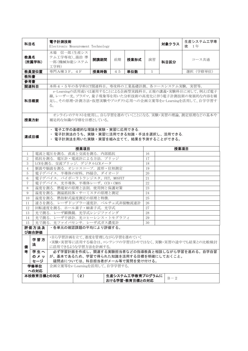| 科目名                                                                                                                                                                                    |                | 電子計測技術<br>Electronic Measurement Technology                                |      |      |    |                |                                               | 対象クラス | 生産システム工学専<br>攻 1年                                  |  |
|----------------------------------------------------------------------------------------------------------------------------------------------------------------------------------------|----------------|----------------------------------------------------------------------------|------|------|----|----------------|-----------------------------------------------|-------|----------------------------------------------------|--|
| 教員名                                                                                                                                                                                    | (所属学科)         | 木場 信一郎 (生産シス<br>テム工学専攻)、湯治 準<br>開講期間<br>前期<br>授業形式<br>一郎 (機械知能システム<br>工学科) |      |      | 演習 | 科目区分           | コース共通                                         |       |                                                    |  |
|                                                                                                                                                                                        | 教員室位置          | 専門A棟3F, 4F                                                                 |      | 授業時数 | 45 | 単位数            | $\mathbf{1}$                                  |       | 選択 (学修単位)                                          |  |
| 教科書                                                                                                                                                                                    |                |                                                                            |      |      |    |                |                                               |       |                                                    |  |
| 参考書                                                                                                                                                                                    |                |                                                                            |      |      |    |                |                                               |       |                                                    |  |
| 関連科目                                                                                                                                                                                   |                | 本科4・5年の各学科ICT関連科目。専攻科の工業基礎計測、各コースシステム実験、実習等。                               |      |      |    |                |                                               |       |                                                    |  |
| e-Learningの活用或いは運用することによる企画型実践科目。正規の講義·実験科目に対して、例えば電子<br>線,レーザー光,プラズマ,量子現象等を用いた分析技術の高度化に伴う電子計測技術の発展的な内容を補<br>足し、その原理·計測方法·仮想実験やプロダクト応用への企画立案等をe-Learningを活用して、自学学習す<br>科目概要<br>$\zeta$ |                |                                                                            |      |      |    |                |                                               |       |                                                    |  |
| 授業方針                                                                                                                                                                                   |                | 補足的な知識の学修を目標としている。                                                         |      |      |    |                |                                               |       | オンラインのテキストを使用し,自ら学習を進めていくことになる.実験・実習の理論,測定原理などの基本や |  |
| ・ 電子工学の基礎的な理論を実験・実習に応用できる.<br>電子計測法のうち、実験・実習に活用できる知識・手法を選択し、活用できる.<br>達成目標<br>・ 電子計測法を用いた実験・実習を組み立てて、結果を予測することができる。                                                                    |                |                                                                            |      |      |    |                |                                               |       |                                                    |  |
|                                                                                                                                                                                        |                |                                                                            | 授業項目 |      |    |                |                                               | 授業項目  |                                                    |  |
| 1                                                                                                                                                                                      |                | 電流と電圧を測る. 直流と交流を測る. 内部抵抗                                                   |      |      |    |                | 16                                            |       |                                                    |  |
| $\overline{2}$                                                                                                                                                                         |                | 抵抗を測る. 電圧計・電流計による方法. ブリッジ                                                  |      |      |    |                | 17                                            |       |                                                    |  |
| 3                                                                                                                                                                                      |                | LCRを測る. 交流ブリッジ. デジタルLCRメータ                                                 |      |      |    |                | 18                                            |       |                                                    |  |
| 4                                                                                                                                                                                      |                | 脈波や脳波を測る. オシロスコープ. 波形・位相測定                                                 |      |      |    |                | 19                                            |       |                                                    |  |
| 5                                                                                                                                                                                      |                | 電子デバイス. 半導体の材料, PN接合, ダイオード                                                |      |      |    |                | 20                                            |       |                                                    |  |
| 6                                                                                                                                                                                      |                | 電子デバイス. バイポーラトランジスタ, FET, MOSFET                                           |      |      |    |                | 21                                            |       |                                                    |  |
| $\tau$                                                                                                                                                                                 |                | 電子デバイス. 光半導体, 半導体レーザ, CCD · CMOS                                           |      |      |    |                | 22                                            |       |                                                    |  |
| 8                                                                                                                                                                                      |                | 温度を測る. 熱電対の原理と法則. 使用例と保護対策                                                 |      |      |    |                | 23                                            |       |                                                    |  |
| 9                                                                                                                                                                                      |                | 温度を測る. 測温抵抗体・サーミスタの原理と測定                                                   |      |      |    |                | 24                                            |       |                                                    |  |
| 10<br>11                                                                                                                                                                               |                | 温度を測る. 熱放射式温度測定の原理と特徴.<br>速さを測る. レーザドップラー速度計. ペルチェ式非接触流速計                  |      |      |    |                | 25<br>26                                      |       |                                                    |  |
| 12                                                                                                                                                                                     |                | 回転速度を測る. ホール素子·MR素子式. 光学式                                                  |      |      |    |                | 27                                            |       |                                                    |  |
| 13                                                                                                                                                                                     |                | 光で測る. レーザ顕微鏡. 光学式レンジファインダ                                                  |      |      |    |                | 28                                            |       |                                                    |  |
| 14                                                                                                                                                                                     |                | 光で測る. レーザ干渉計. 光コヒーレンス・トモグラフィ                                               |      |      |    |                | 29                                            |       |                                                    |  |
| 15                                                                                                                                                                                     |                | 光で測る. 光ファイバセンサ. レーザ式ガス濃度計                                                  |      |      |    |                | 30                                            |       |                                                    |  |
|                                                                                                                                                                                        | 評価方法及<br>び総合評価 | ・各単元の確認課題の平均により評価する。                                                       |      |      |    |                |                                               |       |                                                    |  |
| ・自ら学習計画を立て、進度を管理しながら学習を進めていく<br>学習方<br>・実験・実習等に活用する場合は、コンテンツの学習ばかりではなく、実験・実習の途中でも結果との比較検討<br>法<br>に活用できるような学習方法を計画する。<br>備                                                             |                |                                                                            |      |      |    |                |                                               |       |                                                    |  |
| 考                                                                                                                                                                                      | 学生へ            |                                                                            |      |      |    |                | 必ず学習計画を作成し、関連する実験担当者などの指導教員と相談しながら学習を進める。自学自習 |       |                                                    |  |
|                                                                                                                                                                                        | のメッ            | が、基本であるため、学習で得られた知識を活用する目標を明確にしておくこと。                                      |      |      |    |                |                                               |       |                                                    |  |
|                                                                                                                                                                                        | セージ            | 疑問点については、科目担当者がメール等で質問を受け付ける。                                              |      |      |    |                |                                               |       |                                                    |  |
| 企画立案等をe-Learningを活用して、自学学習する。<br>学修単位<br>への対応                                                                                                                                          |                |                                                                            |      |      |    |                |                                               |       |                                                    |  |
| 本校教育目標との対応<br>(2)<br>生産システム工学教育プログラムに<br>$B - 2$                                                                                                                                       |                |                                                                            |      |      |    |                |                                               |       |                                                    |  |
|                                                                                                                                                                                        |                |                                                                            |      |      |    | おける学習・教育目標との対応 |                                               |       |                                                    |  |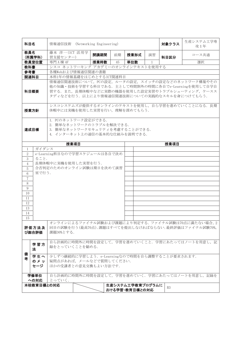| 科目名                                                                                                                        |                                                                                                                                                                                                                    | 情報通信技術 (Networking Engineering)                                                                    |  |      |    |                                    |              | 対象クラス          | 生産システム工学専<br>攻1年                                                                                          |  |  |  |
|----------------------------------------------------------------------------------------------------------------------------|--------------------------------------------------------------------------------------------------------------------------------------------------------------------------------------------------------------------|----------------------------------------------------------------------------------------------------|--|------|----|------------------------------------|--------------|----------------|-----------------------------------------------------------------------------------------------------------|--|--|--|
| 教員名                                                                                                                        | (所属学科)                                                                                                                                                                                                             | 藤本 洋一(ICT 活用学<br>習支援センター)                                                                          |  | 開講期間 | 前期 | 授業形式                               | 演習           | 科目区分           | コース共通                                                                                                     |  |  |  |
|                                                                                                                            | 教員室位置                                                                                                                                                                                                              | 専門 A 棟 4F                                                                                          |  | 授業時数 | 45 | 単位数                                | $\mathbf{1}$ |                | 選択                                                                                                        |  |  |  |
| 教科書                                                                                                                        |                                                                                                                                                                                                                    | シスコ ネットワーキング アカデミーのオンラインテキストを使用する                                                                  |  |      |    |                                    |              |                |                                                                                                           |  |  |  |
| 参考書                                                                                                                        |                                                                                                                                                                                                                    | 各種Webおよび情報通信関連の書籍                                                                                  |  |      |    |                                    |              |                |                                                                                                           |  |  |  |
|                                                                                                                            | 関連科目                                                                                                                                                                                                               | 本科1年の情報基礎をはじめとするICT関連科目                                                                            |  |      |    |                                    |              |                |                                                                                                           |  |  |  |
|                                                                                                                            | 情報通信関連技術について、PCの設定、ルータの設定、スイッチの設定などのネットワーク構築やその<br>他の知識·技術を学習する科目である. 主として時間割外の時間に各自でe-Learningを使用して自学自<br>習する。また、長期休暇中などに実際の機器を使用した設定実習やトラブルシューティング、ケースス<br>科目概要<br>タディなどを行う. 以上により情報通信関連技術についての実践的なスキルを身につけてもらう. |                                                                                                    |  |      |    |                                    |              |                |                                                                                                           |  |  |  |
| シスコシステムズが提供するオンラインのテキストを使用し、自ら学習を進めていくことになる。長期<br>休暇中には実機を使用した実習を行い, 理解を深めてもらう.<br>授業方針                                    |                                                                                                                                                                                                                    |                                                                                                    |  |      |    |                                    |              |                |                                                                                                           |  |  |  |
| 1. PCのネットワーク設定ができる.<br>2. 簡単なネットワークのトラブルを解決できる.<br>達成目標<br>3. 簡単なネットワークセキュリティを考慮することができる.<br>4. インターネット上の通信の基本的な仕組みを説明できる. |                                                                                                                                                                                                                    |                                                                                                    |  |      |    |                                    |              |                |                                                                                                           |  |  |  |
|                                                                                                                            |                                                                                                                                                                                                                    | 授業項目                                                                                               |  |      |    |                                    |              | 授業項目           |                                                                                                           |  |  |  |
| $\mathbf{1}$                                                                                                               | ガイダンス                                                                                                                                                                                                              |                                                                                                    |  |      |    |                                    |              |                |                                                                                                           |  |  |  |
| $\overline{2}$                                                                                                             |                                                                                                                                                                                                                    | e-Learning科目なので学習スケジュールは各自で決め                                                                      |  |      |    |                                    |              |                |                                                                                                           |  |  |  |
| 3                                                                                                                          | ること.                                                                                                                                                                                                               |                                                                                                    |  |      |    |                                    |              |                |                                                                                                           |  |  |  |
| $\overline{4}$                                                                                                             |                                                                                                                                                                                                                    | 長期休暇中に実機を使用した実習を行う.                                                                                |  |      |    |                                    |              |                |                                                                                                           |  |  |  |
| 5                                                                                                                          |                                                                                                                                                                                                                    | 合否判定のためのオンライン試験は期日を決めて演習                                                                           |  |      |    |                                    |              |                |                                                                                                           |  |  |  |
| 6                                                                                                                          | 室で行う.                                                                                                                                                                                                              |                                                                                                    |  |      |    |                                    |              |                |                                                                                                           |  |  |  |
| $\overline{7}$                                                                                                             |                                                                                                                                                                                                                    |                                                                                                    |  |      |    |                                    |              |                |                                                                                                           |  |  |  |
| $8\,$                                                                                                                      |                                                                                                                                                                                                                    |                                                                                                    |  |      |    |                                    |              |                |                                                                                                           |  |  |  |
| 9                                                                                                                          |                                                                                                                                                                                                                    |                                                                                                    |  |      |    |                                    |              |                |                                                                                                           |  |  |  |
| 10                                                                                                                         |                                                                                                                                                                                                                    |                                                                                                    |  |      |    |                                    |              |                |                                                                                                           |  |  |  |
| 11                                                                                                                         |                                                                                                                                                                                                                    |                                                                                                    |  |      |    |                                    |              |                |                                                                                                           |  |  |  |
| 12                                                                                                                         |                                                                                                                                                                                                                    |                                                                                                    |  |      |    |                                    |              |                |                                                                                                           |  |  |  |
| 13                                                                                                                         |                                                                                                                                                                                                                    |                                                                                                    |  |      |    |                                    |              |                |                                                                                                           |  |  |  |
| 14                                                                                                                         |                                                                                                                                                                                                                    |                                                                                                    |  |      |    |                                    |              |                |                                                                                                           |  |  |  |
| 15                                                                                                                         |                                                                                                                                                                                                                    |                                                                                                    |  |      |    |                                    |              |                |                                                                                                           |  |  |  |
|                                                                                                                            | 評価方法及<br>び総合評価                                                                                                                                                                                                     | 課題30%とする.                                                                                          |  |      |    |                                    |              |                | オンラインによるファイナル試験および課題により判定する. ファイナル試験は70点に満たない場合, 2<br>回目の試験を行う(最高70点).課題はすべてを提出しなければならない.最終評価はファイナル試験70%, |  |  |  |
|                                                                                                                            | 学習方<br>法                                                                                                                                                                                                           | 録をとっていくことを勧める.                                                                                     |  |      |    |                                    |              |                | 自ら計画的に時間外に時間を設定して、学習を進めていくこと、学習にあたってはノートを用意し、記                                                            |  |  |  |
| 備<br>者                                                                                                                     | 学生へ<br>のメッ<br>セージ                                                                                                                                                                                                  | 少しずつ継続的に学習しよう. e-Learningなので時間を自ら調整することが要求されます.<br>疑問点があれば、メールなどで質問してください.<br>ほかの受講者との意見交換もよい方法です. |  |      |    |                                    |              |                |                                                                                                           |  |  |  |
|                                                                                                                            | 学修単位<br>への対応                                                                                                                                                                                                       | とっていく.                                                                                             |  |      |    |                                    |              |                | 自ら計画的に時間外に時間を設定して、学習を進めていく、学習にあたってはノートを用意し、記録を                                                            |  |  |  |
|                                                                                                                            | 本校教育目標との対応                                                                                                                                                                                                         |                                                                                                    |  |      |    | 生産システム工学教育プログラムに<br>おける学習・教育目標との対応 |              | B <sub>3</sub> |                                                                                                           |  |  |  |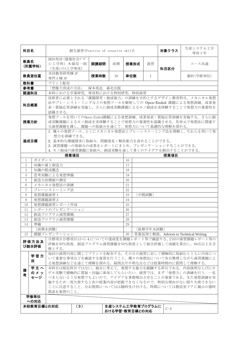| 科目名                                                                                                                                                                                                          |                | 生産システム工学<br>対象クラス<br>創生演習(Practice of creative skill)<br>専攻1年 |     |           |    |                                    |              |       |                                                                                                                                                          |  |  |  |  |
|--------------------------------------------------------------------------------------------------------------------------------------------------------------------------------------------------------------|----------------|---------------------------------------------------------------|-----|-----------|----|------------------------------------|--------------|-------|----------------------------------------------------------------------------------------------------------------------------------------------------------|--|--|--|--|
| 教員名                                                                                                                                                                                                          | (所属学科)         | 渕田邦彦 (建築社会デザ<br>イン工学科) 木場信一郎<br>(生産システム工学専攻)                  |     | 開講期間      | 前期 | 授業形式                               | 演習           | 科目区分  | コース共通                                                                                                                                                    |  |  |  |  |
|                                                                                                                                                                                                              | 教員室位置          | 共同教育研究棟 2F<br>専門 A 棟 3F                                       |     | 授業時数      | 30 | 単位数                                | $\mathbf{1}$ |       | 選択(学修単位)                                                                                                                                                 |  |  |  |  |
| 教科書                                                                                                                                                                                                          |                | プリント配布                                                        |     |           |    |                                    |              |       |                                                                                                                                                          |  |  |  |  |
| 参考書                                                                                                                                                                                                          |                | 「想像力育成の方法」                                                    |     | 塚本真也 森北出版 |    |                                    |              |       |                                                                                                                                                          |  |  |  |  |
|                                                                                                                                                                                                              | 関連科目           | 本科における卒業研究、専攻科における特別研究、特別演習                                   |     |           |    |                                    |              |       |                                                                                                                                                          |  |  |  |  |
|                                                                                                                                                                                                              | 科目概要           | 認識させる。                                                        |     |           |    |                                    |              |       | 技術者に必要とされる「課題探究・創成能力」の訓練を目的とするデザイン教育科目。メカニカル発想<br>法やブレーンストーミングなどの発想ツールを駆使しての Open-Ended 課題による発想訓練, 成果発<br>表・質疑応答訓練を実施し、さらに創成実験課題によるモノ創成を実体験することで発想力の重要性を |  |  |  |  |
| 発想ツールを用いてのOpen-Ended課題による発想訓練、成果発表·質疑応答訓練を実施する。さらに創<br>成実験課題によるモノ創成を実体験することで発想力の重要性を認識させる。各単元で発想法に関連す<br>授業方針<br>る演習課題を課し、課題への取組みを通じて、発想力について基礎的な理解を深める。                                                     |                |                                                               |     |           |    |                                    |              |       |                                                                                                                                                          |  |  |  |  |
| 1. 種々の発想ツール、とくにメカニカル発想法とブレーンストーミング法を理解し、それらを用いて発<br>想力を訓練できる。<br>達成目標<br>2. 基本的な課題探求に取組み、問題発見・解決能力を高めることができる。<br>3. 演習課題への取組みの成果をレポートにまとめ、プレゼンテーションすることができる。<br>4. モノ創成の演習課題に取組み、創成実験を通して多くのアイデアを創出することができる。 |                |                                                               |     |           |    |                                    |              |       |                                                                                                                                                          |  |  |  |  |
|                                                                                                                                                                                                              |                | 授業項目                                                          |     |           |    |                                    |              | 授業項目  |                                                                                                                                                          |  |  |  |  |
| $\mathbf{1}$                                                                                                                                                                                                 | ガイダンス          |                                                               |     |           |    | 16                                 |              |       |                                                                                                                                                          |  |  |  |  |
| $\overline{2}$                                                                                                                                                                                               |                | 知識の量と創造力                                                      |     |           |    | 17                                 |              |       |                                                                                                                                                          |  |  |  |  |
| 3                                                                                                                                                                                                            |                | 知識の既成概念                                                       |     |           |    | 18                                 |              |       |                                                                                                                                                          |  |  |  |  |
| $\overline{4}$                                                                                                                                                                                               |                | 思考実験による発想準備                                                   |     |           |    | 19                                 |              |       |                                                                                                                                                          |  |  |  |  |
| 5                                                                                                                                                                                                            |                | 創造力初期値の測定                                                     |     |           |    | 20                                 |              |       |                                                                                                                                                          |  |  |  |  |
| 6                                                                                                                                                                                                            |                | メカニカル発想法の訓練                                                   |     |           |    | 21                                 |              |       |                                                                                                                                                          |  |  |  |  |
| $\tau$                                                                                                                                                                                                       |                | ブレーンストーミング法                                                   |     |           |    | 22                                 |              |       |                                                                                                                                                          |  |  |  |  |
| 8                                                                                                                                                                                                            |                | 発想課題演習 1                                                      |     |           |    | 23                                 | [中間試験]       |       |                                                                                                                                                          |  |  |  |  |
| 9                                                                                                                                                                                                            |                | 発想課題演習 2                                                      |     |           |    | 24                                 |              |       |                                                                                                                                                          |  |  |  |  |
| 10                                                                                                                                                                                                           |                | 発想課題演習レポート作成                                                  |     |           |    | 25                                 |              |       |                                                                                                                                                          |  |  |  |  |
| 11                                                                                                                                                                                                           |                | レポートのプレゼンテーション                                                |     |           |    | 26                                 |              |       |                                                                                                                                                          |  |  |  |  |
| 12                                                                                                                                                                                                           |                | 創造プログラム演習課題                                                   |     |           |    | 27                                 |              |       |                                                                                                                                                          |  |  |  |  |
| 13                                                                                                                                                                                                           |                | 創造プログラム演習課題                                                   |     |           |    | 28                                 |              |       |                                                                                                                                                          |  |  |  |  |
| 14                                                                                                                                                                                                           | 準備             | [前期末試験]                                                       |     |           |    | 29                                 | [後期学年末試験]    |       |                                                                                                                                                          |  |  |  |  |
| 15                                                                                                                                                                                                           |                | 課題プレゼンテーション                                                   |     |           |    | 30                                 |              |       | 答案返却と解説, Advices to Technical Writing                                                                                                                    |  |  |  |  |
|                                                                                                                                                                                                              | 評価方法及<br>び総合評価 | 格とする。                                                         |     |           |    |                                    |              |       | 目標項目目標項目1から4についての達成度を課題レポート等で確認する。2回の演習課題レポート等の<br>評価を50%程度, 創造プログラム演習課題を50%程度として総合評価して成績を算出し、60点以上を合                                                    |  |  |  |  |
|                                                                                                                                                                                                              | 学習方<br>法       |                                                               |     |           |    |                                    |              |       | 毎回の演習内容に関してプリントを配布する。その日の演習に対して積極的に取組むとともに内容につ<br>いて重要な事項などを確認する復習を行うこと。種々の発想法について各自整理しながら演習課題によ<br>る発想訓練などを通じて理解を深める。疑問点や不明な点などは授業時間内に質問して理解する。         |  |  |  |  |
| 備                                                                                                                                                                                                            | 学生へ<br>のメッ     |                                                               |     |           |    |                                    |              |       | 本科目は暗記科目ではない。独自に考えて、発想する能力を鍛錬する科目である。内容説明ならびにモ<br>デル実験で積極的に質疑・討論に参加してもらいたい。演習では、まず「発想力」の訓練を行う。一見                                                         |  |  |  |  |
| 考                                                                                                                                                                                                            | セージ            |                                                               |     |           |    |                                    |              |       | つまらないような発想でもよいので、アイデアを多数噴出させることが重要である。また発想訓練を実                                                                                                           |  |  |  |  |
|                                                                                                                                                                                                              |                |                                                               |     |           |    |                                    |              |       | 施するため一度欠席すると次の授業内容が把握できなくなるので、特別な理由がない限り欠席できない                                                                                                           |  |  |  |  |
|                                                                                                                                                                                                              |                |                                                               |     |           |    |                                    |              |       | ことに注意すること。なお質問についてはは随時受け付ける。時間については教員室ドアに掲示の週時                                                                                                           |  |  |  |  |
|                                                                                                                                                                                                              |                | 間表を参照のこと。                                                     |     |           |    |                                    |              |       |                                                                                                                                                          |  |  |  |  |
|                                                                                                                                                                                                              | 学修単位           |                                                               |     |           |    |                                    |              |       |                                                                                                                                                          |  |  |  |  |
|                                                                                                                                                                                                              | への対応           |                                                               |     |           |    |                                    |              |       |                                                                                                                                                          |  |  |  |  |
|                                                                                                                                                                                                              | 本校教育目標との対応     |                                                               | (3) |           |    | 生産システム工学教育プログラムに<br>おける学習・教育目標との対応 |              | $C-4$ |                                                                                                                                                          |  |  |  |  |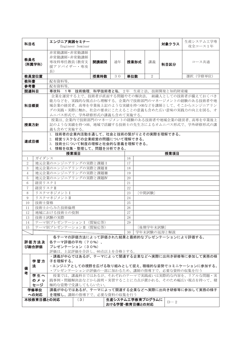|                                                                                                                                  |                                                                                                                                            | エンジニア実践セミナー                                                    |                  |      |    |                                                                                                                                                                                                      |           |             | 生産システム工学専                                                                                                                                          |  |  |  |
|----------------------------------------------------------------------------------------------------------------------------------|--------------------------------------------------------------------------------------------------------------------------------------------|----------------------------------------------------------------|------------------|------|----|------------------------------------------------------------------------------------------------------------------------------------------------------------------------------------------------------|-----------|-------------|----------------------------------------------------------------------------------------------------------------------------------------------------|--|--|--|
| 科目名                                                                                                                              |                                                                                                                                            |                                                                | Engineer Seminar |      |    |                                                                                                                                                                                                      |           | 対象クラス       | 攻全コース1年                                                                                                                                            |  |  |  |
| 教員名                                                                                                                              | (所属学科)                                                                                                                                     | 非常勤講師·非常勤講師<br>非常勤講師·非常勤講師<br>専攻科専任教員 (教育支<br>援アドバイザー・専攻<br>長) |                  | 開講期間 | 通年 | 授業形式                                                                                                                                                                                                 | 講義        | 科目区分        | コース共通                                                                                                                                              |  |  |  |
|                                                                                                                                  | 教員室位置                                                                                                                                      |                                                                |                  | 授業時数 | 30 | 単位数                                                                                                                                                                                                  | 2         |             | 選択 (学修単位)                                                                                                                                          |  |  |  |
| 教科書                                                                                                                              |                                                                                                                                            | 配布資料等。                                                         |                  |      |    |                                                                                                                                                                                                      |           |             |                                                                                                                                                    |  |  |  |
| 参考書                                                                                                                              |                                                                                                                                            | 配布資料等。                                                         |                  |      |    |                                                                                                                                                                                                      |           |             |                                                                                                                                                    |  |  |  |
|                                                                                                                                  | 関連科目                                                                                                                                       | 専攻科 1年 技術倫理,科学技術者と私, 2年 生産と法,技術開発と知的財産権                        |                  |      |    |                                                                                                                                                                                                      |           |             |                                                                                                                                                    |  |  |  |
|                                                                                                                                  | 科目概要                                                                                                                                       | ムニバス形式で、学外研修形式の講義も含めて実施する。                                     |                  |      |    | 企業を運営する上で、技術者が直面する問題やその解決法、組織人としての技術者が備えておくべき<br>能力などを、実践的な視点から理解する。企業内で技術部門のマネージメントの経験のある技術者や地<br>域企業の経営者、高専を卒業後上記のような実績を持つOBなどを講師として、そこからエンジニアリン<br>グの実践・実際に触れ、社会の要求にこたえることの意義も含めた広い意味の実践力の向上を図る。オ |           |             |                                                                                                                                                    |  |  |  |
|                                                                                                                                  | 授業は、企業内で技術部門のマネージメントの経験のある技術者や地域企業の経営者、高専を卒業後上<br>記のような実績を持つOB、地域で活躍する技術士の先生方によるオムニバス形式で、学外研修形式の講<br>授業方針<br>義も含めて実施する。                    |                                                                |                  |      |    |                                                                                                                                                                                                      |           |             |                                                                                                                                                    |  |  |  |
|                                                                                                                                  | 1. 技術者の企業内活動を通して、社会と技術の繋がりとその実際を理解できる。<br>2. 経営リスクなどの企業経営の問題について理解できる。<br>達成目標<br>3. 技術士について制度の理解と社会的な意義を理解できる。<br>4. 情報を収集・整理して、問題を分析できる。 |                                                                |                  |      |    |                                                                                                                                                                                                      |           |             |                                                                                                                                                    |  |  |  |
|                                                                                                                                  |                                                                                                                                            | 授業項目                                                           |                  |      |    |                                                                                                                                                                                                      |           | 授業項目        |                                                                                                                                                    |  |  |  |
| 1                                                                                                                                | ガイダンス                                                                                                                                      |                                                                |                  |      |    | 16                                                                                                                                                                                                   |           |             |                                                                                                                                                    |  |  |  |
| $\overline{2}$                                                                                                                   |                                                                                                                                            | 地元企業のエンジニアリングの実際と課題I                                           |                  |      |    | 17                                                                                                                                                                                                   |           |             |                                                                                                                                                    |  |  |  |
| 3                                                                                                                                |                                                                                                                                            | 地元企業のエンジニアリングの実際と課題II                                          |                  |      |    | 18                                                                                                                                                                                                   |           |             |                                                                                                                                                    |  |  |  |
| $\overline{4}$                                                                                                                   |                                                                                                                                            | 地元企業のエンジニアリングの実際と課題Ⅲ                                           |                  |      |    | 19                                                                                                                                                                                                   |           |             |                                                                                                                                                    |  |  |  |
| 5<br>6                                                                                                                           | 経営リスクI                                                                                                                                     | 地元企業のエンジニアリングの実際と課題IV                                          |                  |      |    | 20<br>21                                                                                                                                                                                             |           |             |                                                                                                                                                    |  |  |  |
| 7                                                                                                                                | 経営リスクⅡ                                                                                                                                     |                                                                |                  |      |    | 22                                                                                                                                                                                                   |           |             |                                                                                                                                                    |  |  |  |
| 8                                                                                                                                |                                                                                                                                            | リスクマネジメントI                                                     |                  |      |    | 23                                                                                                                                                                                                   | [中間試験]    |             |                                                                                                                                                    |  |  |  |
| 9                                                                                                                                |                                                                                                                                            | リスクマネジメントⅡ                                                     |                  |      |    | 24                                                                                                                                                                                                   |           |             |                                                                                                                                                    |  |  |  |
| 10                                                                                                                               | 技術士資格                                                                                                                                      |                                                                |                  |      |    | 25                                                                                                                                                                                                   |           |             |                                                                                                                                                    |  |  |  |
| 11                                                                                                                               |                                                                                                                                            | 技術士からみた技術倫理                                                    |                  |      |    | 26                                                                                                                                                                                                   |           |             |                                                                                                                                                    |  |  |  |
| 12                                                                                                                               |                                                                                                                                            | 地域における技術士の役割                                                   |                  |      |    | 27                                                                                                                                                                                                   |           |             |                                                                                                                                                    |  |  |  |
| 13                                                                                                                               |                                                                                                                                            | 技術士試験の実際                                                       |                  |      |    | 28                                                                                                                                                                                                   |           |             |                                                                                                                                                    |  |  |  |
| 14                                                                                                                               |                                                                                                                                            | テーマ別プレゼンテーションI (質疑応答)                                          |                  |      |    | 29                                                                                                                                                                                                   |           |             |                                                                                                                                                    |  |  |  |
| 15                                                                                                                               |                                                                                                                                            | テーマ別プレゼンテーションⅡ (質疑応答)                                          |                  |      |    |                                                                                                                                                                                                      | 〔後期学年末試験〕 |             |                                                                                                                                                    |  |  |  |
|                                                                                                                                  |                                                                                                                                            |                                                                |                  |      |    | 30                                                                                                                                                                                                   |           | 学年末試験の返却と解説 |                                                                                                                                                    |  |  |  |
| 各テーマの評価方法によって評価された結果と最終的なプレゼンテーションにより評価する。<br>各テーマ評価の平均 (70%).<br>評価方法及<br>プレゼンテーション (30%)<br>び総合評価<br>評価は、上記評価を合計し、60点以上を合格とする。 |                                                                                                                                            |                                                                |                  |      |    |                                                                                                                                                                                                      |           |             |                                                                                                                                                    |  |  |  |
| 備<br>考                                                                                                                           | 学習方<br>法<br>学生へ                                                                                                                            | 子を理解する。<br>・プレゼンテーションが評価の一部に加わるため、講師の指導下で、必要な資料の収集を行う          |                  |      |    |                                                                                                                                                                                                      |           |             | ・講義が中心ではあるが、テーマによって関連する企業などへ実際に出向き研修等に参加して実務の様<br>・エンジニアとしての視野を広げる取り組みとして捉え、積極的な姿勢でコミニケーションに参加する。<br>授業では、講義科目ではあるが、それぞれのテーマで実践或いは実際的な内容を、リアルな問題・実 |  |  |  |
|                                                                                                                                  | のメッ<br>セージ<br>学修単位                                                                                                                         | 極的な姿勢で受講してもらいたい。                                               |                  |      |    |                                                                                                                                                                                                      |           |             | 践事例・問題解決法などから説明・実習することに力点が置かれる。そのため幅広い視点を持って、積<br>講義が中心ではあるが、テーマによって関連する企業などへ実際に出向き研修等に参加して実務の様子                                                   |  |  |  |
|                                                                                                                                  | への対応                                                                                                                                       | を理解し、講師の指導下で、必要な資料の収集を行う                                       |                  |      |    |                                                                                                                                                                                                      |           |             |                                                                                                                                                    |  |  |  |
|                                                                                                                                  | 本校教育目標との対応                                                                                                                                 |                                                                | (3)              |      |    | 生産システム工学教育プログラムに                                                                                                                                                                                     |           |             |                                                                                                                                                    |  |  |  |
|                                                                                                                                  |                                                                                                                                            |                                                                |                  |      |    | おける学習・教育目標との対応                                                                                                                                                                                       |           | $D-2$       |                                                                                                                                                    |  |  |  |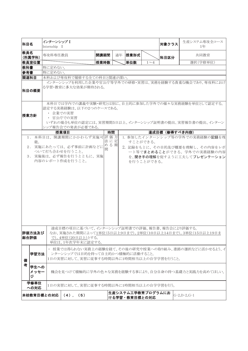| 科目名                                                                                                                                                                                             |                   | インターンシップ I<br>Internship I |                                                                                        |      |    |               |                   | 対象クラス         | 生産システム専攻全コース<br>1年                                        |  |  |  |
|-------------------------------------------------------------------------------------------------------------------------------------------------------------------------------------------------|-------------------|----------------------------|----------------------------------------------------------------------------------------|------|----|---------------|-------------------|---------------|-----------------------------------------------------------|--|--|--|
| 教員名                                                                                                                                                                                             | (所属学科)            | 専攻科専任教員                    |                                                                                        | 開講期間 | 通年 | 授業形式          |                   | 科目区分          | 共同教育                                                      |  |  |  |
|                                                                                                                                                                                                 | 教員室位置             |                            |                                                                                        | 授業時数 |    | 単位数           | $1\sim4$          |               | 選択(学修単位)                                                  |  |  |  |
| 教科書                                                                                                                                                                                             |                   | 特に定めない。                    |                                                                                        |      |    |               |                   |               |                                                           |  |  |  |
| 参考書                                                                                                                                                                                             |                   | 特に定めない。                    |                                                                                        |      |    |               |                   |               |                                                           |  |  |  |
|                                                                                                                                                                                                 |                   |                            |                                                                                        |      |    |               |                   |               |                                                           |  |  |  |
| 関連科目                                                                                                                                                                                            |                   |                            | 本科および専攻科で履修する全ての科目と関連が深い。                                                              |      |    |               |                   |               |                                                           |  |  |  |
|                                                                                                                                                                                                 | 科目の概要             |                            | る学習・教育に多大な効果が期待される。                                                                    |      |    |               |                   |               | インターンシップを利用した企業や官公庁等学外での研修・実習は、実務を経験する貴重な機会であり、専攻科におけ     |  |  |  |
| 本科目では学内での講義や実験・研究とは別に、自主的に参加した学外での様々な実務経験を単位として認定する。<br>認定する実務経験は、以下の2つのケースである。<br>• 企業での実習<br> 授業方針<br>・ 官公庁での実習<br>いずれの場合も単位の認定には、実習期間5日以上、インターンシップ証明書の提出、実習報告書の提出、インターン<br>シップ報告会での発表が必要である。 |                   |                            |                                                                                        |      |    |               |                   |               |                                                           |  |  |  |
|                                                                                                                                                                                                 |                   |                            | 授業項目                                                                                   | 時間   |    |               |                   | 達成目標(修得すべき内容) |                                                           |  |  |  |
|                                                                                                                                                                                                 |                   |                            | 1. 本科目は、開講期間にかかわらず実施可評価方                                                               |      |    |               |                   |               | 1. 参加したインターンシップ等の学外での実務経験の記録を残                            |  |  |  |
|                                                                                                                                                                                                 | 能。                |                            |                                                                                        | 法に定  |    |               | すことができる。          |               |                                                           |  |  |  |
|                                                                                                                                                                                                 |                   |                            |                                                                                        | める期  |    |               |                   |               |                                                           |  |  |  |
|                                                                                                                                                                                                 |                   |                            | 2. 実施にあたっては、必ず事前に計画などに                                                                 | 間    |    |               |                   |               | 2. 記録をもとに、その目的及び概要を理解し、その内容をレポ                            |  |  |  |
|                                                                                                                                                                                                 |                   |                            | ついて打ち合わせを行うこと。                                                                         |      |    |               |                   |               | ート等でまとめることができる。学外での実務経験の内容                                |  |  |  |
|                                                                                                                                                                                                 |                   |                            | 3. 実施後は、必ず報告を行うとともに、実施<br>内容のレポート作成を行うこと。                                              |      |    |               |                   |               | を、聞き手の理解を促すように工夫してプレゼンテーション                               |  |  |  |
|                                                                                                                                                                                                 |                   |                            |                                                                                        |      |    |               |                   |               |                                                           |  |  |  |
| 総合評価                                                                                                                                                                                            | 評価方法及び            |                            | 達成目標の項目に基づいて、インターンシップ証明書での評価、報告書、報告会により評価する。<br>で), 4単位(20日以上)とする。<br>単位は、1年次学年末に認定する。 |      |    |               |                   |               | なお、実施された期間によって1単位(5日以上9日まで),2単位(10日以上14日まで),3単位(15日以上19日ま |  |  |  |
|                                                                                                                                                                                                 |                   |                            |                                                                                        |      |    |               |                   |               |                                                           |  |  |  |
| 備                                                                                                                                                                                               | <b> 学習方法</b>      |                            | ンターンシップでは目的を持って自主的かつ積極的に活動すること。<br>1日の実習に対して、実習に従事する時間以外に1時間相当以上の自学学習を行うこと。            |      |    |               |                   |               | ・ 授業では得られない実務上の経験を経て、その後の研究や授業への取り組み、進路の選択などに活かせるよう、イ     |  |  |  |
| 者                                                                                                                                                                                               | 学生への<br>メッセー<br>ジ |                            | 機会を見つけて積極的に学外の色々な実務を経験する事により、自分自身の持つ基礎力と実践力を高めてほしい。                                    |      |    |               |                   |               |                                                           |  |  |  |
|                                                                                                                                                                                                 | 学修単位<br>への対応      |                            | 1日の実習に対して、実習に従事する時間以外に1時間相当以上の自学学習を行う。                                                 |      |    |               |                   |               |                                                           |  |  |  |
|                                                                                                                                                                                                 |                   | 本校教育目標との対応                 | $(4)$ ,<br>(5)                                                                         |      |    | ける学習・教育目標との対応 | 生産システム工学教育プログラムにお |               | $G-2, D-2, G-1$                                           |  |  |  |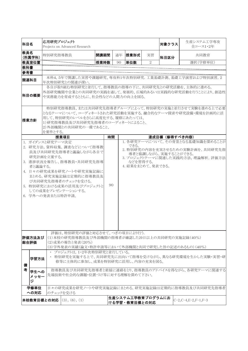| 科目名                    | 応用研究プロジェクト                                                                                                               | Projects on Advanced Research                                                                                                                                                                                |      |    |                                       |            | 対象クラス | 生産システム工学専攻<br>全コース1・2年                                                                                                             |  |
|------------------------|--------------------------------------------------------------------------------------------------------------------------|--------------------------------------------------------------------------------------------------------------------------------------------------------------------------------------------------------------|------|----|---------------------------------------|------------|-------|------------------------------------------------------------------------------------------------------------------------------------|--|
| 教員名<br>(所属学科)          | 特別研究指導教員                                                                                                                 |                                                                                                                                                                                                              | 開講期間 | 通年 | 授業形式                                  | 実習         | 科目区分  | 共同教育                                                                                                                               |  |
| 教員室位置                  |                                                                                                                          |                                                                                                                                                                                                              | 授業時数 | 90 | 単位数                                   | $\sqrt{2}$ |       | 選択(学修単位)                                                                                                                           |  |
| 教科書                    |                                                                                                                          |                                                                                                                                                                                                              |      |    |                                       |            |       |                                                                                                                                    |  |
| 参考書                    |                                                                                                                          |                                                                                                                                                                                                              |      |    |                                       |            |       |                                                                                                                                    |  |
| 関連科目                   |                                                                                                                          | 年次特別研究との関連が深い。                                                                                                                                                                                               |      |    |                                       |            |       | 本科4,5年で開講した実習や課題研究、専攻科1年次特別研究.工業基礎計測、基礎工学演習および特別演習,2                                                                               |  |
| 科目の概要                  |                                                                                                                          | や実務能力を育成するとともに、社会性などの人間力の向上を図る。                                                                                                                                                                              |      |    |                                       |            |       | 各自が取り組む特別研究と並行して、指導教員の指導の下に、共同研究先との研究活動を、主体的に進める。<br>外部研究機関や企業との共同研究の実践を通して、発展的、広域的あるいは実践的な研究活動を行うことにより、創造性                        |  |
| 授業方針                   | を要件とする。                                                                                                                  | 用して、特別研究のレベルをさらに高度化する。履修にあたっては、<br>1)研究指導教員及び共同研究先指導者のコーディネートによること、<br>2)外部機関との共同研究の一環であること、                                                                                                                 |      |    |                                       |            |       | 特別研究指導教員、または共同研究先指導者グループによって、特別研究の実施と並行させて実験を進める上で必要<br>となるテーマについて、コーディネートされた研究活動を実施する。融合的なテーマ探索や研究設備・環境を計画的に活                     |  |
|                        |                                                                                                                          | 授業項目                                                                                                                                                                                                         | 時間   |    |                                       |            |       | 達成目標(修得すべき内容)                                                                                                                      |  |
| 者と議論する。                | 1. ガイダンスと研究テーマ決定<br>研究計画を立案する。<br>6. 学外への発表または特許申請。                                                                      | 2. 研究方法,資料収集,調査などについて指導教<br>員及び共同研究先指導者と議論しながら各自で<br>3. 進捗状況を報告し、指導教員·共同研究先指導<br>4. 日々の研究成果を研究ノートや研究実施記録に<br>まとめる。研究実施記録は定期的に指導教員及<br>び共同研究先指導者のチェックを受ける。<br>5. 特別研究における成果の活用及びプロジェクトと<br>しての成果をプレゼンテーションする。 | 90   |    | できる。<br>などを習得する。<br>4. 結果をまとめて、発表できる。 |            |       | 1. 各研究テーマについて、その背景となる基礎知識を深めることが<br>2. 特別研究の内容を充実させるための実験計画を、共同研究先指<br>導者と協調しながら、実施することができる。<br>3. プロジェクトテーマに関連した実践的方法, 理論解析, 評価方法 |  |
| 評価方法及び<br> 総合評価        |                                                                                                                          | 評価は、特別研究の評価と対応させて、つぎの項目により行う.<br>(1)本校の研究指導教員及び外部機関の指導者が確認した20日以上の共同研究の実施記録(40%)<br>(2) 成果の報告と発表(20%)                                                                                                        |      |    |                                       |            |       | (3)学外発表の実績(論文・特許申請等において外部機関と共同で研究した旨の記述のあるもの)(40%)                                                                                 |  |
| 学習方法<br>備              | ・ プロジェクトは, 1・2年次特別研究と並行している。<br>・ 特別研究を実施する上で、共同研究先に出向いて指導を受けながら、異なる研究環境を生かした実験・実習・研<br>修等に主体的に参加し、成果を特別研究に活用し、内容の充実を図る。 |                                                                                                                                                                                                              |      |    |                                       |            |       |                                                                                                                                    |  |
| 考<br>学生への<br>メッセー<br>ジ |                                                                                                                          | 先端技術や社会的な課題・位置づけ等に対する理解を深めて下さい。                                                                                                                                                                              |      |    |                                       |            |       | 指導教員及び共同研究先指導者と密接に連絡をとり、指導教員のアドバイスを得ながら、各研究テーマに関連する                                                                                |  |
| 学修単位<br>への対応           |                                                                                                                          | のチェックを受ける                                                                                                                                                                                                    |      |    |                                       |            |       | 日々の研究成果を研究ノートや研究実施記録にまとめる。研究実施記録は定期的に指導教員及び共同研究先指導者                                                                                |  |
|                        |                                                                                                                          | 本校教育目標との対応   (3), (6), (1)                                                                                                                                                                                   |      |    | 生産システム工学教育プログラムにお<br>ける学習・教育目標との対応    |            |       | $C-2$ , $C-4$ , $E-2$ , $F-1$ , $F-3$                                                                                              |  |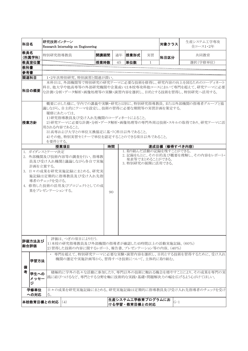| 科目名                    | 研究技術インターン                                  | Research Internship on Engineering                                                                                                                                         |      |    |                                    |                 | 対象クラス                                     | 生産システム工学専攻<br>全コース1・2年                                                                                         |
|------------------------|--------------------------------------------|----------------------------------------------------------------------------------------------------------------------------------------------------------------------------|------|----|------------------------------------|-----------------|-------------------------------------------|----------------------------------------------------------------------------------------------------------------|
| 教員名<br>(所属学科)          | 特別研究指導教員                                   |                                                                                                                                                                            | 開講期間 | 通年 | 授業形式                               | 実習              | 科目区分                                      | 共同教育                                                                                                           |
| 教員室位置                  |                                            |                                                                                                                                                                            | 授業時数 | 45 | 単位数                                | 1               |                                           | 選択(学修単位)                                                                                                       |
| 教科書                    |                                            |                                                                                                                                                                            |      |    |                                    |                 |                                           |                                                                                                                |
| 参考書<br>関連科目            |                                            | 1・2年次特別研究、特別演習と関連が深い。                                                                                                                                                      |      |    |                                    |                 |                                           |                                                                                                                |
|                        |                                            |                                                                                                                                                                            |      |    |                                    |                 |                                           | 本科目は、外部機関等で特別研究の研究テーマに必要な技術を修得し、研究内容の向上を図るためのコーディネート                                                           |
| 科目の概要                  |                                            |                                                                                                                                                                            |      |    |                                    |                 |                                           | 科目。他大学や他高専等の外部研究機関や企業或いは本校専攻科他コースにおいて専門を超えて、研究テーマに必要<br>な計測・分析・データ解析・画像処理等の実験・演習内容を選択し、目的とする技術を習得し、特別研究へ活用する。  |
| 授業方針                   | 履修にあたっては、                                  | 議しながら、自主的にテーマを設定し、技術の習得に必要な期間等の実習計画を策定する。<br>1)研究指導教員及び受け入れ先機関のコーディネートによること。<br>用される内容であること。<br>3) 高専および大学との単位互換協定に基づく科目以外であること。<br>4)その他、特別実習セミナーで単位を認定することのできる項目以外であること。 |      |    |                                    |                 |                                           | 概要に示した様に、学内での講義や実験・研究とは別に、特別研究指導教員、または外部機関の指導者グループと協<br>2)研究テーマに必要な計測・分析・データ解析・画像処理等の専門外周辺技術・スキルの取得であり、研究テーマに活 |
|                        | を要件とする。                                    |                                                                                                                                                                            |      |    |                                    |                 |                                           |                                                                                                                |
| 1. ガイダンスとテーマ決定         |                                            | 授業項目                                                                                                                                                                       | 時間   |    |                                    |                 | 達成目標 (修得すべき内容)<br>1. 取り組んだ活動の記録を残すことができる。 |                                                                                                                |
|                        | 計画を立案する。<br>導者のチェックを受ける。<br>果をプレゼンテーションする。 | 2. 外部機関及び技術内容等の調査を行い、指導教<br>員及び受け入れ機関と議論しながら各自で実施<br>3. 日々の成果を研究実施記録にまとめる。研究実<br>施記録は定期的に指導教員及び受け入れ先指<br>4. 修得した技術の活用及びプロジェクトとしての成<br>評価は、つぎの項目により行う.                      | 90   |    | 3. 特別研究の展開に活用できる。                  | 発表等でまとめることができる。 |                                           | 2. 記録をもとに、その目的及び概要を理解し、その内容をレポート·                                                                              |
| 評価方法及び<br><b> 総合評価</b> |                                            | 1)本校の研究指導教員及び外部機関の指導者が確認した45時間以上の活動実施記録。(60%)<br>2)習得した技術の内容に関するレポート、報告書、プレゼンテーション等の内容。 (40%)                                                                              |      |    |                                    |                 |                                           |                                                                                                                |
| <b> 学習方法</b><br>備      |                                            | 機関の選定や実施計画等から、習得すべき技術について、主体的に取り組む。                                                                                                                                        |      |    |                                    |                 |                                           | ・ 専門を超えて、特別研究テーマに必要な実験・演習内容を選択し、目的とする技術を習得するために、受け入れ                                                           |
| 考<br>学生への<br>メッセー<br>ジ |                                            |                                                                                                                                                                            |      |    |                                    |                 |                                           | 積極的に学外の色々な活動に参加したり、専門以外の技術に触れる機会を増やすことにより、その成果を専門の実<br> 践に結びつけるなど、専門とする分野を軸に技術的な実践・基礎・問題解決力の幅を広げるよう心がけてほしい。    |
| 学修単位<br>への対応           | $\lesssim_{\circ}$                         |                                                                                                                                                                            |      |    |                                    |                 |                                           | 日々の成果を研究実施記録にまとめる。研究実施記録は定期的に指導教員及び受け入れ先指導者のチェックを受け                                                            |
| 本校教育目標との対応             |                                            | (4)                                                                                                                                                                        |      |    | 生産システム工学教育プログラムにお<br>ける学習・教育目標との対応 |                 | $G-1$                                     |                                                                                                                |